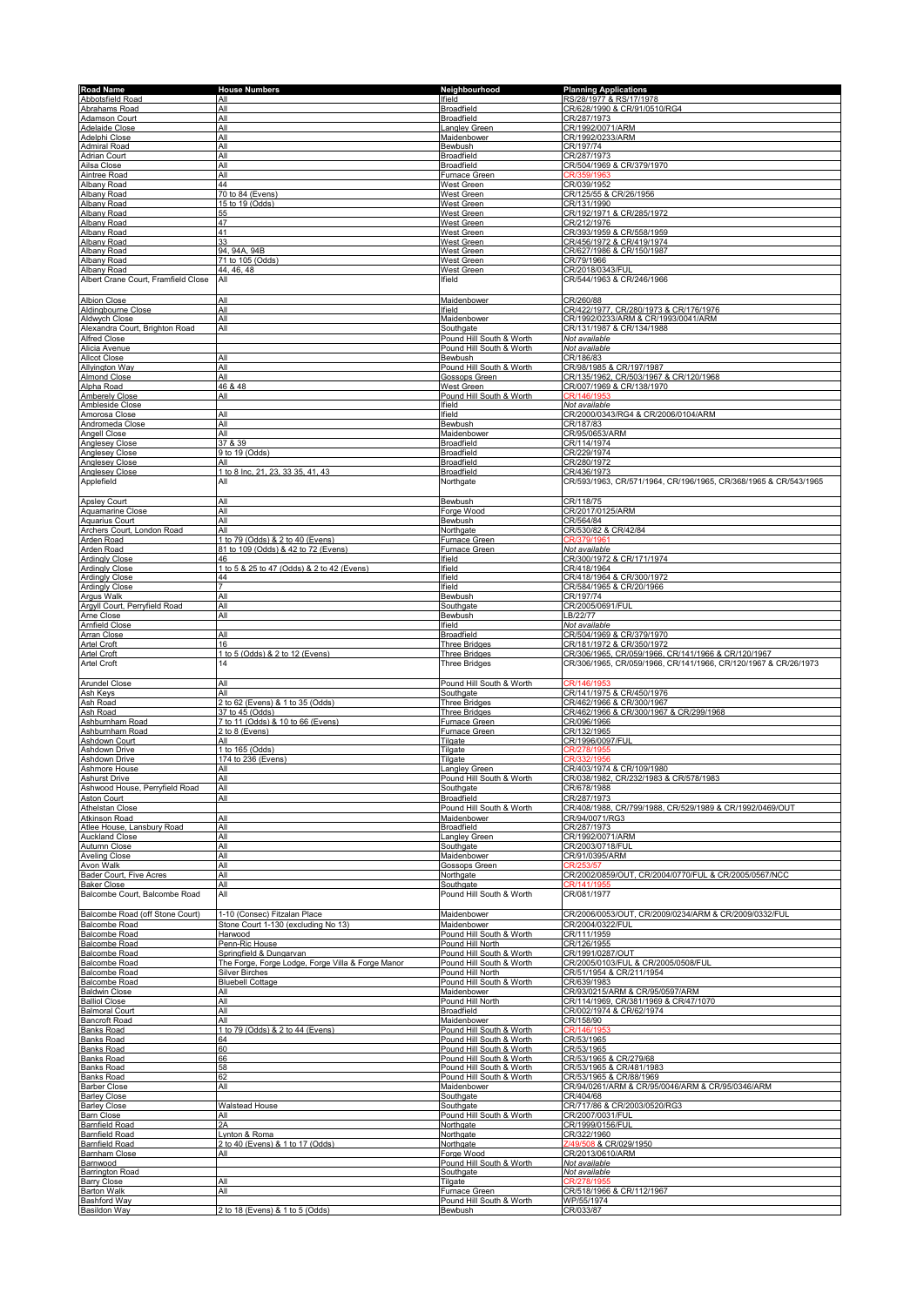| <b>Road Name</b>                                       | <b>House Numbers</b>                              | Neighbourhood                         | <b>Planning Applications</b>                                     |
|--------------------------------------------------------|---------------------------------------------------|---------------------------------------|------------------------------------------------------------------|
| Abbotsfield Road                                       | All                                               | lfield                                | RS/28/1977 & RS/17/1978                                          |
| Abrahams Road                                          | All                                               | Broadfield                            | CR/628/1990 & CR/91/0510/RG4                                     |
| Adamson Court                                          | All                                               | Broadfield                            | CR/287/1973                                                      |
| <b>Adelaide Close</b>                                  | All                                               | angley Green                          | CR/1992/0071/ARM                                                 |
| Adelphi Close                                          | All                                               | Maidenbower                           | CR/1992/0233/ARM                                                 |
| <b>Admiral Road</b>                                    | All                                               | Bewbush                               | CR/197/74                                                        |
| <b>Adrian Court</b>                                    | All                                               | <b>Broadfield</b>                     | CR/287/1973                                                      |
| Ailsa Close                                            | All                                               | Broadfield                            | CR/504/1969 & CR/379/1970                                        |
| Aintree Road                                           | All                                               | Furnace Green                         | CR/359/1963                                                      |
| Albany Road                                            | 44                                                | West Green                            | CR/039/1952                                                      |
| Albany Road                                            | 70 to 84 (Evens)                                  | <b>West Green</b>                     | CR/125/55 & CR/26/1956                                           |
| Albany Road                                            | 15 to 19 (Odds)                                   | <b>West Green</b>                     | CR/131/1990                                                      |
| Albany Road                                            | 55                                                | West Green                            | CR/192/1971 & CR/285/1972                                        |
| Albany Road                                            | 47                                                | West Green                            | CR/212/1976                                                      |
| Albany Road                                            | 41                                                | West Green                            | CR/393/1959 & CR/558/1959                                        |
| Albany Road                                            | 33                                                | West Green                            | CR/456/1972 & CR/419/1974                                        |
| Albany Road                                            | 94, 94A, 94B                                      | West Green                            | CR/627/1986 & CR/150/1987                                        |
| Albany Road                                            | 71 to 105 (Odds)                                  | West Green                            | CR/79/1966                                                       |
| Albany Road                                            | 44, 46, 48                                        | West Green                            | CR/2018/0343/FU                                                  |
| Albert Crane Court, Framfield Close                    | All                                               | Ifield                                | CR/544/1963 & CR/246/1966                                        |
|                                                        |                                                   |                                       |                                                                  |
| <b>Albion Close</b>                                    | All                                               | Maidenbower                           | CR/260/88                                                        |
| Aldingbourne Close                                     | All                                               | lfield                                | CR/422/1977, CR/280/1973 & CR/176/1976                           |
| Aldwych Close                                          | All                                               | Maidenbower                           | CR/1992/0233/ARM & CR/1993/0041/ARM                              |
| Alexandra Court, Brighton Road                         | All                                               | Southgate                             | CR/131/1987 & CR/134/1988                                        |
| <b>Alfred Close</b>                                    |                                                   | Pound Hill South & Worth              | Not available                                                    |
| Alicia Avenue                                          |                                                   | Pound Hill South & Worth              | Not available                                                    |
| <b>Allcot Close</b>                                    | All                                               | Bewbush                               | CR/186/83                                                        |
| <b>Allyington Way</b>                                  | All                                               | Pound Hill South & Worth              | CR/98/1985 & CR/197/1987                                         |
| <b>Almond Close</b>                                    | All                                               | Gossops Green                         | CR/135/1962, CR/503/1967 & CR/120/1968                           |
| Alpha Road                                             | 46 & 48                                           | West Green                            | CR/007/1969 & CR/138/1970                                        |
| <b>Amberely Close</b>                                  | All                                               | Pound Hill South & Worth              |                                                                  |
| Ambleside Close                                        |                                                   | lfield                                | Not available                                                    |
| Amorosa Close                                          | All                                               | Ifield                                | CR/2000/0343/RG4 & CR/2006/0104/ARM                              |
| Andromeda Close                                        | All                                               | Bewbush                               | CR/187/83                                                        |
| Angell Close                                           | All                                               | Maidenbower                           | CR/95/0653/ARM                                                   |
| <b>Anglesey Close</b>                                  | 37 & 39                                           | Broadfield                            | CR/114/1974                                                      |
| <b>Anglesey Close</b>                                  | 9 to 19 (Odds)                                    | Broadfield                            | CR/229/1974                                                      |
| <b>Anglesey Close</b>                                  | All                                               | Broadfield                            | CR/280/1972                                                      |
| <b>Anglesey Close</b>                                  | 1 to 8 Inc, 21, 23, 33 35, 41, 43                 | Broadfield                            | CR/436/1973                                                      |
| Applefield                                             | All                                               | Northgate                             | CR/593/1963, CR/571/1964, CR/196/1965, CR/368/1965 & CR/543/1965 |
|                                                        | All                                               |                                       | CR/118/75                                                        |
| Apsley Court<br>Aquamarine Close                       | All                                               | Bewbush<br>Forge Wood                 | CR/2017/0125/ARM                                                 |
| Aquarius Court                                         | All                                               | Bewbush                               | CR/564/84                                                        |
| Archers Court, London Road                             | All                                               | Northgate                             | CR/530/82 & CR/42/84                                             |
| Arden Road                                             | 1 to 79 (Odds) & 2 to 40 (Evens)                  | Furnace Green                         |                                                                  |
| Arden Road                                             | 81 to 109 (Odds) & 42 to 72 (Evens)               | Furnace Green                         | Not available                                                    |
| <b>Ardingly Close</b>                                  | 46                                                | Ifield                                | CR/300/1972 & CR/171/1974                                        |
| <b>Ardingly Close</b>                                  | 1 to 5 & 25 to 47 (Odds) & 2 to 42 (Evens)        | Ifield                                | CR/418/1964                                                      |
| <b>Ardingly Close</b>                                  | 44                                                | Ifield                                | CR/418/1964 & CR/300/1972                                        |
| <b>Ardingly Close</b>                                  | $\overline{7}$                                    | Ifield                                | CR/584/1965 & CR/20/1966                                         |
| Argus Walk                                             | All                                               | Bewbush                               | CR/197/74                                                        |
| Argyll Court, Perryfield Road                          | All                                               |                                       | CR/2005/0691/FUL                                                 |
| Arne Close                                             | All                                               | Southgate<br>Bewbush                  | LB/22/77                                                         |
| <b>Arnfield Close</b>                                  | All                                               | lfield                                | Not available                                                    |
| Arran Close                                            |                                                   | Broadfield                            | CR/504/1969 & CR/379/1970                                        |
| Artel Croft                                            | 16                                                | Three Bridges                         | CR/181/1972 & CR/350/1972                                        |
| <b>Artel Croft</b>                                     | 1 to 5 (Odds) & 2 to 12 (Evens)                   | <b>Three Bridges</b>                  | CR/306/1965, CR/059/1966, CR/141/1966 & CR/120/1967              |
| Artel Croft                                            | 14                                                | Three Bridges                         | CR/306/1965, CR/059/1966, CR/141/1966, CR/120/1967 & CR/26/1973  |
| <b>Arundel Close</b>                                   | All                                               | Pound Hill South & Worth              | CR/146/1953                                                      |
| <b>Ash Keys</b>                                        | All                                               | Southgate                             | CR/141/1975 & CR/450/1976                                        |
| Ash Road                                               | 2 to 62 (Evens) & 1 to 35 (Odds)                  | <b>Three Bridges</b>                  | CR/462/1966 & CR/300/1967                                        |
| Ash Road                                               | 37 to 45 (Odds)                                   | <b>Three Bridges</b>                  | CR/462/1966 & CR/300/1967 & CR/299/1968                          |
| Ashburnham Road                                        | 7 to 11 (Odds) & 10 to 66 (Evens)                 | Furnace Green                         | CR/096/1966                                                      |
| Ashburnham Road                                        | 2 to 8 (Evens)                                    | Furnace Green                         | CR/132/1965                                                      |
| Ashdown Court                                          | All                                               | Tilgate                               | CR/1996/0097/FUI                                                 |
| Ashdown Drive                                          | 1 to 165 (Odds)                                   | Tilgate                               | <b>R/278/195</b>                                                 |
| Ashdown Drive                                          | 174 to 236 (Evens)                                | Tilgate                               | CR/403/1974 & CR/109/1980                                        |
| Ashmore House                                          | All                                               | <b>Langley Green</b>                  |                                                                  |
| <u>Ashurst Drive</u><br>Ashwood House, Perryfield Road | ΑIΙ<br>All                                        | Pound Hill South & Worth<br>Southgate | <u> :R/038/1982,</u><br>CR/232/1983 & CR/5/8/198<br>CR/678/1988  |
| Aston Court                                            | All                                               | Broadfield                            | CR/287/1973                                                      |
| Athelstan Close                                        | All                                               | Pound Hill South & Worth              | CR/408/1988, CR/799/1988, CR/529/1989 & CR/1992/0469/OUT         |
| Atkinson Road                                          |                                                   | Maidenbower                           | CR/94/0071/RG3                                                   |
| Atlee House, Lansbury Road                             | All                                               | <b>Broadfield</b>                     | CR/287/1973                                                      |
| <b>Auckland Close</b>                                  | All                                               | Langley Green                         | CR/1992/0071/ARM                                                 |
| Autumn Close                                           | All                                               | Southgate                             | CR/2003/0718/FUL                                                 |
| <b>Aveling Close</b>                                   | All                                               | Maidenbower                           | CR/91/0395/ARM                                                   |
| Avon Walk                                              | All                                               | Gossops Green                         | CR/2002/0859/OUT, CR/2004/0770/FUL & CR/2005/0567/NCC            |
| Bader Court, Five Acres                                | All                                               | Northgate                             |                                                                  |
| <b>Baker Close</b>                                     | All                                               | Southgate                             | CR/141/195                                                       |
| Balcombe Court, Balcombe Road                          | All                                               | Pound Hill South & Worth              | CR/081/1977                                                      |
|                                                        |                                                   |                                       |                                                                  |
| Balcombe Road (off Stone Court)                        | 1-10 (Consec) Fitzalan Place                      | Maidenbower                           | CR/2006/0053/OUT, CR/2009/0234/ARM & CR/2009/0332/FUL            |
| <b>Balcombe Road</b>                                   | Stone Court 1-130 (excluding No 13)               | Maidenbower                           | CR/2004/0322/FUL                                                 |
| <b>Balcombe Road</b>                                   | Harwood                                           | Pound Hill South & Worth              | CR/111/1959                                                      |
| <b>Balcombe Road</b>                                   | Penn-Ric House                                    | Pound Hill North                      | CR/126/1955                                                      |
| <b>Balcombe Road</b>                                   | Springfield & Dungarvan                           | Pound Hill South & Worth              | CR/1991/0287/OUT                                                 |
| <b>Balcombe Road</b>                                   | The Forge, Forge Lodge, Forge Villa & Forge Manor | Pound Hill South & Worth              | CR/2005/0103/FUL & CR/2005/0508/FUL                              |
| <b>Balcombe Road</b>                                   | Silver Birches                                    | Pound Hill North                      | CR/51/1954 & CR/211/1954                                         |
| <b>Balcombe Road</b>                                   | <b>Bluebell Cottage</b>                           | Pound Hill South & Worth              | CR/639/1983                                                      |
| <b>Baldwin Close</b>                                   | All                                               | Maidenbower                           | CR/93/0215/ARM & CR/95/0597/ARM                                  |
| <b>Balliol Close</b>                                   | All                                               | Pound Hill North                      | CR/114/1969, CR/381/1969 & CR/47/1070                            |
| <b>Balmoral Court</b>                                  | All                                               | Broadfield                            | CR/002/1974 & CR/62/1974                                         |
| <b>Bancroft Road</b>                                   | All                                               | Maidenbower                           | CR/158/90                                                        |
| <b>Banks Road</b>                                      | 1 to 79 (Odds) & 2 to 44 (Evens)                  | Pound Hill South & Worth              | CR/146/195                                                       |
| <b>Banks Road</b>                                      | 64                                                | Pound Hill South & Worth              | CR/53/1965                                                       |
|                                                        | 60                                                | Pound Hill South & Worth              | CR/53/1965                                                       |
| <b>Banks Road</b><br><b>Banks Road</b>                 | 66                                                | Pound Hill South & Worth              | CR/53/1965 & CR/279/68                                           |
| <b>Banks Road</b>                                      | 58                                                | Pound Hill South & Worth              | CR/53/1965 & CR/481/1983                                         |
| <b>Banks Road</b>                                      | 62                                                | Pound Hill South & Worth              | CR/53/1965 & CR/88/1969                                          |
| <b>Barber Close</b>                                    | All                                               | Maidenbower                           | CR/94/0261/ARM & CR/95/0046/ARM & CR/95/0346/ARM                 |
| <b>Barley Close</b>                                    | <b>Walstead House</b>                             | Southgate                             | CR/404/68                                                        |
| <b>Barley Close</b>                                    |                                                   | Southgate                             | CR/717/86 & CR/2003/0520/RG3                                     |
| <b>Barn Close</b>                                      | ail                                               | Pound Hill South & Worth              | CR/2007/0031/FUL                                                 |
| <b>Barnfield Road</b>                                  | 2A                                                | Northgate                             | CR/1999/0156/FUL                                                 |
| <b>Barnfield Road</b>                                  | Lynton & Roma                                     | Northgate                             | CR/322/1960                                                      |
| <b>Barnfield Road</b>                                  | 2 to 40 (Evens) & 1 to 17 (Odds)                  | Northgate                             | Z/49/508 & CR/029/1950                                           |
| <b>Barnham Close</b>                                   | All                                               | Forge Wood                            | CR/2013/0610/ARM                                                 |
| Barnwood                                               |                                                   | Pound Hill South & Worth              | Not available<br>Not available                                   |
| <b>Barrington Road</b><br><b>Barry Close</b>           | All                                               | Southgate<br>Tilgate                  |                                                                  |
| <b>Barton Walk</b>                                     | All                                               | Furnace Green                         | CR/518/1966 & CR/112/1967                                        |
| Bashford Way                                           |                                                   | Pound Hill South & Worth              | WP/55/1974                                                       |
| <b>Basildon Way</b>                                    | 2 to 18 (Evens) & 1 to 5 (Odds)                   | Bewbush                               | CR/033/87                                                        |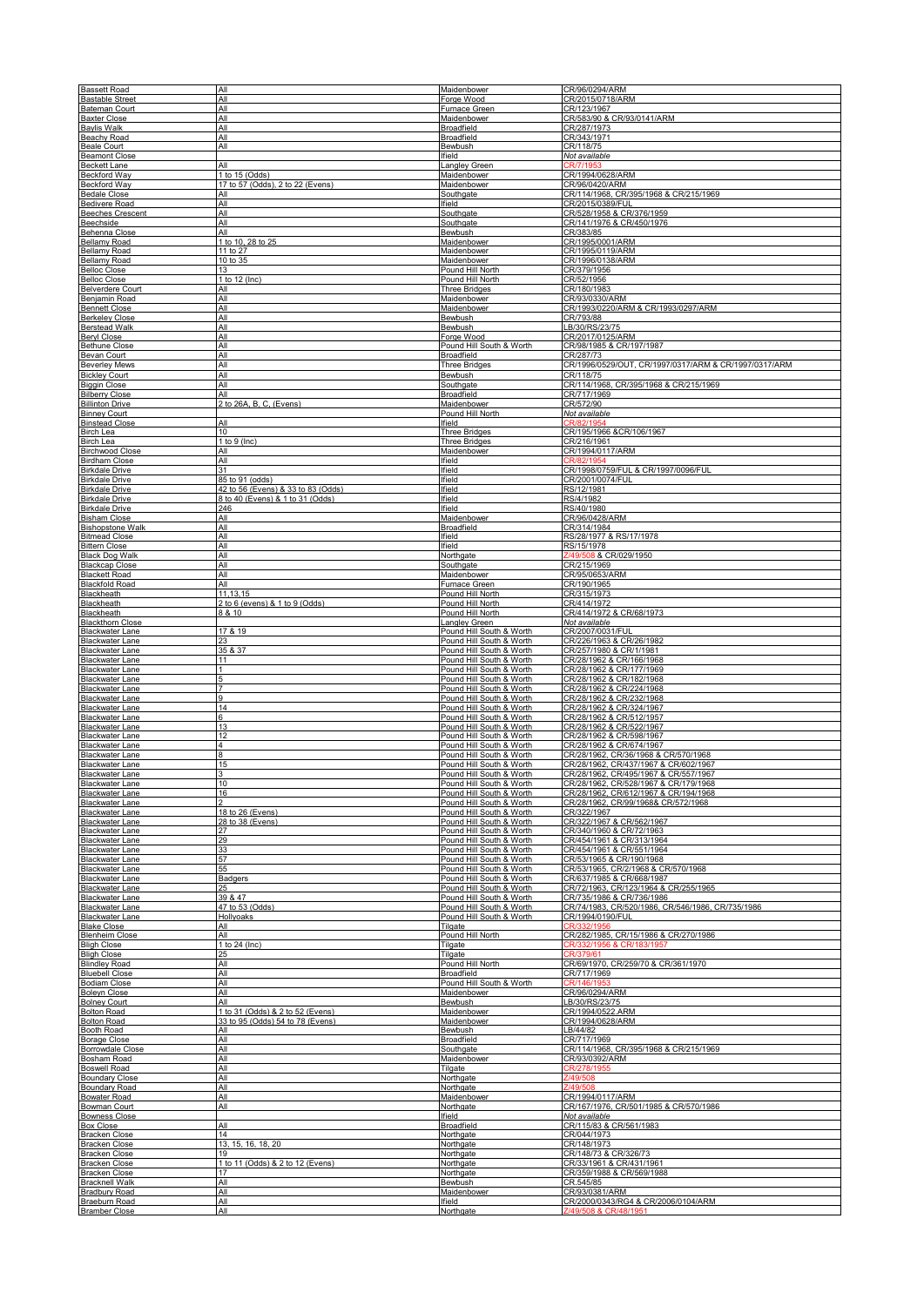| Bassett Road                                 | All                               | <u>Maidenbower</u>                  | CR/96/0294/ARM                                        |
|----------------------------------------------|-----------------------------------|-------------------------------------|-------------------------------------------------------|
| <b>Bastable Street</b>                       |                                   | Forge Wood                          | CR/2015/0718/ARM                                      |
| <b>Bateman Court</b>                         | All                               | Furnace Green                       | CR/123/1967                                           |
| <b>Baxter Close</b>                          | All                               | Maidenbower                         | CR/583/90 & CR/93/0141/ARM                            |
| <b>Baylis Walk</b>                           | All                               | <b>Broadfield</b>                   | CR/287/1973                                           |
| <b>Beachy Road</b>                           | All<br>All                        | <u>Broadfield</u>                   | CR/343/1971                                           |
| <b>Beale Court</b>                           |                                   | <b>Bewbush</b>                      | CR/118/75                                             |
| <b>Beamont Close</b>                         |                                   | <u>Ifield</u>                       | Not available                                         |
| <b>Beckett Lane</b>                          | All                               | <u>Langley Green</u>                | CR/1994/0628/ARM                                      |
| <b>Beckford Way</b>                          | 1 to 15 (Odds)                    | <u>Maidenbower</u>                  |                                                       |
| <b>Beckford Way</b>                          | 17 to 57 (Odds), 2 to 22 (Evens)  | Maidenbower                         | CR/96/0420/ARM                                        |
| <b>Bedale Close</b>                          | All                               | Southgate                           | CR/114/1968, CR/395/1968 & CR/215/1969                |
| <b>Bedivere Road</b>                         | All                               | lfield                              | CR/2015/0389/FUL                                      |
| <b>Beeches Crescent</b>                      | All                               | Southgate                           | CR/528/1958 & CR/376/1959                             |
| Beechside                                    | All                               | Southgate                           | CR/141/1976 & CR/450/1976                             |
| Behenna Close                                | All                               | Bewbush                             | CR/383/85                                             |
| <b>Bellamy Road</b>                          | 1 to 10, 28 to 25                 | Maidenbower                         | CR/1995/0001/ARM                                      |
| <b>Bellamy Road</b>                          | 11 to 27                          |                                     | CR/1995/0119/ARM                                      |
| <b>Bellamy Road</b>                          | 10 to 35                          | <u>Maidenbower</u><br>Maidenbower   | CR/1996/0138/ARM                                      |
| <b>Belloc Close</b>                          | 13                                | <u>Pound Hill North</u>             | CR/379/1956                                           |
| <b>Belloc Close</b>                          | 1 to 12 (Inc)                     | <u>Pound Hill North</u>             | CR/52/1956                                            |
| <b>Belverdere Court</b>                      | All                               | <b>Three Bridges</b>                | CR/180/1983                                           |
| Benjamin Road                                | All                               | <u>Maidenbower</u>                  | CR/93/0330/ARM                                        |
| <b>Bennett Close</b>                         | All                               | <u>Maidenbower</u>                  | CR/1993/0220/ARM & CR/1993/0297/ARM                   |
| <b>Berkeley Close</b>                        | All                               | <u>Bewbush</u>                      | CR/793/88                                             |
| <b>Berstead Walk</b>                         | All                               | Bewbush                             | LB/30/RS/23/75                                        |
| <b>Beryl Close</b>                           | All                               | Forge Wood                          | CR/2017/0125/ARM                                      |
| <b>Bethune Close</b>                         | All                               | <u>Pound Hill South &amp; Worth</u> | CR/98/1985 & CR/197/1987                              |
| Bevan Court                                  | All                               | Broadfield                          | CR/287/73                                             |
| <b>Beverley Mews</b>                         | All                               | <b>Three Bridges</b>                | CR/1996/0529/OUT, CR/1997/0317/ARM & CR/1997/0317/ARM |
| <b>Bickley Court</b>                         | All                               | <u>Bewbush</u>                      | CR/118/75                                             |
| <b>Biggin Close</b>                          | All                               | Southgate                           | CR/114/1968, CR/395/1968 & CR/215/1969                |
| <b>Bilberry Close</b>                        | All                               | <u>Broadfield</u>                   | CR/717/1969                                           |
| <b>Billinton Drive</b>                       | 2 to 26A, B, C, (Evens)           | Maidenbower                         | CR/572/90                                             |
| <b>Binney Court</b>                          |                                   | Pound Hill North                    | Not available                                         |
| <b>Binstead Close</b>                        | Al<br>10                          | Ifield                              | CR/82/1954                                            |
| <b>Birch Lea</b>                             | $\frac{1}{1}$ to 9 (Inc)          | <b>Three Bridges</b>                | CR/195/1966 &CR/106/1967                              |
| <b>Birch Lea</b>                             |                                   | <b>Three Bridges</b>                | CR/216/1961                                           |
| <b>Birchwood Close</b>                       | All                               | <u>Maidenbower</u>                  | CR/1994/0117/ARM                                      |
| <b>Birdham Close</b>                         | All                               | <b>Ifield</b>                       | CR/82/1954                                            |
| <b>Birkdale Drive</b>                        | 31                                | <b>Ifield</b>                       | CR/1998/0759/FUL & CR/1997/0096/FUL                   |
| <b>Birkdale Drive</b>                        | 85 to 91 (odds)                   | <b>Ifield</b>                       | CR/2001/0074/FUL                                      |
| <b>Birkdale Drive</b>                        | 42 to 56 (Evens) & 33 to 83 (Odds | <b>Ifield</b>                       | RS/12/1981                                            |
| <b>Birkdale Drive</b>                        | 8 to 40 (Evens) & 1 to 31 (Odds   | Ifield                              | RS/4/1982                                             |
| <b>Birkdale Drive</b>                        | 246                               | <u>Ifield</u>                       | RS/40/1980                                            |
| <b>Bisham Close</b>                          | All                               | Maidenbower                         | CR/96/0428/ARM                                        |
| <b>Bishopstone Walk</b>                      | All                               | <b>Broadfield</b>                   | CR/314/1984                                           |
|                                              | All                               | Ifield                              | RS/28/1977 & RS/17/1978                               |
| <b>Bitmead Close</b><br><b>Bittern Close</b> | All                               | <b>Ifield</b>                       | RS/15/1978                                            |
| <b>Black Dog Walk</b>                        | All                               | Northgate                           | Z/49/508 & CR/029/1950                                |
| <b>Blackcap Close</b>                        | All                               | <u>Southgate</u>                    | CR/215/1969                                           |
| <b>Blackett Road</b>                         | All                               | <u>Maidenbower</u>                  | CR/95/0653/ARM                                        |
| <b>Blackfold Road</b>                        | All                               | <u>Furnace Green</u>                | CR/190/1965                                           |
| Blackheath                                   | 11, 13, 15                        | Pound Hill North                    | <u>CR/315/1973</u>                                    |
| <b>Blackheath</b>                            | 2 to 6 (evens) & 1 to 9 (Odds)    | <u>Pound Hill North</u>             | CR/414/1972                                           |
| <b>Blackheath</b>                            | 8 & 10                            | Pound Hill North                    | CR/414/1972 & CR/68/1973                              |
| <b>Blackthorn Close</b>                      |                                   | Langley Green                       | <u>Not available</u>                                  |
| <b>Blackwater Lane</b>                       | 17 & 19                           | Pound Hill South & Worth            | <u>CR/2007/0031/FUI</u>                               |
| <b>Blackwater Lane</b>                       | 23                                | Pound Hill South & Worth            | CR/226/1963 & CR/26/1982                              |
| <b>Blackwater Lane</b>                       | 35 & 37                           | Pound Hill South & Worth            | CR/257/1980 & CR/1/1981                               |
| <b>Blackwater Lane</b>                       | 11                                | Pound Hill South & Worth            | CR/28/1962 & CR/166/1968                              |
| <b>Blackwater Lane</b>                       | $\mathbf{1}$                      | Pound Hill South & Worth            | CR/28/1962 & CR/177/1969                              |
| <b>Blackwater Lane</b>                       | 5                                 | Pound Hill South & Worth            | CR/28/1962 & CR/182/1968                              |
| <b>Blackwater Lane</b>                       | $\overline{7}$                    | Pound Hill South & Worth            | CR/28/1962 & CR/224/1968                              |
| <b>Blackwater Lane</b>                       | 9                                 | Pound Hill South & Worth            | CR/28/1962 & CR/232/1968                              |
| <b>Blackwater Lane</b>                       | 14                                | Pound Hill South & Worth            | CR/28/1962 & CR/324/1967                              |
| <b>Blackwater Lane</b>                       | 6                                 | Pound Hill South & Worth            | CR/28/1962 & CR/512/1957                              |
| <b>Blackwater Lane</b>                       | 13                                | Pound Hill South & Worth            | CR/28/1962 & CR/522/1967                              |
| <b>Blackwater Lane</b>                       | 12                                | Pound Hill South & Worth            | CR/28/1962 & CR/598/1967                              |
| <b>Blackwater Lane</b>                       | 4                                 | Pound Hill South & Worth            | CR/28/1962 & CR/674/1967                              |
| <b>Blackwater Lane</b>                       | 8                                 | Pound Hill South & Worth            | CR/28/1962, CR/36/1968 & CR/570/1968                  |
| <b>Blackwater Lane</b>                       | 15                                | Pound Hill South & Worth            | CR/28/1962, CR/437/1967 & CR/602/1967                 |
| <b>Blackwater Lane</b>                       | 3                                 | Pound Hill South & Worth            | CR/28/1962, CR/495/1967 & CR/557/1967                 |
| <b>BIACKWATER LANE</b>                       |                                   | ound Hill South & Worth'            | <u>.R/28/1962, CR/528/1967 &amp; CR/179/1968</u>      |
| <b>Blackwater Lane</b>                       | 16                                | Pound Hill South & Worth            | CR/28/1962, CR/612/1967 & CR/194/1968                 |
| <b>Blackwater Lane</b>                       |                                   | Pound Hill South & Worth            | CR/28/1962, CR/99/1968& CR/572/1968                   |
| <b>Blackwater Lane</b>                       | 18 to 26 (Evens)                  | Pound Hill South & Worth            | CR/322/1967                                           |
| <b>Blackwater Lane</b>                       | 28 to 38 (Evens)                  | Pound Hill South & Worth            | CR/322/1967 & CR/562/1967                             |
| <b>Blackwater Lane</b>                       | 27                                | Pound Hill South & Worth            | CR/340/1960 & CR/72/1963                              |
| <b>Blackwater Lane</b>                       | 29                                | Pound Hill South & Worth            | CR/454/1961 & CR/313/1964                             |
| <b>Blackwater Lane</b>                       | 33                                | Pound Hill South & Worth            | CR/454/1961 & CR/551/1964                             |
| <b>Blackwater Lane</b>                       | 57                                | Pound Hill South & Worth            | CR/53/1965 & CR/190/1968                              |
| <b>Blackwater Lane</b>                       | 55                                | Pound Hill South & Worth            | CR/53/1965, CR/2/1968 & CR/570/1968                   |
| <b>Blackwater Lane</b>                       | Badgers                           | Pound Hill South & Worth            | CR/637/1985 & CR/668/1987                             |
| <b>Blackwater Lane</b>                       | 25                                | Pound Hill South & Worth            | CR/72/1963, CR/123/1964 & CR/255/1965                 |
| <b>Blackwater Lane</b>                       | 39 & 47                           | Pound Hill South & Worth            | CR/735/1986 & CR/736/1986                             |
| <b>Blackwater Lane</b>                       | 47 to 53 (Odds)                   | Pound Hill South & Worth            | CR/74/1983, CR/520/1986, CR/546/1986, CR/735/1986     |
| <b>Blackwater Lane</b>                       | Hollyoaks                         | Pound Hill South & Worth            | CR/1994/0190/FUL                                      |
| <b>Blake Close</b>                           | All                               | Tilgate                             | CR/332/1956                                           |
| <b>Blenheim Close</b>                        | All                               | Pound Hill North                    | CR/282/1985, CR/15/1986 & CR/270/1986                 |
| <b>Bligh Close</b>                           | 1 to 24 (Inc)                     | Tilgate                             |                                                       |
| <b>Bligh Close</b>                           | 25                                | Tilgate                             |                                                       |
| <b>Blindley Road</b>                         | All                               | Pound Hill North                    | CR/69/1970, CR/259/70 & CR/361/1970<br>CR/717/1969    |
| <b>Bluebell Close</b>                        | All                               | Broadfield                          | CR/146/195                                            |
| <b>Bodiam Close</b>                          | All                               | Pound Hill South & Worth            |                                                       |
| <b>Boleyn Close</b>                          | All                               | <u>Maidenbower</u>                  | CR/96/0294/ARM                                        |
| <b>Bolney Court</b>                          | All                               | Bewbush                             | LB/30/RS/23/75                                        |
| <b>Bolton Road</b>                           | 1 to 31 (Odds) & 2 to 52 (Evens)  | Maidenbower                         | CR/1994/0522.ARM                                      |
| <b>Bolton Road</b>                           | 33 to 95 (Odds) 54 to 78 (Evens)  | Maidenbower                         | CR/1994/0628/ARM                                      |
| Booth Road                                   | All                               | Bewbush                             | LB/44/82                                              |
| <b>Borage Close</b>                          | All<br>All                        | Broadfield                          | CR/717/1969                                           |
| <b>Borrowdale Close</b>                      | All                               | Southgate                           | CR/114/1968, CR/395/1968 & CR/215/1969                |
| Bosham Road                                  |                                   | Maidenbower                         | CR/93/0392/ARM                                        |
| <b>Boswell Road</b>                          | All                               | Tilgate                             | CR/278/1955                                           |
| <b>Boundary Close</b>                        | All                               | Northgate                           | Z/49/508                                              |
| <b>Boundary Road</b>                         | All                               | Northgate                           | Z/49/508                                              |
| <b>Bowater Road</b>                          | All                               | Maidenbower                         | CR/1994/0117/ARM                                      |
| <b>Bowman Court</b>                          | All                               | Northgate                           | CR/167/1976, CR/501/1985 & CR/570/1986                |
| <b>Bowness Close</b>                         |                                   | Ifield                              | Not available                                         |
| <b>Box Close</b>                             | All                               | Broadfield                          | CR/115/83 & CR/561/1983                               |
| <b>Bracken Close</b>                         | 14                                | Northgate                           | CR/044/1973                                           |
| <b>Bracken Close</b>                         | 13, 15, 16, 18, 20                | Northgate                           | CR/148/1973                                           |
| <b>Bracken Close</b>                         | 19                                | Northgate                           | CR/148/73 & CR/326/73                                 |
| <b>Bracken Close</b>                         | 1 to 11 (Odds) & 2 to 12 (Evens)  | Northgate                           | CR/33/1961 & CR/431/1961                              |
| <b>Bracken Close</b>                         | 17                                | Northgate                           | CR/359/1988 & CR/569/1988                             |
| <b>Bracknell Walk</b>                        | All                               | <b>Bewbush</b>                      | CR.545/85                                             |
| <b>Bradbury Road</b>                         | All                               | Maidenbower                         | CR/93/0381/ARM                                        |
| Braeburn Road                                | All                               | lfield                              | CR/2000/0343/RG4 & CR/2006/0104/ARM                   |
| <b>Bramber Close</b>                         | All                               | Northgate                           | /49/508 & CR/48/195                                   |
|                                              |                                   |                                     |                                                       |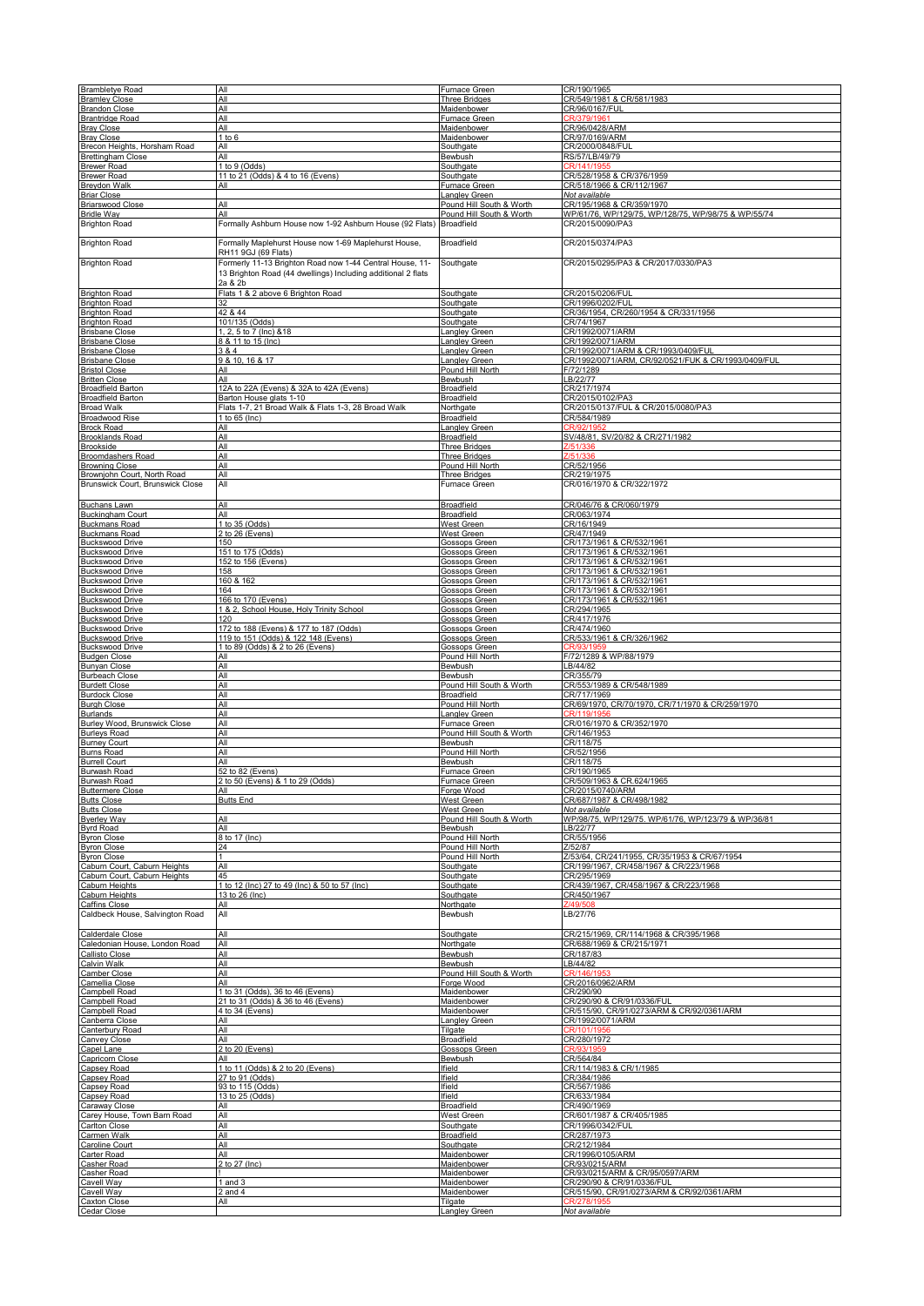| <b>Brambletye Road</b>                                          | All                                                                     | Furnace Green                                | CR/190/1965                                                                      |
|-----------------------------------------------------------------|-------------------------------------------------------------------------|----------------------------------------------|----------------------------------------------------------------------------------|
| <b>Bramley Close</b><br><b>Brandon Close</b>                    | All<br>All                                                              | <b>Three Bridges</b><br>Maidenbower          | CR/549/1981 & CR/581/1983<br>CR/96/0167/FUL                                      |
| Brantridge Road                                                 | All                                                                     | <b>Furnace Green</b>                         | CR/379/1961                                                                      |
| <b>Bray Close</b><br><b>Bray Close</b>                          | All<br>1 to 6                                                           | Maidenbower<br>Maidenbower                   | CR/96/0428/ARM<br>CR/97/0169/ARM                                                 |
| Brecon Heights, Horsham Road                                    | All                                                                     | Southgate                                    | CR/2000/0848/FUL                                                                 |
| <b>Brettingham Close</b>                                        | All                                                                     | Bewbush                                      | RS/57/LB/49/79                                                                   |
| <b>Brewer Road</b><br><b>Brewer Road</b>                        | 1 to 9 (Odds)<br>11 to 21 (Odds) & 4 to 16 (Evens)                      | Southgate<br>Southgate                       | CR/141/1955<br>CR/528/1958 & CR/376/1959                                         |
| <b>Breydon Walk</b>                                             | All                                                                     | Furnace Green                                | CR/518/1966 & CR/112/1967                                                        |
| <b>Briar Close</b>                                              | All                                                                     | angley Green<br>Pound Hill South & Worth     | Not available                                                                    |
| <b>Briarswood Close</b><br><b>Bridle Way</b>                    | All                                                                     | Pound Hill South & Worth                     | CR/195/1968 & CR/359/1970<br>WP/61/76, WP/129/75, WP/128/75, WP/98/75 & WP/55/74 |
| <b>Brighton Road</b>                                            | Formally Ashburn House now 1-92 Ashburn House (92 Flats) Broadfield     |                                              | CR/2015/0090/PA3                                                                 |
| <b>Brighton Road</b>                                            | Formally Maplehurst House now 1-69 Maplehurst House,                    | <b>Broadfield</b>                            | CR/2015/0374/PA3                                                                 |
|                                                                 | RH11 9GJ (69 Flats)                                                     |                                              |                                                                                  |
| <b>Brighton Road</b>                                            | Formerly 11-13 Brighton Road now 1-44 Central House, 11-                | Southgate                                    | CR/2015/0295/PA3 & CR/2017/0330/PA3                                              |
|                                                                 | 13 Brighton Road (44 dwellings) Including additional 2 flats<br>2a & 2b |                                              |                                                                                  |
| <b>Brighton Road</b>                                            | Flats 1 & 2 above 6 Brighton Road                                       | Southgate                                    | CR/2015/0206/FUL                                                                 |
| <b>Brighton Road</b>                                            | 32<br>42 & 44                                                           | Southgate                                    | CR/1996/0202/FUL<br>CR/36/1954, CR/260/1954 & CR/331/1956                        |
| <b>Brighton Road</b><br><b>Brighton Road</b>                    | 101/135 (Odds)                                                          | Southgate<br>Southgate                       | CR/74/1967                                                                       |
| <b>Brisbane Close</b>                                           | 1, 2, 5 to 7 (Inc) & 18                                                 | angley Green                                 | CR/1992/0071/ARM                                                                 |
| <b>Brisbane Close</b><br><b>Brisbane Close</b>                  | 8 & 11 to 15 (Inc)<br>3 & 4                                             | Langley Green<br>Langley Green               | CR/1992/0071/ARM<br>CR/1992/0071/ARM & CR/1993/0409/FUI                          |
| <b>Brisbane Close</b>                                           | 9 & 10, 16 & 17                                                         | <b>Langley Green</b>                         | CR/1992/0071/ARM, CR/92/0521/FUK & CR/1993/0409/FUL                              |
| <b>Bristol Close</b><br><b>Britten Close</b>                    | All<br>All                                                              | Pound Hill North<br>Bewbush                  | F/72/1289<br>LB/22/77                                                            |
| <b>Broadfield Barton</b>                                        | 12A to 22A (Evens) & 32A to 42A (Evens)                                 | Broadfield                                   | CR/217/1974                                                                      |
| <b>Broadfield Barton</b>                                        | Barton House glats 1-10                                                 | <b>Broadfield</b>                            | CR/2015/0102/PA3                                                                 |
| <b>Broad Walk</b><br><b>Broadwood Rise</b>                      | Flats 1-7, 21 Broad Walk & Flats 1-3, 28 Broad Walk<br>1 to 65 (Inc)    | Northgate<br>Broadfield                      | CR/2015/0137/FUL & CR/2015/0080/PA3<br>CR/584/1989                               |
| <b>Brock Road</b>                                               | All                                                                     | angley Green                                 |                                                                                  |
| <b>Brooklands Road</b>                                          | All                                                                     | Broadfield                                   | SV/48/81, SV/20/82 & CR/271/1982                                                 |
| Brookside<br><b>Broomdashers Road</b>                           | All<br>All                                                              | <b>Three Bridges</b><br><b>Three Bridges</b> | 751/336<br>751/336                                                               |
| <b>Browning Close</b>                                           | All                                                                     | Pound Hill North                             | CR/52/1956                                                                       |
| Brownjohn Court, North Road<br>Brunswick Court, Brunswick Close | All<br>All                                                              | <b>Three Bridges</b><br>Furnace Green        | CR/219/1975<br>CR/016/1970 & CR/322/1972                                         |
|                                                                 |                                                                         |                                              |                                                                                  |
| <b>Buchans Lawn</b>                                             | All                                                                     | Broadfield                                   | CR/046/76 & CR/060/1979                                                          |
| <b>Buckingham Court</b><br><b>Buckmans Road</b>                 | All<br>1 to 35 (Odds)                                                   | <b>Broadfield</b><br>West Green              | CR/063/1974<br>CR/16/1949                                                        |
| <b>Buckmans Road</b>                                            | 2 to 26 (Evens)                                                         | West Green                                   | CR/47/1949                                                                       |
| <b>Buckswood Drive</b>                                          | 150                                                                     | Gossops Green                                | CR/173/1961 & CR/532/1961                                                        |
| <b>Buckswood Drive</b><br><b>Buckswood Drive</b>                | 151 to 175 (Odds)<br>152 to 156 (Evens)                                 | Gossops Green<br><b>Gossops Green</b>        | CR/173/1961 & CR/532/1961<br>CR/173/1961 & CR/532/1961                           |
| <b>Buckswood Drive</b>                                          | 158                                                                     | Gossops Green                                | CR/173/1961 & CR/532/1961                                                        |
| <b>Buckswood Drive</b><br><b>Buckswood Drive</b>                | 160 & 162<br>164                                                        | <b>Gossops Green</b><br><b>Gossops Green</b> | CR/173/1961 & CR/532/1961<br>CR/173/1961 & CR/532/1961                           |
| <b>Buckswood Drive</b>                                          | 166 to 170 (Evens)                                                      | Gossops Green                                | CR/173/1961 & CR/532/1961                                                        |
| <b>Buckswood Drive</b>                                          | 1 & 2, School House, Holy Trinity School<br>120                         | Gossops Green                                | CR/294/1965<br>CR/417/1976                                                       |
| <b>Buckswood Drive</b><br><b>Buckswood Drive</b>                | 172 to 188 (Evens) & 177 to 187 (Odds)                                  | Gossops Green<br>Gossops Green               | CR/474/1960                                                                      |
| <b>Buckswood Drive</b>                                          | 119 to 151 (Odds) & 122 148 (Evens)                                     | Gossops Green                                | CR/533/1961 & CR/326/1962                                                        |
| <b>Buckswood Drive</b><br><b>Budgen Close</b>                   | 1 to 89 (Odds) & 2 to 26 (Evens)<br>All                                 | <b>Gossops Green</b><br>Pound Hill North     | F/72/1289 & WP/88/1979                                                           |
| <b>Bunyan Close</b>                                             | All                                                                     | Bewbush                                      | LB/44/82                                                                         |
| <b>Burbeach Close</b><br><b>Burdett Close</b>                   | All<br>All                                                              | Bewbush<br>Pound Hill South & Worth          | CR/355/79<br>CR/553/1989 & CR/548/1989                                           |
| <b>Burdock Close</b>                                            | All                                                                     | Broadfield                                   | CR/717/1969                                                                      |
| <b>Burgh Close</b>                                              | All                                                                     | Pound Hill North                             | CR/69/1970, CR/70/1970, CR/71/1970 & CR/259/1970                                 |
| <b>Burlands</b><br>Burley Wood, Brunswick Close                 | All<br>All                                                              | <b>Langley Green</b><br>Furnace Green        | CR/119/195<br>CR/016/1970 & CR/352/1970                                          |
| <b>Burleys Road</b>                                             | All                                                                     | Pound Hill South & Worth                     | CR/146/1953                                                                      |
| <b>Burney Court</b>                                             | All                                                                     | Bewbush                                      | CR/118/75<br>CR/52/1956                                                          |
| <b>Burns Road</b><br><b>Burrell Court</b>                       | All<br>All                                                              | Pound Hill North<br>Bewbush                  | CR/118/75                                                                        |
| <b>Burwash Road</b>                                             | 52 to 82 (Evens)                                                        | Furnace Green                                | CR/190/1965                                                                      |
| Burwash Road<br><b>Buttermere Close</b>                         | <u>(⊨vens) &amp; 1 to</u> 29<br>TO.<br>All                              | urnace Gree <sup>.</sup><br>Forge Wood       | R/509/1963 & CR.624/19<br>CR/2015/0740/ARM                                       |
| <b>Butts Close</b>                                              | <b>Butts End</b>                                                        | West Green                                   | CR/687/1987 & CR/498/1982                                                        |
| <b>Butts Close</b>                                              | All                                                                     | West Green<br>Pound Hill South & Worth       | Not available                                                                    |
| <b>Byerley Way</b><br><b>Byrd Road</b>                          | All                                                                     | Bewbush                                      | WP/98/75, WP/129/75. WP/61/76, WP/123/79 & WP/36/81<br>B/22/77                   |
| <b>Byron Close</b>                                              | 8 to 17 (Inc)                                                           | Pound Hill North                             | CR/55/1956                                                                       |
| <b>Byron Close</b><br><b>Byron Close</b>                        | 24<br>1                                                                 | Pound Hill North<br>Pound Hill North         | Z/52/87<br>Z/53/64, CR/241/1955, CR/35/1953 & CR/67/1954                         |
| Caburn Court, Caburn Heights                                    | All                                                                     | Southgate                                    | CR/199/1967, CR/458/1967 & CR/223/1968                                           |
| Caburn Court, Caburn Heights<br>Caburn Heights                  | 45<br>1 to 12 (Inc) 27 to 49 (Inc) & 50 to 57 (Inc)                     | Southgate<br>Southgate                       | CR/295/1969<br>CR/439/1967, CR/458/1967 & CR/223/1968                            |
| Caburn Heights                                                  | 13 to 26 (Inc)                                                          | Southgate                                    | CR/450/1967                                                                      |
| <b>Caffins Close</b>                                            | All                                                                     | Northgate                                    | 7/49/50                                                                          |
| Caldbeck House, Salvington Road                                 | All                                                                     | Bewbush                                      | LB/27/76                                                                         |
| Calderdale Close                                                | All                                                                     | Southgate                                    | CR/215/1969, CR/114/1968 & CR/395/1968                                           |
| Caledonian House, London Road                                   | All                                                                     | Northgate                                    | CR/688/1969 & CR/215/1971                                                        |
| Callisto Close<br>Calvin Walk                                   | All<br>All                                                              | Bewbush<br>Bewbush                           | CR/187/83<br>B/44/82                                                             |
| <b>Camber Close</b>                                             | All                                                                     | Pound Hill South & Worth                     | R/146/1953                                                                       |
| Camellia Close<br><b>Campbell Road</b>                          | All<br>1 to 31 (Odds), 36 to 46 (Evens)                                 | Forge Wood<br>Maidenbower                    | CR/2016/0962/ARM<br>CR/290/90                                                    |
| Campbell Road                                                   | 21 to 31 (Odds) & 36 to 46 (Evens)                                      | Maidenbower                                  | CR/290/90 & CR/91/0336/FUL                                                       |
| Campbell Road                                                   | 4 to 34 (Evens)                                                         | Maidenbower                                  | CR/515/90, CR/91/0273/ARM & CR/92/0361/ARM                                       |
| Canberra Close<br>Canterbury Road                               | All<br>All                                                              | Langley Green<br>Tilgate                     | CR/1992/0071/ARM<br>CR/101/1956                                                  |
| Canvey Close                                                    | All                                                                     | <b>Broadfield</b>                            | CR/280/1972                                                                      |
| Capel Lane<br><b>Capricorn Close</b>                            | 2 to 20 (Evens)<br>All                                                  | Gossops Green<br>Bewbush                     | CR/93/1959<br>CR/564/84                                                          |
| Capsey Road                                                     | 1 to 11 (Odds) & 2 to 20 (Evens)                                        | Ifield                                       | CR/114/1983 & CR/1/1985                                                          |
| Capsey Road                                                     | 27 to 91 (Odds)                                                         | Ifield                                       | CR/384/1986                                                                      |
| Capsey Road<br>Capsey Road                                      | 93 to 115 (Odds)<br>13 to 25 (Odds)                                     | Ifield<br>Ifield                             | CR/567/1986<br>CR/633/1984                                                       |
| Caraway Close                                                   | All                                                                     | Broadfield                                   | CR/490/1969                                                                      |
| Carey House, Town Barn Road<br>Carlton Close                    | All<br>All                                                              | West Green                                   | CR/601/1987 & CR/405/1985<br>CR/1996/0342/FUL                                    |
| Carmen Walk                                                     | All                                                                     | Southgate<br><b>Broadfield</b>               | CR/287/1973                                                                      |
| Caroline Court                                                  | All                                                                     | Southgate                                    | CR/212/1984                                                                      |
| Carter Road<br><b>Casher Road</b>                               | All<br>2 to 27 (Inc)                                                    | Maidenbower<br>Maidenbower                   | CR/1996/0105/ARM<br>CR/93/0215/ARM                                               |
| <b>Casher Road</b>                                              |                                                                         | Maidenbower                                  | CR/93/0215/ARM & CR/95/0597/ARM                                                  |
| Cavell Way                                                      | 1 and $3$                                                               | Maidenbower                                  | CR/290/90 & CR/91/0336/FUL                                                       |
| Cavell Way                                                      | $2$ and $4$                                                             | Maidenbower                                  | CR/515/90, CR/91/0273/ARM & CR/92/0361/ARM<br>CR/278/195!                        |
| <b>Caxton Close</b><br>Cedar Close                              | All                                                                     | Tilgate<br>Langley Green                     | Not available                                                                    |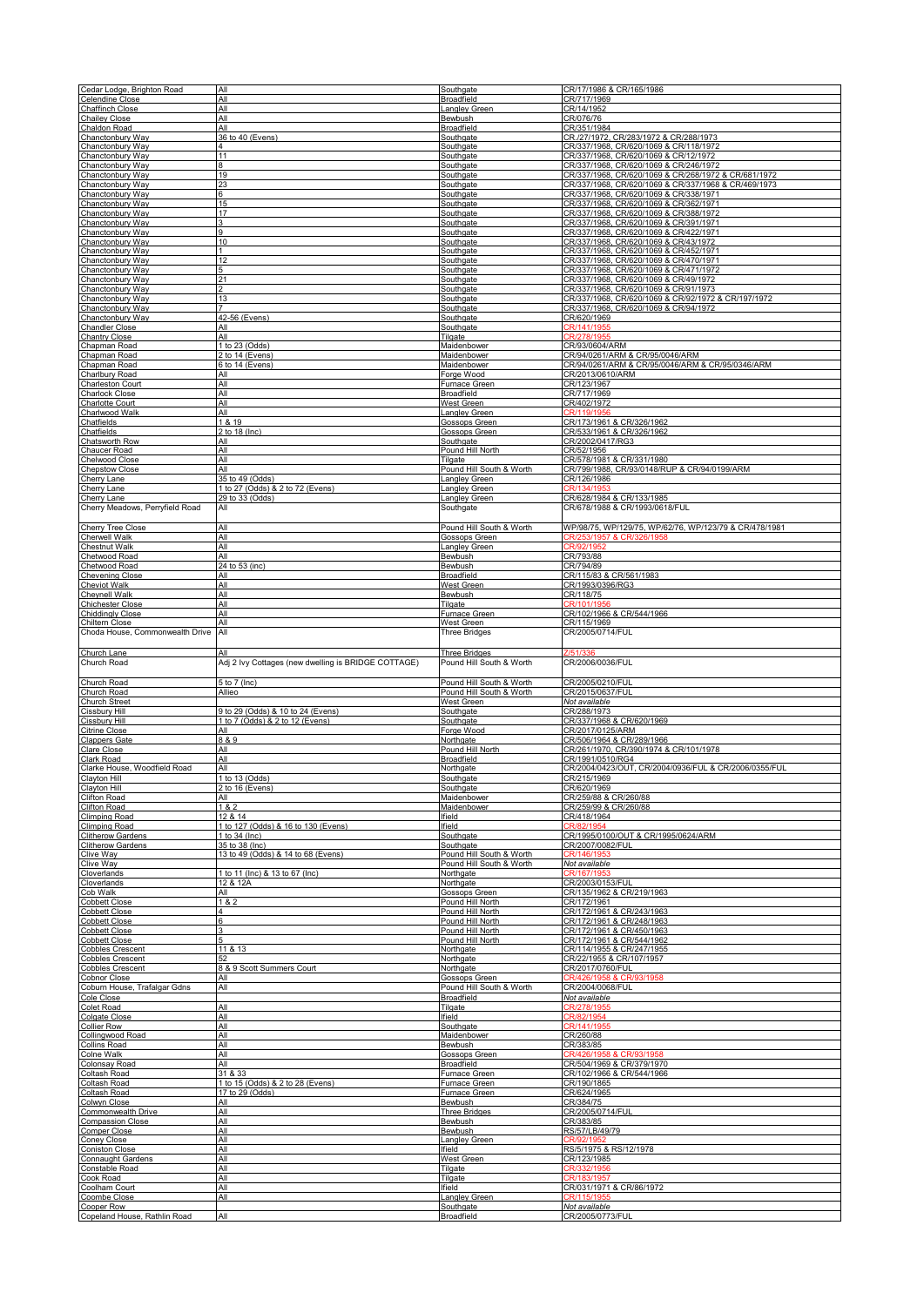| Cedar Lodge, Brighton Road                        | All                                                       | Southgate                                        | CR/17/1986 & CR/165/1986                                                                       |
|---------------------------------------------------|-----------------------------------------------------------|--------------------------------------------------|------------------------------------------------------------------------------------------------|
| <b>Celendine Close</b><br><b>Chaffinch Close</b>  | All<br><u>All</u>                                         | <b>Broadfield</b><br>Langley Green               | CR/717/1969<br>CR/14/1952                                                                      |
| <b>Chailey Close</b>                              | All                                                       | Bewbush                                          | CR/076/76                                                                                      |
| Chaldon Road                                      | All                                                       | <b>Broadfield</b>                                | CR/351/1984                                                                                    |
| Chanctonbury Way<br>Chanctonbury Way              | 36 to 40 (Evens)                                          | Southgate<br>Southgate                           | CR./27/1972, CR/283/1972 & CR/288/1973<br>CR/337/1968, CR/620/1069 & CR/118/1972               |
| Chanctonbury Way                                  | 11                                                        | Southgate                                        | CR/337/1968, CR/620/1069 & CR/12/1972                                                          |
| Chanctonbury Way<br>Chanctonbury Way              | 8<br>19                                                   | Southgate<br>Southgate                           | CR/337/1968, CR/620/1069 & CR/246/1972<br>CR/337/1968, CR/620/1069 & CR/268/1972 & CR/681/1972 |
| Chanctonbury Way                                  | 23                                                        | <u>Southqate</u>                                 | CR/337/1968, CR/620/1069 & CR/337/1968 & CR/469/1973                                           |
| Chanctonbury Way                                  | 6                                                         | <u>Southqate</u>                                 | CR/337/1968, CR/620/1069 & CR/338/1971                                                         |
| Chanctonbury Way<br><u>Chanctonbury Way</u>       | 15<br>17                                                  | Southgate<br><b>Southgate</b>                    | CR/337/1968, CR/620/1069 & CR/362/1971<br>CR/337/1968, CR/620/1069 & CR/388/1972               |
| <u>Chanctonbury Way</u>                           |                                                           | <u>Southgate</u>                                 | CR/337/1968.<br>CR/620/1069 & CR/391/1971                                                      |
| Chanctonbury Way<br>Chanctonbury Way              | 9<br>10                                                   | <b>Southgate</b><br><u>Southgate</u>             | CR/337/1968, CR/620/1069 & CR/422/1971<br>CR/337/1968, CR/620/1069 & CR/43/1972                |
| <u>Chanctonbury Way</u>                           | 1                                                         | <u>Southqate</u>                                 | CR/337/1968, CR/620/1069 & CR/452/1971                                                         |
| Chanctonbury Way<br><u>Chanctonbury Way</u>       | 12<br>5                                                   | Southgate<br>Southgate                           | CR/337/1968, CR/620/1069 & CR/470/1971<br>CR/337/1968, CR/620/1069 & CR/471/1972               |
| Chanctonbury Way                                  | 21                                                        | Southgate                                        | CR/337/1968, CR/620/1069 & CR/49/1972                                                          |
| Chanctonbury Way<br>Chanctonbury Way              | 13                                                        | Southgate                                        | CR/337/1968, CR/620/1069 & CR/91/1973<br>CR/337/1968, CR/620/1069 & CR/92/1972 & CR/197/1972   |
| <b>Chanctonbury Way</b>                           |                                                           | Southgate<br><u>Southqate</u>                    | CR/337/1968, CR/620/1069 & CR/94/1972                                                          |
| <b>Chanctonbury Way</b>                           | 42-56 (Evens)<br>All                                      | <u>Southqate</u>                                 | CR/620/1969                                                                                    |
| <b>Chandler Close</b><br><b>Chantry Close</b>     | All                                                       | Southgate<br>Tilgate                             | R/141/195                                                                                      |
| Chapman Road                                      | 1 to 23 (Odds)                                            | <u>Maidenbower</u>                               | CR/93/0604/ARM                                                                                 |
| Chapman Road<br>Chapman Road                      | 2 to 14 (Evens)<br>6 to 14 (Evens)                        | Maidenbower<br><u>Maidenbower</u>                | CR/94/0261/ARM & CR/95/0046/ARM<br>CR/94/0261/ARM & CR/95/0046/ARM & CR/95/0346/ARM            |
| Charlbury Road                                    | ail                                                       | Forge Wood                                       | CR/2013/0610/ARM                                                                               |
| <b>Charleston Court</b><br><b>Charlock Close</b>  | All<br>All                                                | Furnace Green<br><b>Broadfield</b>               | CR/123/1967<br>CR/717/1969                                                                     |
| <b>Charlotte Court</b>                            | All                                                       | <b>West Green</b>                                | CR/402/1972                                                                                    |
| Charlwood Walk                                    | All                                                       | <b>Langley Green</b>                             | CR/119/1956                                                                                    |
| Chatfields<br>Chatfields                          | 1 & 19<br>$2$ to 18 (Inc)                                 | <b>Gossops Green</b><br><u>Gossops Green</u>     | <u>CR/173/1961 &amp; CR/326/1962</u><br>CR/533/1961 & CR/326/1962                              |
| Chatsworth Row                                    | All                                                       | Southgate                                        | CR/2002/0417/RG3                                                                               |
| <u>Chaucer Road</u><br>Chelwood Close             | All<br>All                                                | Pound Hill North<br>Tilgate                      | CR/52/1956<br>CR/578/1981 & CR/331/1980                                                        |
| Chepstow Close                                    | All                                                       | Pound Hill South & Worth                         | CR/799/1988, CR/93/0148/RUP & CR/94/0199/ARM                                                   |
| Cherry Lane<br><u>Cherry Lane</u>                 | <u>35 to 49 (Odds</u><br>1 to 27 (Odds) & 2 to 72 (Evens) | <u>Langley Green</u><br><u>angley Green.</u>     | CR/126/1986                                                                                    |
| <u>Cherry Lane</u>                                | 29 to 33 (Odds                                            | Langley Green                                    | CR/628/1984 & CR/133/1985                                                                      |
| Cherry Meadows, Perryfield Road                   | All                                                       | Southgate                                        | CR/678/1988 & CR/1993/0618/FUL                                                                 |
| Cherry Tree Close                                 | All                                                       | Pound Hill South & Worth                         | WP/98/75, WP/129/75, WP/62/76, WP/123/79 & CR/478/1981                                         |
| <b>Cherwell Walk</b>                              | All                                                       | Gossops Green                                    | CR/253/1957 & CR/326/1958                                                                      |
| <b>Chestnut Walk</b><br>Chetwood Road             | All<br>All                                                | <b>Langley Green</b><br><b>Bewbush</b>           | CR/92/195:<br>CR/793/88                                                                        |
| <b>Chetwood Road</b>                              | 24 to 53 (inc)                                            | <b>Bewbush</b>                                   | CR/794/89                                                                                      |
| <b>Chevening Close</b>                            | All<br>All                                                | Broadfield                                       | CR/115/83 & CR/561/1983                                                                        |
| <b>Cheviot Walk</b><br><b>Cheynell Walk</b>       | All                                                       | West Green<br><b>Bewbush</b>                     | CR/1993/0396/RG3<br>CR/118/75                                                                  |
| <b>Chichester Close</b>                           | All                                                       | Tilgate                                          | CR/101/195                                                                                     |
| <b>Chiddingly Close</b><br><u> Chiltern Close</u> | All<br>All                                                | <u>Furnace Green</u><br>West Greer               | CR/102/1966 & CR/544/1966<br>CR/115/1969                                                       |
| Choda House, Commonwealth Drive                   | All                                                       | Three Bridges                                    | CR/2005/0714/FUL                                                                               |
|                                                   |                                                           |                                                  |                                                                                                |
|                                                   |                                                           |                                                  |                                                                                                |
| <u>Church Lane</u><br>Church Road                 | Adj 2 Ivy Cottages (new dwelling is BRIDGE COTTAGE)       | <u>Three Bridges</u><br>Pound Hill South & Worth | 751/336<br>CR/2006/0036/FUL                                                                    |
|                                                   |                                                           |                                                  |                                                                                                |
| <b>Church Road</b>                                | $\overline{5}$ to $\overline{7}$ (lnc)                    | Pound Hill South & Worth                         | CR/2005/0210/FU                                                                                |
| Church Road<br>Church Stree                       | Allieo                                                    | Pound Hill South & Worth<br>West Greer           | CR/2015/0637/FUL<br>Not available                                                              |
| <b>Cissbury Hil</b>                               | 9 to 29 (Odds) & 10 to 24 (Evens                          | <u>Southqate</u>                                 | CR/288/1973                                                                                    |
| <b>Cissbury Hill</b><br><b>Citrine Close</b>      | 1 to 7 (Odds) & 2 to 12 (Evens)<br>ΑIΙ                    | Southgate<br>Forge Wood                          | CR/337/1968 & CR/620/1969<br>CR/2017/0125/ARM                                                  |
| <b>Clappers Gat</b>                               | 8 & 9                                                     | <b>Northgate</b>                                 | CR/506/1964 & CR/289/1966                                                                      |
| <b>Clare Close</b>                                | All<br>All                                                | Pound Hill North                                 | CR/261/1970, CR/390/1974 & CR/101/1978<br>CR/1991/0510/RG4                                     |
| <b>Clark Road</b><br>Clarke House, Woodfield Road | All                                                       | <b>Broadfield</b><br>Northgate                   | CR/2004/0423/OUT, CR/2004/0936/FUL & CR/2006/0355/FUL                                          |
| Clayton Hill                                      | 1 to 13 (Odds)                                            | Southgate                                        | CR/215/1969                                                                                    |
| <b>Clayton Hill</b><br><b>Clifton Road</b>        | 2 to 16 (Evens)<br>All                                    | Southgate<br>Maidenbower                         | CR/620/1969<br>CR/259/88 & CR/260/88                                                           |
| <b>Clifton Road</b>                               | 1 & 2                                                     | Maidenbower                                      | CR/259/99 & CR/260/88                                                                          |
| <b>Climping Road</b><br><b>Climping Road</b>      | 12 & 14<br>1 to 127 (Odds) & 16 to 130 (Evens)            | lfield<br>lfield                                 | CR/418/1964<br>CR/82/1954                                                                      |
| <b>Clitherow Gardens</b>                          | 1 to 34 (Inc)                                             | Southgate                                        | CR/1995/0100/OUT & CR/1995/0624/ARM                                                            |
| <b>Clitherow Gardens</b><br>Clive Way             | 35 to 38 (Inc)<br>13 to 49 (Odds) & 14 to 68 (Evens)      | Southgate<br>Pound Hill South & Worth            | CR/2007/0082/FUL<br>CR/146/1953                                                                |
| Clive Way                                         |                                                           | Pound Hill South & Worth                         | Not available                                                                                  |
| Cloverlands<br>Cloverlands                        | 1 to 11 (Inc) & 13 to 67 (Inc)<br>12 & 12A                | Northgate<br>Northgate                           | CR/167/1953<br>CR/2003/0153/FUI                                                                |
| Cob Walk                                          | All                                                       | Gossops Green                                    | CR/135/1962 & CR/219/1963                                                                      |
| <b>Cobbett Close</b>                              | 182<br>4                                                  | Pound Hill North                                 | CR/172/1961                                                                                    |
| <b>Cobbett Close</b><br><b>Cobbett Close</b>      | 6                                                         | Pound Hill North<br>Pound Hill North             | CR/172/1961 & CR/243/1963<br>CR/172/1961 & CR/248/1963                                         |
| Cobbett Close                                     | 3<br>5                                                    | Pound Hill North                                 | CR/172/1961 & CR/450/1963                                                                      |
| <b>Cobbett Close</b><br><b>Cobbles Crescent</b>   | 11 & 13                                                   | Pound Hill North<br>Northgate                    | CR/172/1961 & CR/544/1962<br>CR/114/1955 & CR/247/1955                                         |
| <b>Cobbles Crescent</b>                           |                                                           | Northgate                                        | CR/22/1955 & CR/107/1957                                                                       |
| <b>Cobbles Crescent</b><br><b>Cobnor Close</b>    | 8 & 9 Scott Summers Court<br>All                          | Northgate<br>Gossops Green                       | CR/2017/0760/FUL<br>CR/426/1958 & CR/93/1958                                                   |
| Coburn House, Trafalgar Gdns                      | All                                                       | Pound Hill South & Worth                         | CR/2004/0068/FUL                                                                               |
| Cole Close                                        | All                                                       | <b>Broadfield</b>                                | Not available<br>CR/278/1955                                                                   |
| Colet Road<br><b>Colgate Close</b>                | All                                                       | Tilgate<br>lfield                                | CR/82/1954                                                                                     |
| <b>Collier Row</b>                                | All<br>All                                                | Southgate<br>Maidenbower                         | CR/141/1955                                                                                    |
| Collingwood Road<br><b>Collins Road</b>           | All                                                       | Bewbush                                          | CR/260/88<br>CR/383/85                                                                         |
| Colne Walk                                        | All                                                       | Gossops Green                                    | CR/426/1958 & CR/93/19:                                                                        |
| Colonsay Road<br>Coltash Road                     | All<br>31 & 33                                            | Broadfield<br>Furnace Green                      | CR/504/1969 & CR/379/1970<br>CR/102/1966 & CR/544/1966                                         |
| Coltash Road                                      | 1 to 15 (Odds) & 2 to 28 (Evens)                          | Furnace Green                                    | CR/190/1865                                                                                    |
| Coltash Road<br>Colwyn Close                      | 17 to 29 (Odds)<br>All                                    | Furnace Green<br>Bewbush                         | CR/624/1965<br>CR/384/75                                                                       |
| <b>Commonwealth Drive</b>                         | All                                                       | <b>Three Bridges</b>                             | CR/2005/0714/FUL                                                                               |
| <b>Compassion Close</b>                           | All<br>All                                                | Bewbush<br>Bewbush                               | CR/383/85<br>RS/57/LB/49/79                                                                    |
| Comper Close<br>Coney Close                       | All                                                       | Langley Green                                    |                                                                                                |
| <b>Coniston Close</b>                             | All                                                       | Ifield                                           | RS/5/1975 & RS/12/1978                                                                         |
| <b>Connaught Gardens</b><br>Constable Road        | All<br>All                                                | West Green<br>Tilgate                            | CR/123/1985                                                                                    |
| Cook Road                                         | All                                                       | Tilgate                                          | CR/183/1951                                                                                    |
| Coolham Court<br>Coombe Close                     | All<br>All                                                | Ifield                                           | CR/031/1971 & CR/86/1972<br>CR/115/1955                                                        |
| Cooper Row<br>Copeland House, Rathlin Road        | All                                                       | Langley Green<br>Southgate<br>Broadfield         | Not available<br>CR/2005/0773/FUL                                                              |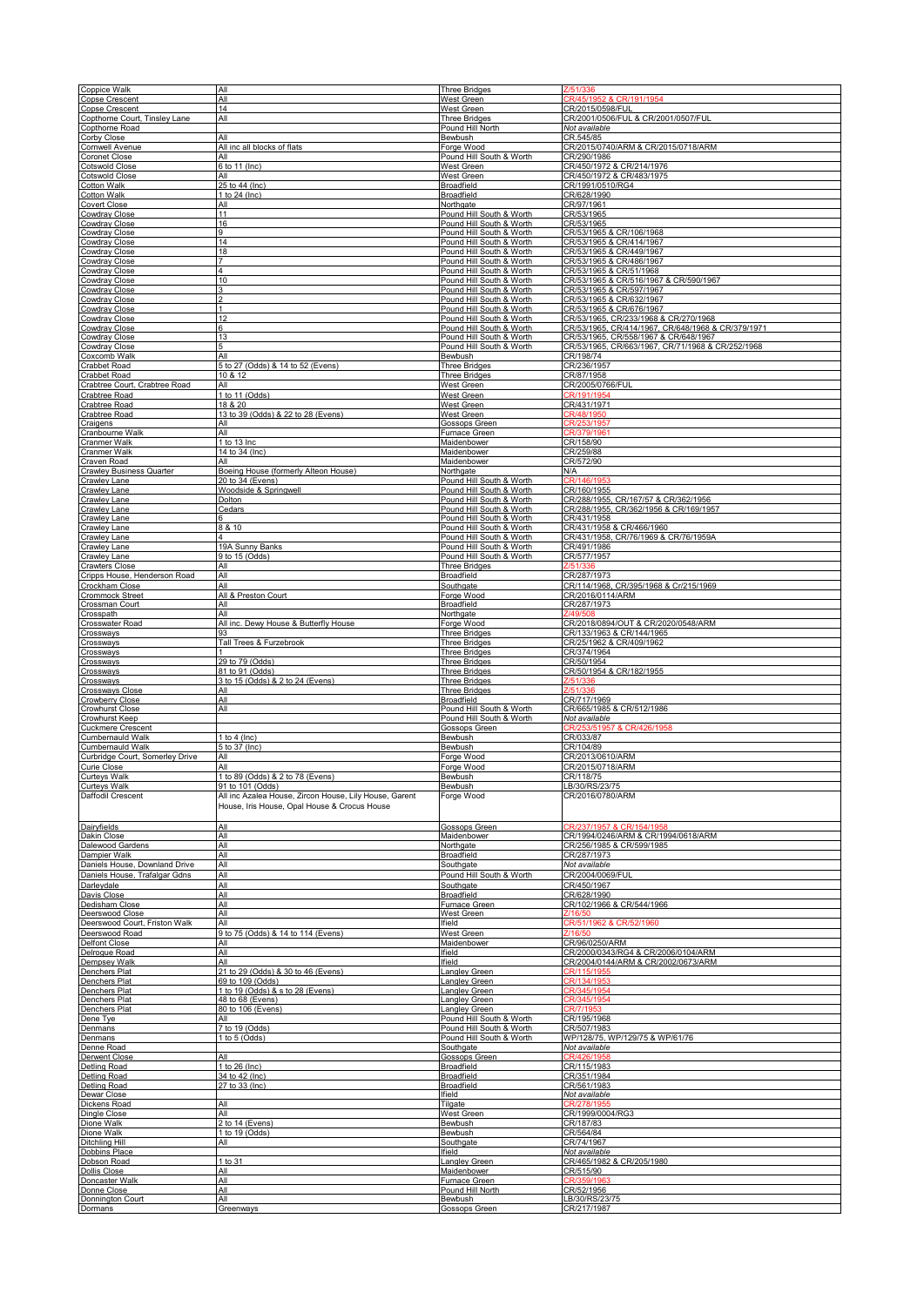|                                                                | All<br>All                                                                 | <b>Three Bridges</b><br>West Green                   | Z/51/336                                                                                   |
|----------------------------------------------------------------|----------------------------------------------------------------------------|------------------------------------------------------|--------------------------------------------------------------------------------------------|
| <b>Copse Crescent</b><br><b>Copse Crescent</b>                 | 14                                                                         | West Green                                           | CR/45/1952 & CR/191/1954<br>CR/2015/0598/FUL                                               |
| Copthorne Court, Tinsley Lane                                  | All                                                                        | <b>Three Bridges</b>                                 | CR/2001/0506/FUL & CR/2001/0507/FUL                                                        |
| Copthorne Road                                                 | All                                                                        | Pound Hill North                                     | Not available<br>CR.545/85                                                                 |
| Corby Close<br><b>Cornwell Avenue</b>                          | All inc all blocks of flats                                                | Bewbush<br>Forge Wood                                | CR/2015/0740/ARM & CR/2015/0718/ARM                                                        |
| Coronet Close                                                  | All                                                                        | Pound Hill South & Worth                             | CR/290/1986                                                                                |
| <b>Cotswold Close</b><br><b>Cotswold Close</b>                 | 6 to 11 (Inc)<br>All                                                       | West Green<br>West Green                             | CR/450/1972 & CR/214/1976<br>CR/450/1972 & CR/483/1975                                     |
| <b>Cotton Walk</b>                                             | 25 to 44 (Inc)                                                             | <b>Broadfield</b>                                    | CR/1991/0510/RG4                                                                           |
| Cotton Walk                                                    | 1 to 24 (Inc)                                                              | <b>Broadfield</b>                                    | CR/628/1990                                                                                |
| <b>Covert Close</b><br><b>Cowdray Close</b>                    | All<br>11                                                                  | Northgate<br>Pound Hill South & Worth                | CR/97/1961<br>CR/53/1965                                                                   |
| <b>Cowdray Close</b>                                           | 16                                                                         | Pound Hill South & Worth                             | CR/53/1965                                                                                 |
| Cowdray Close<br>Cowdray Close                                 | 9<br>14                                                                    | Pound Hill South & Worth<br>Pound Hill South & Worth | CR/53/1965 & CR/106/1968<br>CR/53/1965 & CR/414/1967                                       |
| <b>Cowdray Close</b>                                           | 18                                                                         | Pound Hill South & Worth                             | CR/53/1965 & CR/449/1967                                                                   |
| Cowdray Close                                                  | 7                                                                          | Pound Hill South & Worth                             | CR/53/1965 & CR/486/1967                                                                   |
| <b>Cowdray Close</b><br><b>Cowdray Close</b>                   | 4<br>10                                                                    | Pound Hill South & Worth<br>Pound Hill South & Worth | CR/53/1965 & CR/51/1968<br>CR/53/1965 & CR/516/1967 & CR/590/1967                          |
| <b>Cowdray Close</b>                                           |                                                                            | Pound Hill South & Worth                             | CR/53/1965 & CR/597/1967                                                                   |
| <b>Cowdray Close</b>                                           |                                                                            | Pound Hill South & Worth<br>Pound Hill South & Worth | CR/53/1965 & CR/632/1967<br>CR/53/1965 & CR/676/1967                                       |
| <b>Cowdray Close</b><br><b>Cowdray Close</b>                   | 12                                                                         | Pound Hill South & Worth                             | CR/53/1965, CR/233/1968 & CR/270/1968                                                      |
| <b>Cowdray Close</b>                                           | հ                                                                          | Pound Hill South & Worth                             | CR/53/1965, CR/414/1967, CR/648/1968 & CR/379/1971                                         |
| <b>Cowdray Close</b><br>Cowdray Close                          | 13<br>5                                                                    | Pound Hill South & Worth<br>Pound Hill South & Worth | CR/53/1965, CR/558/1967 & CR/648/1967<br>CR/53/1965, CR/663/1967, CR/71/1968 & CR/252/1968 |
| Coxcomb Walk                                                   | All                                                                        | Bewbush                                              | CR/198/74                                                                                  |
| <b>Crabbet Road</b>                                            | 5 to 27 (Odds) & 14 to 52 (Evens)                                          | <b>Three Bridges</b>                                 | CR/236/1957                                                                                |
| Crabbet Road<br>Crabtree Court, Crabtree Road                  | 10 & 12<br>All                                                             | Three Bridges<br>West Green                          | CR/87/1958<br>CR/2005/0766/FUL                                                             |
| Crabtree Road                                                  | 1 to 11 (Odds)                                                             | West Green                                           | CR/191/1954                                                                                |
| <b>Crabtree Road</b>                                           | 18 & 20                                                                    | West Green                                           | CR/431/1971<br><b>R/48</b>                                                                 |
| <b>Crabtree Road</b><br>Craigens                               | 13 to 39 (Odds) & 22 to 28 (Evens)<br>All                                  | West Green<br>Gossops Green                          | <b>R/2</b>                                                                                 |
| Cranbourne Walk                                                | All                                                                        | <b>Furnace Green</b>                                 | CR/379/196                                                                                 |
| <b>Cranmer Walk</b><br><b>Cranmer Walk</b>                     | 1 to 13 Inc<br>14 to 34 (Inc)                                              | Maidenbower<br>Maidenbower                           | CR/158/90<br>CR/259/88                                                                     |
| Craven Road                                                    | All                                                                        | Maidenbower                                          | CR/572/90                                                                                  |
| <b>Crawley Business Quarter</b><br>Crawley Lane                | Boeing House (formerly Alteon House)<br>20 to 34 (Evens)                   | Northgate<br>Pound Hill South & Worth                | N/A                                                                                        |
| Crawley Lane                                                   | Woodside & Springwell                                                      | Pound Hill South & Worth                             | CR/160/1955                                                                                |
| Crawley Lane                                                   | Dolton                                                                     | Pound Hill South & Worth                             | CR/288/1955, CR/167/57 & CR/362/1956                                                       |
| Crawley Lane<br>Crawley Lane                                   | Cedars                                                                     | Pound Hill South & Worth<br>Pound Hill South & Worth | CR/288/1955, CR/362/1956 & CR/169/1957<br>CR/431/1958                                      |
| Crawley Lane                                                   | 8 & 10                                                                     | Pound Hill South & Worth                             | CR/431/1958 & CR/466/1960                                                                  |
| Crawley Lane                                                   | 19A Sunny Banks                                                            | Pound Hill South & Worth<br>Pound Hill South & Worth | CR/431/1958, CR/76/1969 & CR/76/1959A<br>CR/491/1986                                       |
| Crawley Lane<br><b>Crawley Lane</b>                            | 9 to 15 (Odds)                                                             | Pound Hill South & Worth                             | CR/577/1957                                                                                |
| <b>Crawters Close</b>                                          | All                                                                        | <b>Three Bridges</b>                                 | 751/336                                                                                    |
| Cripps House, Henderson Road<br>Crockham Close                 | All<br>All                                                                 | Broadfield<br>Southgate                              | CR/287/1973<br>CR/114/1968, CR/395/1968 & Cr/215/1969                                      |
| Crommock Street                                                | All & Preston Court                                                        | Forge Wood                                           | CR/2016/0114/ARM                                                                           |
| <b>Crossman Court</b>                                          | All<br>All                                                                 | Broadfield                                           | CR/287/1973                                                                                |
| Crosspath<br>Crosswater Road                                   | All inc. Dewy House & Butterfly House                                      | Northgate<br>Forge Wood                              | CR/2018/0894/OUT & CR/2020/0548/ARM                                                        |
| Crossways                                                      | qз                                                                         | <b>Three Bridges</b>                                 | CR/133/1963 & CR/144/1965                                                                  |
| Crossways<br>Crossways                                         | Tall Trees & Furzebrook                                                    | <b>Three Bridges</b><br><b>Three Bridges</b>         | CR/25/1962 & CR/409/1962<br>CR/374/1964                                                    |
| Crossways                                                      | 29 to 79 (Odds)                                                            | <b>Three Bridges</b>                                 | CR/50/1954                                                                                 |
| Crossways                                                      | 81 to 91 (Odds)                                                            | <b>Three Bridges</b>                                 | CR/50/1954 & CR/182/1955                                                                   |
|                                                                |                                                                            |                                                      |                                                                                            |
| Crossways                                                      | 3 to 15 (Odds) & 2 to 24 (Evens)                                           | <b>Three Bridges</b>                                 |                                                                                            |
| <b>Crossways Close</b><br><b>Crowberry Close</b>               | All<br>All                                                                 | <b>Three Bridges</b><br>Broadfield                   | CR/717/1969                                                                                |
| <b>Crowhurst Close</b>                                         | All                                                                        | Pound Hill South & Worth                             | CR/665/1985 & CR/512/1986                                                                  |
| Crowhurst Keep<br><b>Cuckmere Crescent</b>                     |                                                                            | Pound Hill South & Worth<br><b>Gossops Green</b>     | Not available<br>CR/253/51957 & CR/426/1958                                                |
| <b>Cumbernauld Walk</b>                                        | 1 to 4 ( $ nc\rangle$                                                      | Bewbush                                              | CR/033/87                                                                                  |
| Cumbernauld Walk                                               | 5 to 37 (Inc)                                                              | Bewbush                                              | CR/104/89                                                                                  |
| Curbridge Court, Somerley Drive<br>Curie Close                 | All<br>All                                                                 | Forge Wood<br>Forge Wood                             | CR/2013/0610/ARM<br>CR/2015/0718/ARM                                                       |
| <b>Curteys Walk</b>                                            | 1 to 89 (Odds) & 2 to 78 (Evens)                                           | Bewbush                                              | CR/118/75                                                                                  |
| Curteys Walk<br>Daffodil Crescent                              | 91 to 101 (Odds)<br>All inc Azalea House, Zircon House, Lily House, Garent | Bewbush<br>Forge Wood                                | <u>B/30/RS/23/75</u><br>CR/2016/0780/ARM                                                   |
|                                                                | House, Iris House, Opal House & Crocus House                               |                                                      |                                                                                            |
|                                                                |                                                                            |                                                      |                                                                                            |
| Dairyfields<br>Dakin Close                                     | All<br>All                                                                 | <b>Gossops Green</b><br>Maidenbower                  | CR/237/1957 & CR/154/1958<br>CR/1994/0246/ARM & CR/1994/0618/ARM                           |
| Dalewood Gardens                                               | All                                                                        | Northgate                                            | CR/256/1985 & CR/599/1985                                                                  |
| Dampier Walk                                                   | All                                                                        | <b>Broadfield</b>                                    | CR/287/1973                                                                                |
| Daniels House, Downland Drive<br>Daniels House, Trafalgar Gdns | All<br>All                                                                 | Southgate<br>Pound Hill South & Worth                | Not available<br>CR/2004/0069/FUL                                                          |
| Darleydale                                                     | All                                                                        | Southgate                                            | CR/450/1967                                                                                |
| Davis Close                                                    | All                                                                        | <b>Broadfield</b>                                    | CR/628/1990                                                                                |
| Dedisham Close<br>Deerswood Close                              | All<br>All                                                                 | Furnace Green<br>West Green                          | CR/102/1966 & CR/544/1966<br>716/50                                                        |
| Deerswood Court, Friston Walk                                  | All                                                                        | Ifield                                               | CR/51/1962 & CR/52/1960                                                                    |
| Deerswood Road                                                 | 9 to 75 (Odds) & 14 to 114 (Evens)<br>All                                  | West Green<br>Maidenbower                            | 2/16/50                                                                                    |
| <b>Delfont Close</b><br>Delrogue Road                          | All                                                                        | Ifield                                               | CR/96/0250/ARM<br>CR/2000/0343/RG4 & CR/2006/0104/ARM                                      |
| Dempsey Walk                                                   | All                                                                        | Ifield                                               | CR/2004/0144/ARM & CR/2002/0673/ARM                                                        |
| Denchers Plat<br>Denchers Plat                                 | 21 to 29 (Odds) & 30 to 46 (Evens)<br>69 to 109 (Odds)                     | Langley Green<br>Langley Green                       | CR/115/195<br>CR/134/1953                                                                  |
| Denchers Plat                                                  | 1 to 19 (Odds) & s to 28 (Evens)                                           | angley Green                                         | CR/345/1954                                                                                |
| <b>Denchers Plat</b>                                           | 48 to 68 (Evens)                                                           | angley Green                                         | CR/345/1954<br>CR/7/1953                                                                   |
| Denchers Plat<br>Dene Tye                                      | 80 to 106 (Evens)<br>AΙΙ                                                   | Langley Green<br>Pound Hill South & Worth            | CR/195/1968                                                                                |
| Denmans                                                        | 7 to 19 (Odds)                                                             | Pound Hill South & Worth                             | CR/507/1983                                                                                |
| Denmans<br>Denne Road                                          | 1 to 5 (Odds)                                                              | Pound Hill South & Worth<br>Southgate                | WP/128/75, WP/129/75 & WP/61/76<br>Not available                                           |
| <b>Derwent Close</b>                                           | All                                                                        | <b>Gossops Green</b>                                 | CR/426/195                                                                                 |
| Detling Road<br>Detling Road                                   | 1 to 26 (Inc)                                                              | Broadfield<br><b>Broadfield</b>                      | CR/115/1983                                                                                |
| Detling Road                                                   | 34 to 42 (Inc)<br>27 to 33 (Inc)                                           | <b>Broadfield</b>                                    | CR/351/1984<br>CR/561/1983                                                                 |
| Dewar Close                                                    |                                                                            | Ifield                                               | Not available                                                                              |
| <b>Dickens Road</b><br><b>Dingle Close</b>                     | All<br>All                                                                 | Tilgate<br>West Green                                | CR/278/195<br>CR/1999/0004/RG3                                                             |
| Dione Walk                                                     | 2 to 14 (Evens)                                                            | Bewbush                                              | CR/187/83                                                                                  |
| Dione Walk                                                     | 1 to 19 (Odds)<br>All                                                      | Bewbush                                              | CR/564/84                                                                                  |
| <b>Ditchling Hill</b><br><b>Dobbins Place</b>                  |                                                                            | Southgate<br>Ifield                                  | CR/74/1967<br>Not available                                                                |
| Dobson Road                                                    | 1 to 31                                                                    | Langley Green                                        | CR/465/1982 & CR/205/1980                                                                  |
| <b>Dollis Close</b><br>Doncaster Walk                          | All<br>All                                                                 | Maidenbower<br>Furnace Green                         | CR/515/90<br>CR/359/1963                                                                   |
| Donne Close                                                    | All                                                                        | Pound Hill North                                     | CR/52/1956                                                                                 |
| Donnington Court<br>Dormans                                    | All<br>Greenways                                                           | Bewbush<br><b>Gossops Green</b>                      | LB/30/RS/23/75<br>CR/217/1987                                                              |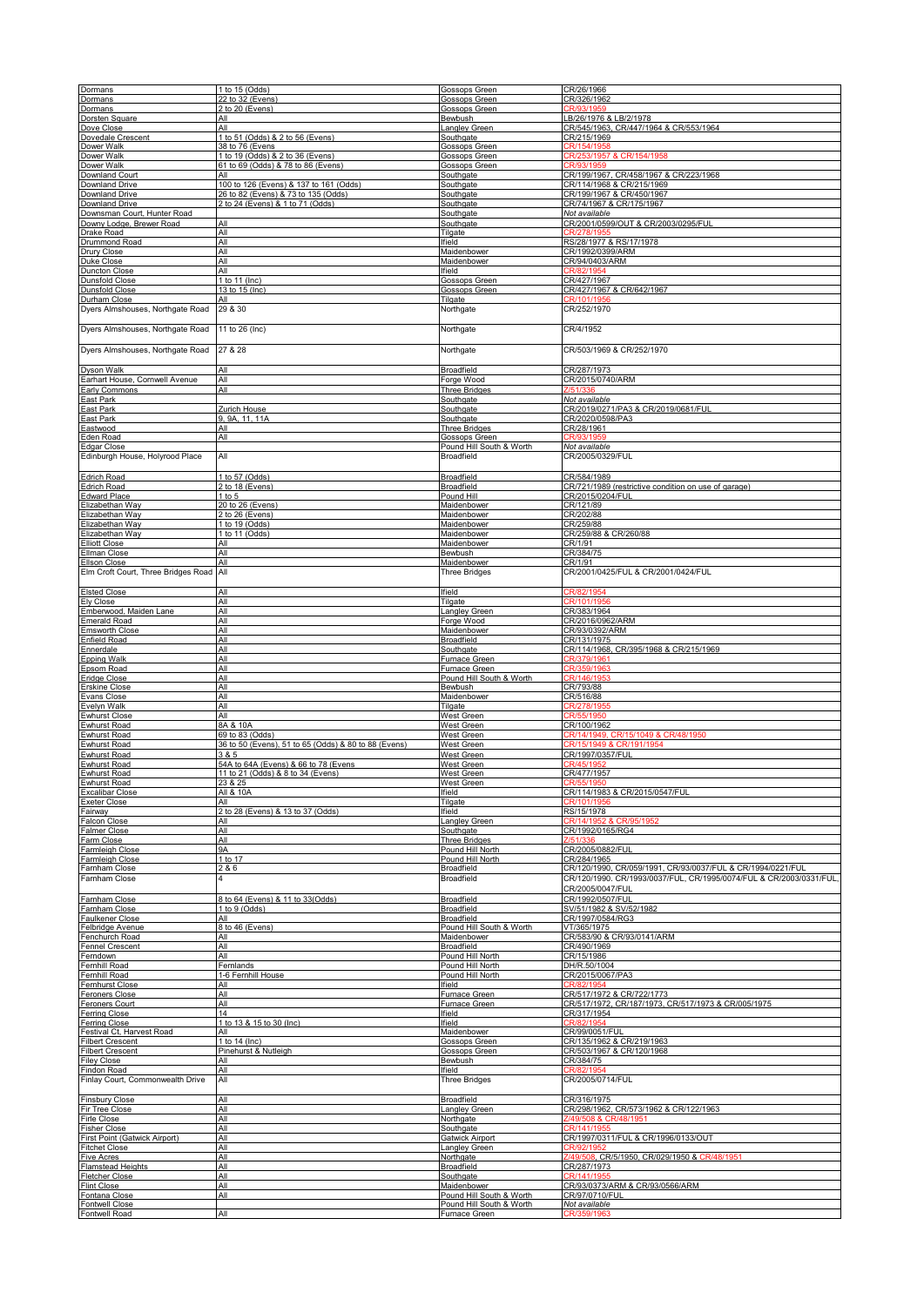| Dormans<br>Dormans                                      | 1 to 15 (Odds)<br>22 to 32 (Evens)                                            | Gossops Green<br><b>Gossops Green</b>        | CR/26/1966<br>CR/326/1962                                                  |
|---------------------------------------------------------|-------------------------------------------------------------------------------|----------------------------------------------|----------------------------------------------------------------------------|
| Dormans                                                 | 2 to 20 (Evens)                                                               | <b>Gossops Green</b>                         | CR/93/1959                                                                 |
| Dorsten Square                                          | All                                                                           | Bewbush                                      | LB/26/1976 & LB/2/1978<br>CR/545/1963, CR/447/1964 & CR/553/1964           |
| Dove Close<br>Dovedale Crescent                         | All<br>1 to 51 (Odds) & 2 to 56 (Evens)                                       | Langley Green<br>Southgate                   | CR/215/1969                                                                |
| Dower Walk                                              | 38 to 76 (Evens                                                               | Gossops Green                                | CR/154/1958                                                                |
| Dower Walk<br>Dower Walk                                | 1 to 19 (Odds) & 2 to 36 (Evens)<br>61 to 69 (Odds) & 78 to 86 (Evens)        | Gossops Green<br>Gossops Green               | 154/195                                                                    |
| Downland Court                                          | All                                                                           | Southgate<br>Southgate                       | CR/199/1967, CR/458/1967 & CR/223/1968<br>CR/114/1968 & CR/215/1969        |
| <b>Downland Drive</b><br><b>Downland Drive</b>          | 100 to 126 (Evens) & 137 to 161 (Odds)<br>26 to 82 (Evens) & 73 to 135 (Odds) | Southgate                                    | CR/199/1967 & CR/450/1967                                                  |
| <b>Downland Drive</b>                                   | 2 to 24 (Evens) & 1 to 71 (Odds)                                              | Southgate                                    | CR/74/1967 & CR/175/1967                                                   |
| Downsman Court, Hunter Road<br>Downy Lodge, Brewer Road | All                                                                           | Southgate<br>Southgate                       | Not available<br>CR/2001/0599/OUT & CR/2003/0295/FUL                       |
| Drake Road                                              | All                                                                           | Tilgate                                      | CR/278/1955                                                                |
| Drummond Road<br>Drury Close                            | All<br>All                                                                    | Ifield<br>Maidenbower                        | RS/28/1977 & RS/17/1978<br>CR/1992/0399/ARM                                |
| Duke Close                                              | All                                                                           | Maidenbower                                  | CR/94/0403/ARM                                                             |
| Duncton Close<br>Dunsfold Close                         | All<br>1 to 11 (Inc)                                                          | Ifield<br>Gossops Green                      | CR/82/1954<br>CR/427/1967                                                  |
| Dunsfold Close                                          | 13 to 15 (Inc)                                                                | Gossops Green                                | CR/427/1967 & CR/642/1967                                                  |
| Durham Close<br>Dyers Almshouses, Northgate Road        | All<br>29 & 30                                                                | Tilgate<br>Northgate                         | CR/101/195<br>CR/252/1970                                                  |
|                                                         |                                                                               |                                              |                                                                            |
| Dyers Almshouses, Northgate Road                        | 11 to 26 (Inc)                                                                | Northgate                                    | CR/4/1952                                                                  |
| Dyers Almshouses, Northgate Road                        | 27 & 28                                                                       | Northgate                                    | CR/503/1969 & CR/252/1970                                                  |
|                                                         |                                                                               |                                              | CR/287/1973                                                                |
| Dyson Walk<br>Earhart House, Cornwell Avenue            | All<br>All                                                                    | <b>Broadfield</b><br>Forge Wood              | CR/2015/0740/ARM                                                           |
| Early Commons                                           | All                                                                           | <b>Three Bridges</b>                         |                                                                            |
| East Park<br>East Park                                  | Zurich House                                                                  | Southgate<br>Southgate                       | Not available<br>CR/2019/0271/PA3 & CR/2019/0681/FUL                       |
| East Park                                               | 9, 9A, 11, 11A                                                                | Southgate                                    | CR/2020/0598/PA3                                                           |
| Eastwood<br>Eden Road                                   | All<br>All                                                                    | <b>Three Bridges</b><br>Gossops Green        | CR/28/1961<br>CR/93/1959                                                   |
| Edgar Close                                             |                                                                               | Pound Hill South & Worth                     | Not available                                                              |
| Edinburgh House, Holyrood Place                         | All                                                                           | <b>Broadfield</b>                            | CR/2005/0329/FUL                                                           |
| <b>Edrich Road</b>                                      | 1 to 57 (Odds                                                                 | <b>Broadfield</b>                            | CR/584/1989                                                                |
| <b>Edrich Road</b><br>Edward Place                      | 2 to 18 (Evens)<br>1 to 5                                                     | <b>Broadfield</b><br>Pound Hil               | CR/721/1989 (restrictive condition on use of garage)<br>CR/2015/0204/FUI   |
| Elizabethan Way                                         | 20 to 26 (Evens)                                                              | Maidenbower                                  | CR/121/89                                                                  |
| Elizabethan Way<br>Elizabethan Way                      | 2 to 26 (Evens)<br>1 to 19 (Odds)                                             | Maidenbower<br>Maidenbower                   | CR/202/88<br>CR/259/88                                                     |
| Elizabethan Way                                         | 1 to 11 (Odds)                                                                | Maidenbower                                  | CR/259/88 & CR/260/88                                                      |
| <b>Elliott Close</b><br><b>Ellman Close</b>             | All<br>All                                                                    | Maidenbower<br>Bewbush                       | CR/1/91<br>CR/384/75                                                       |
| Ellson Close                                            | All                                                                           | Maidenbower                                  | CR/1/91                                                                    |
| Elm Croft Court, Three Bridges Road All                 |                                                                               | <b>Three Bridges</b>                         | CR/2001/0425/FUL & CR/2001/0424/FUL                                        |
| <b>Elsted Close</b>                                     | All                                                                           | Ifield                                       | CR/82/1954                                                                 |
| Ely Close                                               | All                                                                           | Tilgate                                      | CR/101/195                                                                 |
| Emberwood, Maiden Lane<br>Emerald Road                  | All<br>All                                                                    | <b>Langley Green</b><br>Forge Wood           | CR/383/1964<br>CR/2016/0962/ARM                                            |
| <b>Emsworth Close</b>                                   | All                                                                           | Maidenbower                                  | CR/93/0392/ARM                                                             |
| Enfield Road<br>Ennerdale                               | All<br>All                                                                    | <b>Broadfield</b><br>Southgate               | CR/131/1975<br>CR/114/1968, CR/395/1968 & CR/215/1969                      |
| <b>Epping Walk</b>                                      | All                                                                           | Furnace Green                                |                                                                            |
| Epsom Road<br>Eridge Close                              | All<br>All                                                                    | Furnace Green<br>Pound Hill South & Worth    | CR/146                                                                     |
| Erskine Close<br>Evans Close                            | All<br>All                                                                    | Bewbush<br>Maidenbower                       | CR/793/88<br>CR/516/88                                                     |
| Evelyn Walk                                             | All                                                                           | Tilgate                                      | <b>CR/278/195</b>                                                          |
| Ewhurst Close                                           | All<br>8A & 10A                                                               | West Green                                   |                                                                            |
| Ewhurst Road<br>Ewhurst Road                            | 69 to 83 (Odds)                                                               | <b>West Green</b><br><b>West Green</b>       | CR/100/1962<br>CR/14/1949, CR/15/1049 & CR/48/1950                         |
| Ewhurst Road                                            | 36 to 50 (Evens), 51 to 65 (Odds) & 80 to 88 (Evens)                          | West Green                                   | CR/15/1949 & CR/191/1954                                                   |
| Ewhurst Road<br><b>Ewhurst Road</b>                     | 3 & 5<br>54A to 64A (Evens) & 66 to 78 (Evens                                 | West Green<br><b>West Green</b>              | CR/1997/0357/FUL<br>CR/45/1952                                             |
| <b>Ewhurst Road</b>                                     | 11 to 21 (Odds) & 8 to 34 (Evens)                                             | <b>West Green</b>                            | CR/477/1957                                                                |
| <b>Ewhurst Road</b><br><b>Excalibar Close</b>           | 23 & 25<br>All & 10A                                                          | West Green<br>Ifield                         | CR/114/1983 & CR/2015/0547/FUL                                             |
| <b>Exeter Close</b>                                     | All                                                                           | Tilgate                                      | CR/101/1956                                                                |
| Fairway<br><b>Falcon Close</b>                          | 2 to 28 (Evens) & 13 to 37 (Odds)<br>All                                      | Ifield<br><b>Langley Green</b>               | RS/15/1978<br>CR/14/1952 & CR/95/1952                                      |
| Falmer Close<br>Farm Close                              | All<br>All                                                                    | Southgate<br><b>Three Bridges</b>            | CR/1992/0165/RG4<br>Z/51/336                                               |
| Farmleigh Close                                         | <b>9A</b>                                                                     | Pound Hill North                             | CR/2005/0882/FUL                                                           |
| Farmleigh Close                                         | $1$ to 17                                                                     | Pound Hill North                             | CR/284/1965<br>CR/120/1990, CR/059/1991, CR/93/0037/FUL & CR/1994/0221/FUL |
| Farnham Close<br>Farnham Close                          | 2 & 6<br>4                                                                    | Broadfield<br><b>Broadfield</b>              | CR/120/1990. CR/1993/0037/FUL, CR/1995/0074/FUL & CR/2003/0331/FUL,        |
|                                                         |                                                                               |                                              | CR/2005/0047/FUL                                                           |
| Famham Close<br>Farnham Close                           | 8 to 64 (Evens) & 11 to 33 (Odds)<br>1 to 9 (Odds)                            | <b>Broadfield</b><br><b>Broadfield</b>       | CR/1992/0507/FUL<br>SV/51/1982 & SV/52/1982                                |
| <b>Faulkener Close</b>                                  | All                                                                           | <b>Broadfield</b>                            | CR/1997/0584/RG3                                                           |
| Felbridge Avenue<br>Fenchurch Road                      | 8 to 46 (Evens)<br>All                                                        | Pound Hill South & Worth<br>Maidenbower      | VT/365/1975<br>CR/583/90 & CR/93/0141/ARM                                  |
| Fennel Crescent                                         | All                                                                           | <b>Broadfield</b>                            | CR/490/1969                                                                |
| Ferndown<br>Fernhill Road                               | All<br>Fernlands                                                              | Pound Hill North<br>Pound Hill North         | CR/15/1986<br>DH/R.50/1004                                                 |
| Fernhill Road                                           | 1-6 Fernhill House                                                            | Pound Hill North                             | CR/2015/0067/PA3                                                           |
| Fernhurst Close<br>Feroners Close                       | All<br>All                                                                    | Ifield<br>Furnace Green                      | CR/517/1972 & CR/722/1773                                                  |
| Feroners Court                                          | All                                                                           | Furnace Green                                | CR/517/1972, CR/187/1973, CR/517/1973 & CR/005/1975                        |
| Ferring Close<br>Ferring Close                          | 14<br>1 to 13 & 15 to 30 (Inc)                                                | Ifield<br>Ifield                             | CR/317/1954<br>CR/82/1954                                                  |
| Festival Ct, Harvest Road                               | All                                                                           | Maidenbower                                  | CR/99/0051/FUL                                                             |
| <b>Filbert Crescent</b><br><b>Filbert Crescent</b>      | 1 to 14 (Inc)<br>Pinehurst & Nutleigh                                         | <b>Gossops Green</b><br><b>Gossops Green</b> | CR/135/1962 & CR/219/1963<br>CR/503/1967 & CR/120/1968                     |
| Filey Close                                             | All                                                                           | Bewbush                                      | CR/384/75                                                                  |
| Findon Road<br>Finlay Court, Commonwealth Drive         | All<br>All                                                                    | Ifield<br><b>Three Bridges</b>               | CR/82/1954<br>CR/2005/0714/FUL                                             |
|                                                         |                                                                               |                                              |                                                                            |
| <b>Finsbury Close</b><br>Fir Tree Close                 | All<br>All                                                                    | <b>Broadfield</b><br>Langley Green           | CR/316/1975<br>CR/298/1962, CR/573/1962 & CR/122/1963                      |
| Firle Close                                             | All                                                                           | Northgate                                    | Z/49/508 & CR/48/1951                                                      |
| <b>Fisher Close</b><br>First Point (Gatwick Airport)    | All<br>All                                                                    | Southgate<br><b>Gatwick Airport</b>          | CR/141/1955<br>CR/1997/0311/FUL & CR/1996/0133/OUT                         |
| <b>Fitchet Close</b>                                    | All                                                                           | <b>Langley Green</b>                         |                                                                            |
| <b>Five Acres</b><br><b>Flamstead Heights</b>           | All<br>All                                                                    | Northgate<br>Broadfield                      | 7/49/<br>CR/5/1950, CR/029/1950 & CR/48/1951<br>CR/287/1973                |
| <b>Fletcher Close</b>                                   | All                                                                           | Southgate                                    | CR/141/1955                                                                |
| Flint Close<br>Fontana Close                            | All<br>All                                                                    | Maidenbower<br>Pound Hill South & Worth      | CR/93/0373/ARM & CR/93/0566/ARM<br>CR/97/0710/FUL                          |
| Fontwell Close                                          |                                                                               | Pound Hill South & Worth                     | Not available                                                              |
| <b>Fontwell Road</b>                                    | All                                                                           | Furnace Green                                |                                                                            |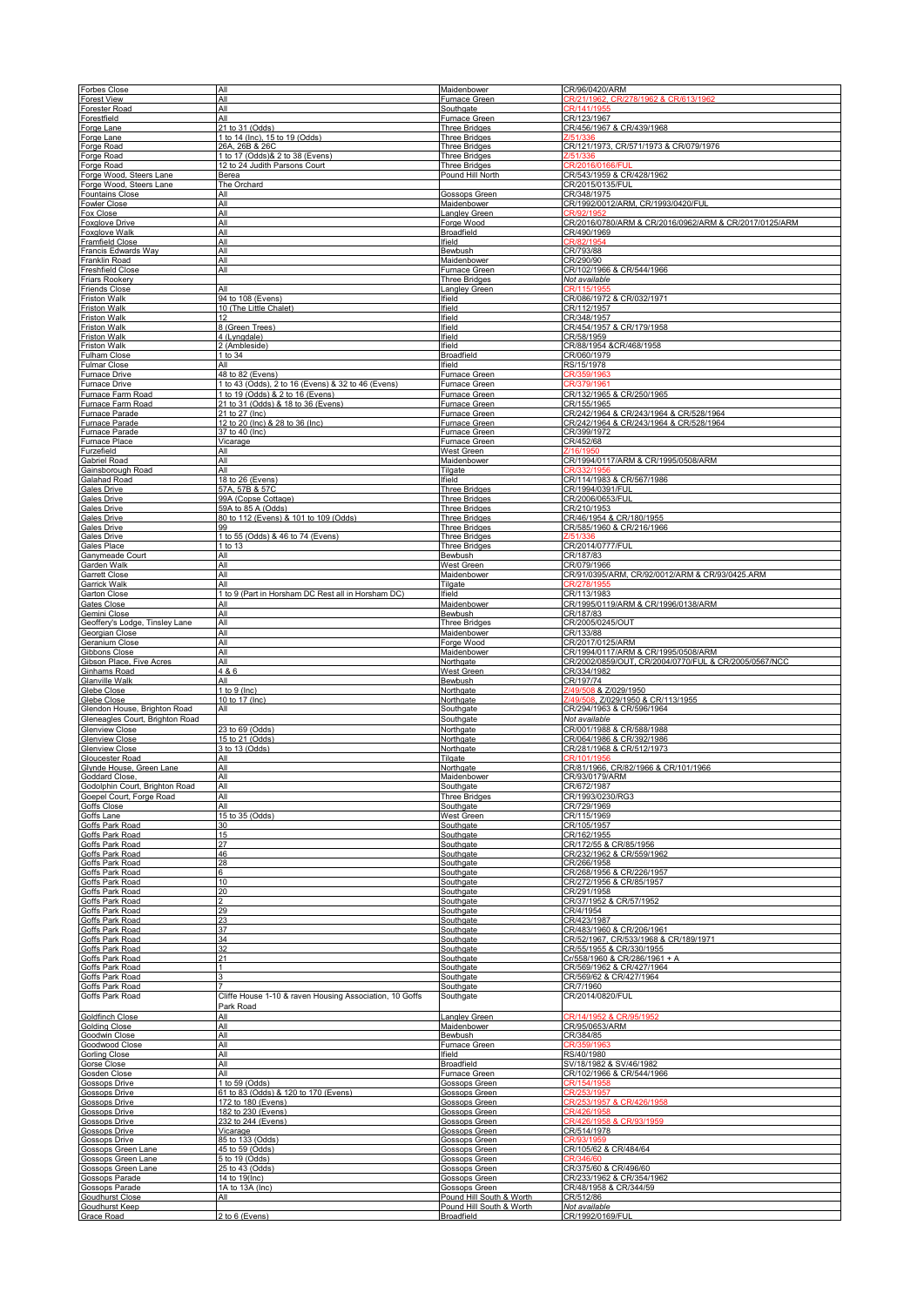| <b>Forbes Close</b>                                      | All                                                              | Maidenbower                                          | CR/96/0420/ARM                                                       |
|----------------------------------------------------------|------------------------------------------------------------------|------------------------------------------------------|----------------------------------------------------------------------|
| <b>Forest View</b><br><b>Forester Road</b>               | All<br>All                                                       | Furnace Green<br>Southgate                           | CR/21/1962, CR/278/1962 & CR/613/1962<br>CR/141                      |
| Forestfield                                              | All                                                              | Furnace Green                                        | CR/123/1967                                                          |
| Forge Lane<br>Forge Lane                                 | 21 to 31 (Odds)<br>1 to 14 (Inc), 15 to 19 (Odds)                | <b>Three Bridges</b><br><b>Three Bridges</b>         | CR/456/1967 & CR/439/1968                                            |
| Forge Road                                               | 26A, 26B & 26C                                                   | Three Bridges                                        | CR/121/1973, CR/571/1973 & CR/079/1976                               |
| <u>Forge Road</u><br>Forge Road                          | 1 to 17 (Odds)& 2 to 38 (Evens)<br>12 to 24 Judith Parsons Court | <b>Three Bridges</b><br><b>Three Bridges</b>         |                                                                      |
| Forge Wood, Steers Lane                                  | Berea                                                            | Pound Hill North                                     | CR/543/1959 & CR/428/1962                                            |
| Forge Wood, Steers Lane<br>Fountains Close               | The Orchard<br>All                                               | <u>Gossops Green</u>                                 | CR/2015/0135/FUL<br>CR/348/1975                                      |
| <b>Fowler Close</b>                                      | All                                                              | Maidenbower                                          | CR/1992/0012/ARM, CR/1993/0420/FUI                                   |
| Fox Close                                                | All<br>All                                                       | angley Green                                         | CR/2016/0780/ARM & CR/2016/0962/ARM & CR/2017/0125/ARM               |
| <u>Foxglove Drive</u><br><b>Foxglove Walk</b>            | All                                                              | Forge Wood<br><b>Broadfield</b>                      | CR/490/1969                                                          |
| <b>Framfield Close</b>                                   | All<br>All                                                       | lfield                                               | CR/793/88                                                            |
| Francis Edwards Way<br>Franklin Road                     | All                                                              | <u>Bewbush</u><br><b>Maidenbower</b>                 | CR/290/90                                                            |
| <b>Freshfield Close</b>                                  | All                                                              | Furnace Green                                        | CR/102/1966 & CR/544/1966                                            |
| <b>Friars Rookery</b><br><b>Friends Close</b>            | All                                                              | <b>Three Bridges</b><br><u>Langley Green</u>         | <u>Not available</u><br>CR/115/195                                   |
| <b>Friston Walk</b>                                      | 94 to 108 (Evens)                                                | lfield                                               | CR/086/1972 & CR/032/1971                                            |
| <b>Friston Walk</b><br><b>Friston Walk</b>               | 10 (The Little Chalet)                                           | lfield<br>lfield                                     | CR/112/1957<br>CR/348/1957                                           |
| <b>Friston Walk</b>                                      | 8 (Green Trees)                                                  | lfield                                               | CR/454/1957 & CR/179/1958                                            |
| <b>Friston Walk</b><br><b>Friston Walk</b>               | 4 (Lyngdale)<br>2 (Ambleside)                                    | Ifield<br>Ifield                                     | CR/58/1959<br>CR/88/1954 &CR/468/1958                                |
| Fulham Close                                             | 1 to 34                                                          | Broadfield                                           | CR/060/1979                                                          |
| <b>Fulmar Close</b><br>Furnace Drive                     | 48 to 82 (Evens)                                                 | lfield<br>Furnace Green                              | RS/15/1978<br>CR/359/1963                                            |
| Furnace Drive                                            | 1 to 43 (Odds), 2 to 16 (Evens) & 32 to 46 (Evens)               | Furnace Green                                        | CR/379/1961                                                          |
| Furnace Farm Road                                        | 1 to 19 (Odds) & 2 to 16 (Evens)                                 | <u>Furnace Green</u>                                 | CR/132/1965 & CR/250/1965<br>CR/155/1965                             |
| Furnace Farm Road<br><u>Furnace Parade</u>               | 21 to 31 (Odds) & 18 to 36 (Evens)<br>21 to 27 (Inc)             | Furnace Green<br><u>Furnace Green</u>                | CR/242/1964 & CR/243/1964 & CR/528/1964                              |
| <u>Furnace Parade</u>                                    | 12 to 20 (Inc) & 28 to 36 (Inc)                                  | <u>Furnace Green</u>                                 | CR/242/1964 & CR/243/1964 & CR/528/1964                              |
| Furnace Parade<br>Furnace Place                          | 37 to 40 (Inc)<br>Vicarage                                       | Furnace Green<br>Furnace Green                       | CR/399/1972<br>CR/452/68                                             |
| Furzefield                                               | All                                                              | West Green                                           | 716/1950                                                             |
| <b>Gabriel Road</b><br>Gainsborough Road                 | All<br>All                                                       | <u>Maidenbower</u><br>Tilgate                        | CR/1994/0117/ARM & CR/1995/0508/ARM<br>CR/332/1956                   |
| <b>Galahad Road</b>                                      | 18 to 26 (Evens)                                                 | lfield                                               | CR/114/1983 & CR/567/1986                                            |
| <b>Gales Drive</b><br><b>Gales Drive</b>                 | 57A, 57B & 57C<br>99A (Copse Cottage)                            | <b>Three Bridges</b><br><b>Three Bridges</b>         | CR/1994/0391/FUL<br>CR/2006/0653/FUL                                 |
| <b>Gales Drive</b>                                       | 59A to 85 A (Odds)                                               | <b>Three Bridges</b>                                 | CR/210/1953                                                          |
| <b>Gales Drive</b><br><b>Gales Drive</b>                 | 80 to 112 (Evens) & 101 to 109 (Odds)<br>99                      | <b>Three Bridges</b><br>Three Bridges                | CR/46/1954 & CR/180/1955<br>CR/585/1960 & CR/216/1966                |
| <b>Gales Drive</b>                                       | 1 to 55 (Odds) & 46 to 74 (Evens)                                | <b>Three Bridges</b>                                 | 7/51/33                                                              |
| Gales Place<br>Ganymeade Court                           | 1 to 13<br>All                                                   | <b>Three Bridges</b><br>Bewbush                      | CR/2014/0777/FUL<br>CR/187/83                                        |
| Garden Wall                                              | All                                                              | West Green                                           | CR/079/1966                                                          |
| <b>Garrett Close</b><br>Garrick Walk                     | All<br>All                                                       | Maidenbower                                          | CR/91/0395/ARM, CR/92/0012/ARM & CR/93/0425.ARM<br><b>CR/278/195</b> |
| Garton Close                                             | 1 to 9 (Part in Horsham DC Rest all in Horsham DC)               | <b>Tilgate</b><br>field                              | CR/113/1983                                                          |
| Gates Close                                              | All                                                              | Maidenbower                                          | CR/1995/0119/ARM & CR/1996/0138/ARM                                  |
| Gemini Close<br>Geoffery's Lodge, Tinsley Lane           | All<br>All                                                       | <u>Bewbush</u><br>Three Bridges                      | CR/187/83<br>CR/2005/0245/OUT                                        |
| Georgian Close                                           | All                                                              | <u>Maidenbower</u>                                   | CR/133/88                                                            |
| Geranium Close<br>Gibbons Close                          | All<br>Αll                                                       | Forge Wood<br><u>Maidenbower</u>                     | CR/2017/0125/ARM<br>CR/1994/0117/ARM & CR/1995/0508/ARM              |
| Gibson Place, Five Acres                                 | All                                                              | Northgate                                            | CR/2002/0859/OUT, CR/2004/0770/FUL & CR/2005/0567/NCC                |
| Ginhams Road<br>Glanville Walk                           | 4 & 6<br>aii                                                     | <u>West Green</u><br><b>Bewbush</b>                  | CR/334/1982<br>CR/197/74                                             |
| Glebe Close                                              | 1 to $9$ (Inc)                                                   | Northgate                                            | Z/49/508 & Z/029/1950                                                |
|                                                          |                                                                  |                                                      |                                                                      |
| Glebe Close                                              | 10 to 17 (Inc)                                                   | Northgate                                            | 7/49/508, Z/029/1950 & CR/113/1955                                   |
| Glendon House, Brighton Road                             | All                                                              | Southgate                                            | CR/294/1963 & CR/596/1964                                            |
| Gleneagles Court, Brighton Road<br><b>Glenview Close</b> | 23 to 69 (Odds)                                                  | Southgate<br>Northgate                               | Not available<br>CR/001/1988 & CR/588/1988                           |
| <b>Glenview Close</b>                                    | 15 to 21 (Odds)                                                  | Northgate                                            | CR/064/1986 & CR/392/1986                                            |
| <b>Glenview Close</b><br>Gloucester Road                 | 3 to 13 (Odds)<br>All                                            | Northgate<br>Tilgate                                 | CR/281/1968 & CR/512/1973<br>ER/101/1956                             |
| Glynde House, Green Lane                                 | All                                                              | Northgate                                            | CR/81/1966, CR/82/1966 & CR/101/1966                                 |
| Goddard Close,<br>Godolphin Court, Brighton Road         | All<br>All                                                       | Maidenbower<br>Southgate                             | CR/93/0179/ARM<br>CR/672/1987                                        |
| Goepel Court, Forge Road                                 | All                                                              | <b>Three Bridges</b>                                 | CR/1993/0230/RG3                                                     |
| Goffs Close<br>Goffs Lane                                | All<br>15 to 35 (Odds)                                           | Southgate<br>West Green                              | CR/729/1969<br>CR/115/1969                                           |
| Goffs Park Road                                          | 30                                                               | Southgate                                            | CR/105/1957                                                          |
| Goffs Park Road<br>Goffs Park Road                       | 15<br>27                                                         | Southgate<br>Southgate                               | CR/162/1955<br>CR/172/55 & CR/85/1956                                |
| Goffs Park Road                                          | 46                                                               | Southgate                                            | CR/232/1962 & CR/559/1962                                            |
| Goffs Park Road<br>Goffs Park Road                       | 28<br>6                                                          | Southgate<br>Southgate                               | CR/266/1958<br>CR/268/1956 & CR/226/1957                             |
| Goffs Park Road                                          | 10                                                               | Southgate                                            | CR/272/1956 & CR/85/1957                                             |
| Goffs Park Road<br>Goffs Park Road                       | 20 <sub>2</sub><br>$\overline{\mathbf{c}}$                       | Southgate<br>Southgate                               | CR/291/1958<br>CR/37/1952 & CR/57/1952                               |
| Goffs Park Road                                          | 29                                                               | Southgate                                            | CR/4/1954                                                            |
| Goffs Park Road<br>Goffs Park Road                       | 23<br>37                                                         | Southgate                                            | CR/423/1987                                                          |
| Goffs Park Road                                          | 34                                                               | Southgate<br>Southgate                               | CR/483/1960 & CR/206/1961<br>CR/52/1967, CR/533/1968 & CR/189/1971   |
| Goffs Park Road<br>Goffs Park Road                       | 32                                                               | Southgate                                            | CR/55/1955 & CR/330/1955                                             |
| Goffs Park Road                                          | 21                                                               | Southgate<br>Southgate                               | Cr/558/1960 & CR/286/1961 + A<br>CR/569/1962 & CR/427/1964           |
| Goffs Park Road                                          |                                                                  | Southgate                                            | CR/569/62 & CR/427/1964                                              |
| Goffs Park Road<br>Goffs Park Road                       | Cliffe House 1-10 & raven Housing Association, 10 Goffs          | Southgate<br>Southgate                               | CR/7/1960<br>CR/2014/0820/FUL                                        |
|                                                          | Park Road                                                        |                                                      |                                                                      |
| <b>Goldfinch Close</b><br><b>Golding Close</b>           | All<br>All                                                       | Langley Green<br>Maidenbower                         | CR/14/1952 & CR/95/1952<br>CR/95/0653/ARM                            |
| Goodwin Close                                            | All                                                              | Bewbush                                              | CR/384/85                                                            |
| Goodwood Close                                           | All                                                              | Furnace Green                                        |                                                                      |
| <b>Gorling Close</b><br>Gorse Close                      | All<br>All                                                       | lfield<br>Broadfield                                 | RS/40/1980<br>SV/18/1982 & SV/46/1982                                |
| Gosden Close                                             | All                                                              | Furnace Green                                        | CR/102/1966 & CR/544/1966                                            |
| <b>Gossops Drive</b><br><b>Gossops Drive</b>             | 1 to 59 (Odds)<br>61 to 83 (Odds) & 120 to 170 (Evens)           | Gossops Green<br>Gossops Green                       | CR/154/1958<br>CR/253/1957                                           |
| <b>Gossops Drive</b>                                     | 172 to 180 (Evens)                                               | Gossops Green                                        | CR/253/1957 & CR/426/1958                                            |
| <b>Gossops Drive</b><br><b>Gossops Drive</b>             | 182 to 230 (Evens)<br>232 to 244 (Evens)                         | Gossops Green<br>Gossops Green                       | CR/426/1958<br>CR/426/1958 & CR/93/1959                              |
| <b>Gossops Drive</b>                                     | Vicarage                                                         | Gossops Green                                        | CR/514/1978                                                          |
| <b>Gossops Drive</b><br>Gossops Green Lane               | 85 to 133 (Odds)                                                 | Gossops Green<br>Gossops Green                       | CR/93/1959<br>CR/105/62 & CR/484/64                                  |
| Gossops Green Lane                                       | 45 to 59 (Odds)<br>5 to 19 (Odds)                                | Gossops Green                                        | CR/346/6                                                             |
| Gossops Green Lane                                       | 25 to 43 (Odds)                                                  | Gossops Green                                        | CR/375/60 & CR/496/60                                                |
| Gossops Parade<br>Gossops Parade                         | 14 to 19(Inc)<br>1A to 13A (Inc)                                 | Gossops Green<br>Gossops Green                       | CR/233/1962 & CR/354/1962<br>CR/48/1958 & CR/344/59                  |
| <b>Goudhurst Close</b><br>Goudhurst Keep                 | All                                                              | Pound Hill South & Worth<br>Pound Hill South & Worth | CR/512/86<br>Not available                                           |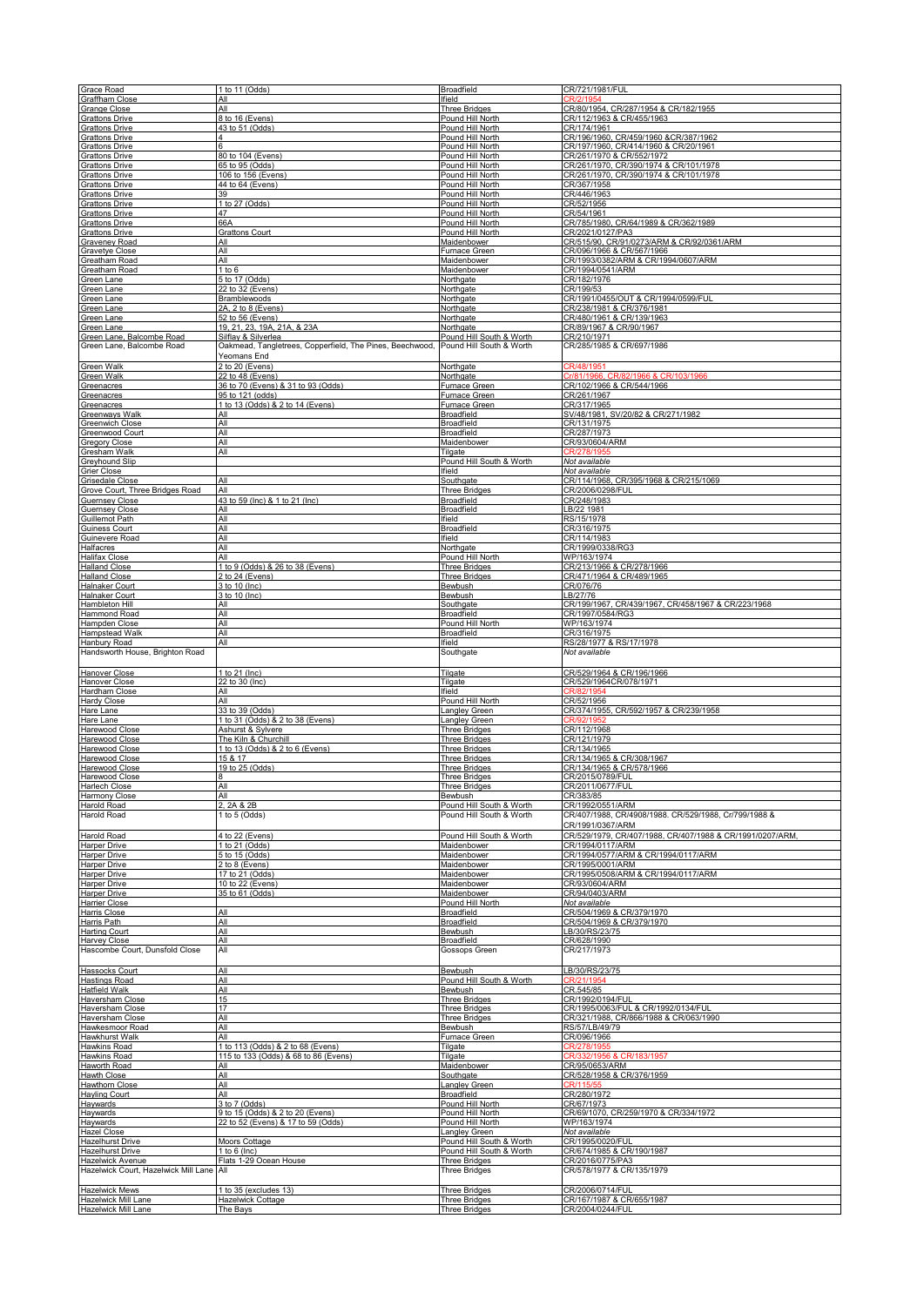| <b>Grace Road</b>                                                   | 1 to 11 (Odds)                                                            | Broadfield                                                    | CR/721/1981/FUL                                                           |
|---------------------------------------------------------------------|---------------------------------------------------------------------------|---------------------------------------------------------------|---------------------------------------------------------------------------|
| <u> Graffham Close</u><br>Grange Close                              | ΑIΙ<br>All                                                                | lfield<br><b>Three Bridges</b>                                | CR/80/1954, CR/287/1954 & CR/182/1955                                     |
| Grattons Drive                                                      | 8 to 16 (Evens)                                                           | Pound Hill North                                              | CR/112/1963 & CR/455/1963                                                 |
| <b>Grattons Drive</b><br><b>Grattons Drive</b>                      | 43 to 51 (Odds                                                            | Pound Hill North<br>Pound Hill North                          | CR/174/1961<br>CR/196/1960, CR/459/1960 &CR/387/1962                      |
| <b>Grattons Drive</b>                                               |                                                                           | Pound Hill North                                              | CR/197/1960, CR/414/1960 & CR/20/1961                                     |
| <b>Grattons Drive</b><br><b>Grattons Drive</b>                      | 80 to 104 (Evens)<br>65 to 95 (Odds)                                      | Pound Hill North<br>Pound Hill North                          | CR/261/1970 & CR/552/1972<br>CR/261/1970, CR/390/1974 & CR/101/1978       |
| <b>Grattons Drive</b>                                               | 106 to 156 (Evens)                                                        | Pound Hill North                                              | CR/261/1970, CR/390/1974 & CR/101/1978                                    |
| <b>Grattons Drive</b><br><b>Grattons Drive</b>                      | 44 to 64 (Evens)<br>39                                                    | Pound Hill North<br>Pound Hill North                          | CR/367/1958<br>CR/446/1963                                                |
| <b>Grattons Drive</b>                                               | 1 to 27 (Odds)                                                            | Pound Hill North                                              | CR/52/1956                                                                |
| <b>Grattons Drive</b>                                               | 47<br>66A                                                                 | Pound Hill North<br>Pound Hill North                          | CR/54/1961<br>CR/785/1980, CR/64/1989 & CR/362/1989                       |
| <b>Grattons Drive</b><br><b>Grattons Drive</b>                      | <b>Grattons Court</b>                                                     | Pound Hill North                                              | CR/2021/0127/PA3                                                          |
| <b>Graveney Road</b><br>Gravetye Close                              | ΑIΙ<br>All                                                                | Maidenbower<br>Furnace Green                                  | CR/515/90, CR/91/0273/ARM & CR/92/0361/ARM<br>CR/096/1966 & CR/567/1966   |
| Greatham Road                                                       | All                                                                       | Maidenbower                                                   | CR/1993/0382/ARM & CR/1994/0607/ARM                                       |
| Greatham Road<br>Green Lane                                         | 1 to 6<br>5 to 17 (Odds)                                                  | Maidenbower<br>Northgate                                      | CR/1994/0541/ARM<br>CR/182/1976                                           |
| Green Lane                                                          | 22 to 32 (Evens)                                                          | Northgate                                                     | CR/199/53                                                                 |
| Green Lane<br>Green Lane                                            | Bramblewoods<br>2A, 2 to 8 (Evens)                                        | Northgate<br>Northgate                                        | CR/1991/0455/OUT & CR/1994/0599/FUL<br>CR/238/1981 & CR/376/1981          |
| Green Lane                                                          | 52 to 56 (Evens)                                                          | Northgate                                                     | CR/480/1961 & CR/139/1963                                                 |
| Green Lane<br>Green Lane, Balcombe Road                             | 19, 21, 23, 19A, 21A, & 23A<br>Silflay & Silverlea                        | Northgate<br>Pound Hill South & Worth                         | CR/89/1967 & CR/90/1967<br>CR/210/1971                                    |
| Green Lane, Balcombe Road                                           | Oakmead, Tangletrees, Copperfield, The Pines, Beechwood,<br>Yeomans End   | Pound Hill South & Worth                                      | CR/285/1985 & CR/697/1986                                                 |
| Green Walk                                                          | 2 to 20 (Evens)                                                           | Northgate                                                     | CR/48/1951                                                                |
| <b>Green Walk</b><br>Greenacres                                     | 22 to 48 (Evens)<br>36 to 70 (Evens) & 31 to 93 (Odds)                    | Northgate<br>Furnace Green                                    | Cr/81/1966, CR/82/1966 & CR/103/1966<br>CR/102/1966 & CR/544/1966         |
| Greenacres                                                          | 95 to 121 (odds)                                                          | Furnace Green                                                 | CR/261/1967                                                               |
| Greenacres<br><b>Greenways Walk</b>                                 | 1 to 13 (Odds) & 2 to 14 (Evens)<br>All                                   | Furnace Green<br><b>Broadfield</b>                            | CR/317/1965<br>SV/48/1981, SV/20/82 & CR/271/1982                         |
| <b>Greenwich Close</b>                                              | All                                                                       | <b>Broadfield</b>                                             | CR/131/1975                                                               |
| Greenwood Court<br><b>Gregory Close</b>                             | All<br>All                                                                | <b>Broadfield</b><br>Maidenbower                              | CR/287/1973<br>CR/93/0604/ARM                                             |
| Gresham Walk                                                        | All                                                                       | Tilgate                                                       | <b>PR/278/1954</b>                                                        |
| <b>Greyhound Slip</b><br><b>Grier Close</b>                         |                                                                           | Pound Hill South & Worth<br>lfield                            | Not available<br>Not available                                            |
| <b>Grisedale Close</b>                                              | All                                                                       | Southgate                                                     | CR/114/1968, CR/395/1968 & CR/215/1069                                    |
| Grove Court, Three Bridges Road<br><b>Guernsey Close</b>            | All<br>43 to 59 (Inc) & 1 to 21 (Inc)                                     | Three Bridges<br><b>Broadfield</b>                            | CR/2006/0298/FUL<br>CR/248/1983                                           |
| <b>Guernsey Close</b>                                               | All                                                                       | <b>Broadfield</b>                                             | B/22 1981                                                                 |
| Guillemot Path<br><b>Guiness Court</b>                              | All<br>All                                                                | lfield<br><b>Broadfield</b>                                   | RS/15/1978<br>CR/316/1975                                                 |
| Guinevere Road                                                      | All                                                                       | lfield                                                        | CR/114/1983                                                               |
| Halfacres<br><b>Halifax Close</b>                                   | All<br>All                                                                | Northgate<br>Pound Hill North                                 | CR/1999/0338/RG3<br>WP/163/1974                                           |
| <b>Halland Close</b>                                                | 1 to 9 (Odds) & 26 to 38 (Evens)                                          | <b>Three Bridges</b>                                          | CR/213/1966 & CR/278/1966                                                 |
| <b>Halland Close</b><br><b>Halnaker Court</b>                       | 2 to 24 (Evens)<br>3 to 10 (Inc)                                          | <b>Three Bridges</b><br><u>Bewbush</u>                        | CR/471/1964 & CR/489/1965<br>CR/076/76                                    |
| Halnaker Court                                                      | 3 to 10 (Inc)                                                             | Bewbush                                                       | B/27/76                                                                   |
| Hambleton Hill<br>Hammond Road                                      | All<br>All                                                                | Southgate<br>Broadfield                                       | CR/199/1967, CR/439/1967, CR/458/1967 & CR/223/1968<br>CR/1997/0584/RG3   |
| Hampden Close<br>Hampstead Wall                                     | All<br>All                                                                | Pound Hill North<br>Broadfield                                | WP/163/1974<br>CR/316/1975                                                |
| <b>Hanbury Road</b>                                                 | All                                                                       | lfield                                                        | RS/28/1977 & RS/17/1978                                                   |
| Handsworth House, Brighton Road                                     |                                                                           | Southgate                                                     | Not available                                                             |
| Hanover Close                                                       | 1 to 21 (Inc)                                                             | Tilgate                                                       | CR/529/1964 & CR/196/1966                                                 |
| Hanover Close<br>Hardham Close                                      | 22 to 30 (Inc)<br>All                                                     | Tilgate<br>lfield                                             | CR/529/1964CR/078/1971<br>CR/82/1954                                      |
| <b>Hardy Close</b>                                                  | All                                                                       | Pound Hill North                                              | CR/52/1956                                                                |
| Hare Lane<br>Hare Lane                                              | 33 to 39 (Odds)<br>1 to 31 (Odds) & 2 to 38 (Evens)                       | Langley Green<br>angley Green                                 | CR/374/1955, CR/592/1957 & CR/239/1958<br>CR/92/195                       |
| Harewood Close                                                      | Ashurst & Sylvere                                                         | Three Bridges                                                 | CR/112/1968                                                               |
| <b>Harewood Close</b><br><b>Harewood Close</b>                      | The Kiln & Churchill<br>1 to 13 (Odds) & 2 to 6 (Evens)                   | <b>Three Bridges</b><br><b>Three Bridges</b>                  | CR/121/1979<br>CR/134/1965                                                |
| <b>Harewood Close</b>                                               | 15 & 17<br>19 to 25 (Odds)                                                | Three Bridges<br>Three Bridges                                | CR/134/1965 & CR/308/1967                                                 |
| <b>Harewood Close</b><br><b>Harewood Close</b>                      |                                                                           | <b>Three Bridges</b>                                          | CR/134/1965 & CR/578/1966<br>CR/2015/0789/FUL                             |
| <b>Harlech Close</b><br><b>Harmony Close</b>                        | All<br>All                                                                | <b>Three Bridges</b><br>Bewbush                               | CR/2011/0677/FUL<br>CR/383/85                                             |
| Harold Road                                                         | 2.2A & 2B                                                                 | Pound Hill South & Worth                                      | CR/1992/0551/ARM                                                          |
| Harold Road                                                         | 1 to 5 (Odds)                                                             | Pound Hill South & Worth                                      | CR/407/1988, CR/4908/1988. CR/529/1988, Cr/799/1988 &<br>CR/1991/0367/ARM |
| Harold Road                                                         | 4 to 22 (Evens)                                                           | Pound Hill South & Worth                                      | CR/529/1979, CR/407/1988, CR/407/1988 & CR/1991/0207/ARM.                 |
| <b>Harper Drive</b><br>Harper Drive                                 | 1 to 21 (Odds)                                                            | Maidenbower<br>Maidenbower                                    | CR/1994/0117/ARM<br>CR/1994/0577/ARM & CR/1994/0117/ARM                   |
| <b>Harper Drive</b>                                                 | 5 to 15 (Odds)<br>2 to 8 (Evens)                                          | Maidenbower                                                   | CR/1995/0001/ARM                                                          |
| Harper Drive<br>Harper Drive                                        | 17 to 21 (Odds)<br>10 to 22 (Evens)                                       | Maidenbower                                                   | CR/1995/0508/ARM & CR/1994/0117/ARM                                       |
| Harper Drive                                                        |                                                                           |                                                               |                                                                           |
| <b>Harrier Close</b><br>Harris Close                                | 35 to 61 (Odds)                                                           | Maidenbower<br>Maidenbower                                    | CR/93/0604/ARM<br>CR/94/0403/ARM                                          |
|                                                                     |                                                                           | Pound Hill North                                              | Not available                                                             |
| Harris Path                                                         | All<br>All                                                                | <b>Broadfield</b><br>Broadfield                               | CR/504/1969 & CR/379/1970<br>CR/504/1969 & CR/379/1970                    |
| <b>Harting Court</b>                                                | All                                                                       | Bewbush                                                       | LB/30/RS/23/75                                                            |
| <b>Harvey Close</b><br>Hascombe Court, Dunsfold Close               | All<br>All                                                                | Broadfield<br>Gossops Green                                   | CR/628/1990<br>CR/217/1973                                                |
|                                                                     | All                                                                       |                                                               |                                                                           |
| <b>Hassocks Court</b><br><b>Hastings Road</b>                       | All                                                                       | Bewbush<br>Pound Hill South & Worth                           | B/30/RS/23/75<br>CR/21/1954                                               |
| <b>Hatfield Walk</b><br>Haversham Close                             | All<br>15                                                                 | Bewbush<br><b>Three Bridges</b>                               | CR.545/85<br>CR/1992/0194/FUL                                             |
| Haversham Close                                                     | 17                                                                        | <b>Three Bridges</b>                                          | CR/1995/0063/FUL & CR/1992/0134/FUL                                       |
| Haversham Close<br>Hawkesmoor Road                                  | All<br>All                                                                | Three Bridges<br>Bewbush                                      | CR/321/1988, CR/866/1988 & CR/063/1990<br>RS/57/LB/49/79                  |
| Hawkhurst Walk                                                      | All                                                                       | Furnace Green                                                 | CR/096/1966                                                               |
| Hawkins Road<br>Hawkins Road                                        | 1 to 113 (Odds) & 2 to 68 (Evens)<br>115 to 133 (Odds) & 68 to 86 (Evens) | Tilgate<br>Tilgate                                            | CR/278/1955<br>CR/183/1957<br>CR/3                                        |
| Haworth Road                                                        | Al                                                                        | Maidenbower                                                   | CR/95/0653/ARM                                                            |
| Hawth Close<br><b>Hawthorn Close</b>                                | All<br>All                                                                | Southgate<br>Langley Green                                    | CR/528/1958 & CR/376/1959<br>CR/115/5                                     |
| Hayling Court                                                       | All                                                                       | <b>Broadfield</b>                                             | CR/280/1972                                                               |
| Haywards<br>Haywards                                                | 3 to 7 (Odds)<br>9 to 15 (Odds) & 2 to 20 (Evens)                         | Pound Hill North<br>Pound Hill North                          | CR/67/1973<br>CR/69/1070, CR/259/1970 & CR/334/1972                       |
| Haywards                                                            | 22 to 52 (Evens) & 17 to 59 (Odds)                                        | Pound Hill North                                              | WP/163/1974                                                               |
| Hazel Close<br>Hazelhurst Drive                                     | <b>Moors Cottage</b>                                                      | angley Green<br>Pound Hill South & Worth                      | Not available<br>CR/1995/0020/FUI                                         |
| Hazelhurst Drive                                                    | 1 to $6$ (Inc)                                                            | Pound Hill South & Worth                                      | CR/674/1985 & CR/190/1987                                                 |
| Hazelwick Avenue<br>Hazelwick Court, Hazelwick Mill Lane            | Flats 1-29 Ocean House<br>All                                             | <b>Three Bridges</b><br><b>Three Bridges</b>                  | CR/2016/0775/PA3<br>CR/578/1977 & CR/135/1979                             |
|                                                                     |                                                                           |                                                               |                                                                           |
| <b>Hazelwick Mews</b><br>Hazelwick Mill Lane<br>Hazelwick Mill Lane | 1 to 35 (excludes 13)<br><b>Hazelwick Cottage</b><br>The Bays             | <b>Three Bridges</b><br>Three Bridges<br><b>Three Bridges</b> | CR/2006/0714/FUI<br>CR/167/1987 & CR/655/1987<br>CR/2004/0244/FUL         |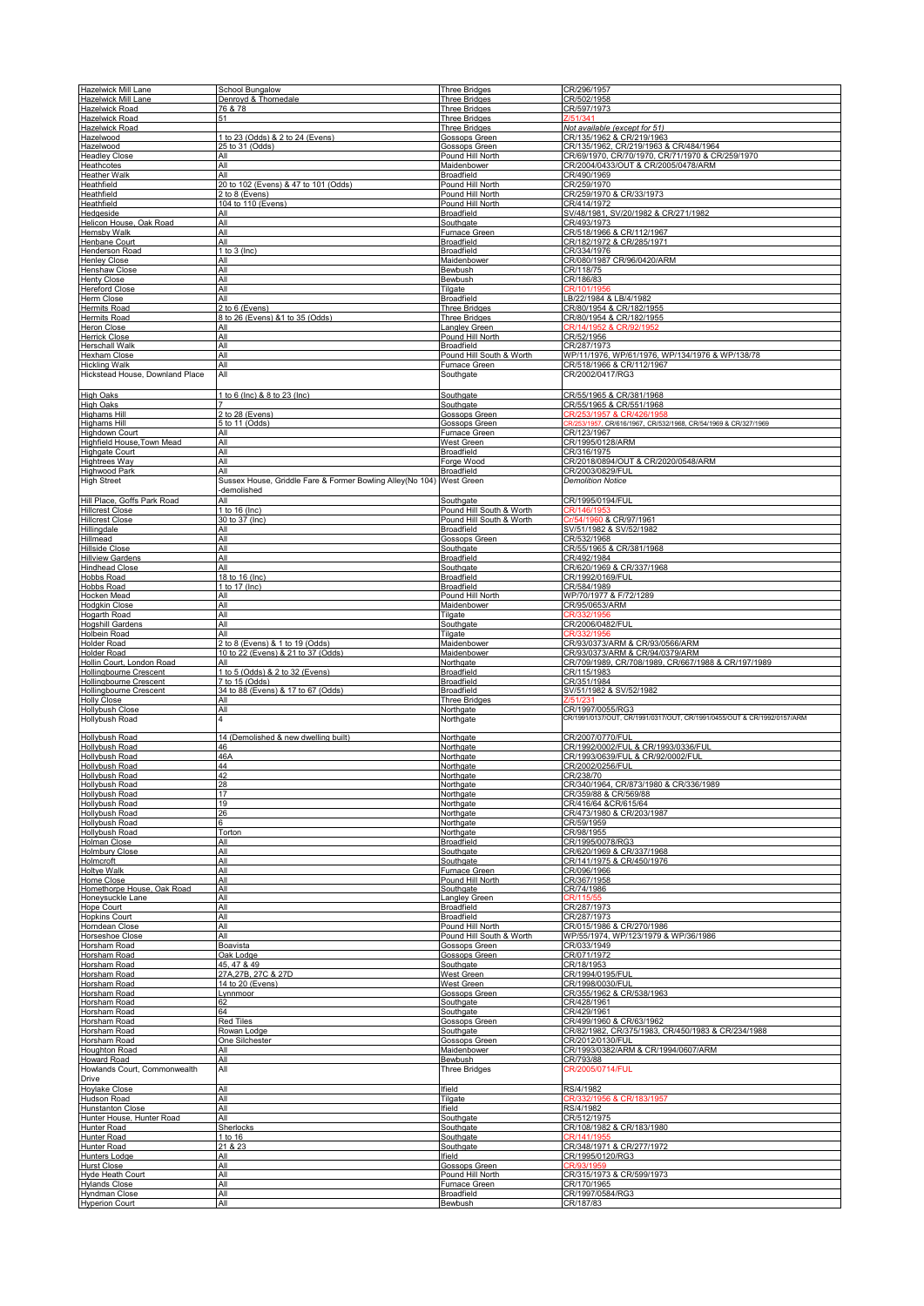| Hazelwick Mill Lane                                        | School Bungalow                                                                    | <b>Three Bridges</b>                         | CR/296/1957                                                                                |
|------------------------------------------------------------|------------------------------------------------------------------------------------|----------------------------------------------|--------------------------------------------------------------------------------------------|
| <b>Hazelwick Mill Lane</b>                                 | Denroyd & Thornedale<br>76 & 78                                                    | <b>Three Bridges</b>                         | CR/502/1958<br>CR/597/1973                                                                 |
| Hazelwick Road<br>Hazelwick Road                           | 51                                                                                 | <b>Three Bridges</b><br><b>Three Bridges</b> | 2/51/341                                                                                   |
| Hazelwick Road                                             |                                                                                    | <b>Three Bridges</b>                         | Not available (except for 51)                                                              |
| Hazelwood<br>Hazelwood                                     | 1 to 23 (Odds) & 2 to 24 (Evens)<br>25 to 31 (Odds)                                | Gossops Green<br>Gossops Green               | CR/135/1962 & CR/219/1963<br>CR/135/1962, CR/219/1963 & CR/484/1964                        |
| <b>Headley Close</b>                                       | All                                                                                | Pound Hill North                             | CR/69/1970, CR/70/1970, CR/71/1970 & CR/259/1970                                           |
| Heathcotes                                                 | All                                                                                | Maidenbower                                  | CR/2004/0433/OUT & CR/2005/0478/ARM                                                        |
| <b>Heather Walk</b><br>Heathfield                          | All<br>20 to 102 (Evens) & 47 to 101 (Odds)                                        | Broadfield<br>Pound Hill North               | CR/490/1969<br>CR/259/1970                                                                 |
| Heathfield                                                 | 2 to 8 (Evens)                                                                     | Pound Hill North                             | CR/259/1970 & CR/33/1973                                                                   |
| Heathfield                                                 | 104 to 110 (Evens)                                                                 | Pound Hill North                             | CR/414/1972                                                                                |
| Hedgeside<br>Helicon House, Oak Road                       | aii<br>All                                                                         | <b>Broadfield</b><br>Southgate               | SV/48/1981, SV/20/1982 & CR/271/1982<br>CR/493/1973                                        |
| Hemsby Walk                                                | All                                                                                | Furnace Green                                | CR/518/1966 & CR/112/1967                                                                  |
| Henbane Court<br><b>Henderson Road</b>                     | ΑIΙ<br>1 to $3$ (Inc)                                                              | <b>Broadfield</b><br><b>Broadfield</b>       | CR/182/1972 & CR/285/1971<br>CR/334/1976                                                   |
| <b>Henley Close</b>                                        | All                                                                                | Maidenbower                                  | CR/080/1987 CR/96/0420/ARM                                                                 |
| <b>Henshaw Close</b><br><b>Henty Close</b>                 | All<br>All                                                                         | Bewbush<br>Bewbush                           | CR/118/75<br>CR/186/83                                                                     |
| <b>Hereford Close</b>                                      | All                                                                                | Tilgate                                      | CR/101/195                                                                                 |
| Herm Close                                                 | All                                                                                | Broadfield                                   | LB/22/1984 & LB/4/1982                                                                     |
| Hermits Road<br>Hermits Road                               | 2 to 6 (Evens)<br>8 to 26 (Evens) &1 to 35 (Odds)                                  | <b>Three Bridges</b><br><b>Three Bridges</b> | CR/80/1954 & CR/182/1955<br>CR/80/1954 & CR/182/1955                                       |
| <b>Heron Close</b>                                         | All                                                                                | Langley Green                                | CR/92/195<br>CR/14/1952                                                                    |
| <b>Herrick Close</b><br>Herschall Walk                     | All<br>All                                                                         | Pound Hill North<br><b>Broadfield</b>        | CR/52/1956<br>CR/287/1973                                                                  |
| <b>Hexham Close</b>                                        | All                                                                                | Pound Hill South & Worth                     | WP/11/1976, WP/61/1976, WP/134/1976 & WP/138/78                                            |
| <b>Hickling Walk</b>                                       | All                                                                                | <b>Furnace Green</b>                         | CR/518/1966 & CR/112/1967                                                                  |
| Hickstead House, Downland Place                            | All                                                                                | Southgate                                    | CR/2002/0417/RG3                                                                           |
| <b>High Oaks</b>                                           | 1 to 6 (Inc) & 8 to 23 (Inc)                                                       | Southgate                                    | CR/55/1965 & CR/381/1968                                                                   |
| <b>High Oaks</b>                                           |                                                                                    | Southgate                                    | CR/55/1965 & CR/551/1968                                                                   |
| <b>Highams Hill</b><br><b>Highams Hill</b>                 | 2 to 28 (Evens)<br>5 to 11 (Odds)                                                  | <b>Gossops Green</b><br><b>Gossops Green</b> | CR/253/1957 & CR/426/195<br>R/253/1957, CR/616/1967, CR/532/1968, CR/54/1969 & CR/327/1969 |
| <b>Highdown Court</b>                                      | All                                                                                | <b>Furnace Green</b>                         | CR/123/1967                                                                                |
| Highfield House, Town Mead<br><b>Highgate Court</b>        | All<br>All                                                                         | <b>West Green</b><br><b>Broadfield</b>       | CR/1995/0128/ARM<br>CR/316/1975                                                            |
| <b>Hightrees Way</b>                                       | All                                                                                | Forge Wood                                   | CR/2018/0894/OUT & CR/2020/0548/ARM                                                        |
| <b>Highwood Park</b>                                       | All                                                                                | <b>Broadfield</b>                            | CR/2003/0829/FU                                                                            |
| <b>High Street</b>                                         | Sussex House, Griddle Fare & Former Bowling Alley(No 104) West Green<br>demolished |                                              | <b>Demolition Notice</b>                                                                   |
| Hill Place, Goffs Park Road                                | All                                                                                | Southgate                                    | CR/1995/0194/FUL                                                                           |
| <b>Hillcrest Close</b>                                     | $\overline{1}$ to 16 (Inc)                                                         | Pound Hill South & Worth                     | CR/146/1                                                                                   |
| <b>Hillcrest Close</b><br>Hillingdale                      | 30 to 37 (Inc)<br>All                                                              | Pound Hill South & Worth<br>Broadfield       | Cr/54/1960 & CR/97/1961<br>SV/51/1982 & SV/52/1982                                         |
| Hillmead                                                   | All                                                                                | Gossops Green                                | CR/532/1968                                                                                |
| <b>Hillside Close</b><br><b>Hillview Gardens</b>           | All<br>All                                                                         | Southgate<br><b>Broadfield</b>               | CR/55/1965 & CR/381/1968<br>CR/492/1984                                                    |
| <b>Hindhead Close</b>                                      | All                                                                                | Southgate                                    | CR/620/1969 & CR/337/1968                                                                  |
| <b>Hobbs Road</b>                                          | 18 to 16 (Inc)                                                                     | <b>Broadfield</b>                            | CR/1992/0169/FUL                                                                           |
| <b>Hobbs Road</b><br>Hocken Mead                           | 1 to 17 (Inc)<br>All                                                               | <b>Broadfield</b><br>Pound Hill North        | CR/584/1989<br>WP/70/1977 & F/72/1289                                                      |
| <b>Hodgkin Close</b>                                       | All                                                                                | Maidenbower                                  | CR/95/0653/ARM                                                                             |
| Hogarth Road                                               | All                                                                                | Tilgate                                      | R/332/195                                                                                  |
| <b>Hogshill Gardens</b><br><b>Holbein Road</b>             | All<br>All                                                                         | Southgate<br>Tilgate                         | CR/2006/0482/FU                                                                            |
| <b>Holder Road</b>                                         | 2 to 8 (Evens) & 1 to 19 (Odds)                                                    | Maidenbower                                  | CR/93/0373/ARM & CR/93/0566/ARM                                                            |
|                                                            |                                                                                    |                                              |                                                                                            |
| <b>Holder Road</b>                                         | 10 to 22 (Evens) & 21 to 37 (Odds)                                                 | Maidenbower                                  | CR/93/0373/ARM & CR/94/0379/ARM                                                            |
| Hollin Court, London Road<br><b>Hollingbourne Crescent</b> | All<br>1 to 5 (Odds) & 2 to 32 (Evens)                                             | Northgate<br><b>Broadfield</b>               | CR/709/1989, CR/708/1989, CR/667/1988 & CR/197/1989<br>CR/115/1983                         |
| Hollingbourne Crescent                                     | 7 to 15 (Odds)                                                                     | <b>Broadfield</b>                            | CR/351/1984                                                                                |
| <b>Hollingbourne Crescent</b>                              | 34 to 88 (Evens) & 17 to 67 (Odds)<br>All                                          | <b>Broadfield</b>                            | SV/51/1982 & SV/52/1982                                                                    |
| <b>Holly Close</b><br>Hollybush Close                      | All                                                                                | <b>Three Bridges</b><br>Northgate            | CR/1997/0055/RG3                                                                           |
| Hollybush Road                                             | 4                                                                                  | Northgate                                    | CR/1991/0137/OUT, CR/1991/0317/OUT, CR/1991/0455/OUT & CR/1992/0157/ARM                    |
| <b>Hollybush Road</b>                                      | 14 (Demolished & new dwelling built)                                               | Northgate                                    | CR/2007/0770/FUI                                                                           |
| Hollybush Road                                             | 46                                                                                 | Northgate                                    | CR/1992/0002/FUL & CR/1993/0336/FUL                                                        |
| Hollybush Road<br>Hollybush Road                           | 46A<br>44                                                                          | Northgate<br>Northgate                       | CR/1993/0639/FUL & CR/92/0002/FUL<br>CR/2002/0256/FUL                                      |
| <b>Hollybush Road</b>                                      | 42                                                                                 | Northgate                                    | CR/238/70                                                                                  |
| Hollybush Road                                             | 28                                                                                 | Northgate                                    | CR/340/1964, CR/873/1980 & CR/336/1989                                                     |
| Hollybush Road<br>Hollybush Road                           | 17<br>19                                                                           | Northgate<br>Northgate                       | CR/359/88 & CR/569/88<br>CR/416/64 &CR/615/64                                              |
| Hollybush Road                                             | 26                                                                                 | Northgate                                    | CR/473/1980 & CR/203/1987                                                                  |
| Hollybush Road<br>Hollybush Road                           | 6.<br>Torton                                                                       | Northgate<br>Northgate                       | CR/59/1959<br>CR/98/1955                                                                   |
| Holman Close                                               | All                                                                                | <b>Broadfield</b>                            | CR/1995/0078/RG3                                                                           |
| <b>Holmbury Close</b><br>Holmcroft                         | All<br>All                                                                         | Southgate<br>Southgate                       | CR/620/1969 & CR/337/1968<br>CR/141/1975 & CR/450/1976                                     |
| <b>Holtye Walk</b>                                         | All                                                                                | <b>Furnace Green</b>                         | CR/096/1966                                                                                |
| Home Close                                                 | All                                                                                | Pound Hill North                             | CR/367/1958                                                                                |
| Homethorpe House, Oak Road<br>Honeysuckle Lane             | All<br>All                                                                         | Southgate<br><b>Langley Green</b>            | CR/74/1986<br>CR/115/55                                                                    |
| <b>Hope Court</b>                                          | All                                                                                | <b>Broadfield</b>                            | CR/287/1973                                                                                |
| <b>Hopkins Court</b><br>Horndean Close                     | All<br>All                                                                         | <b>Broadfield</b><br>Pound Hill North        | CR/287/1973<br>CR/015/1986 & CR/270/1986                                                   |
| Horseshoe Close                                            | All                                                                                | Pound Hill South & Worth                     | WP/55/1974, WP/123/1979 & WP/36/1986                                                       |
| Horsham Road                                               | <b>Boavista</b>                                                                    | Gossops Green                                | CR/033/1949<br>CR/071/1972                                                                 |
| Horsham Road<br>Horsham Road                               | Oak Lodge<br>45, 47 & 49                                                           | <b>Gossops Green</b><br>Southgate            | CR/18/1953                                                                                 |
| Horsham Road                                               | 27A, 27B, 27C & 27D                                                                | West Green                                   | CR/1994/0195/FUI                                                                           |
| Horsham Road<br>Horsham Road                               | 14 to 20 (Evens)<br>Lynnmoor                                                       | <b>West Green</b><br><b>Gossops Green</b>    | CR/1998/0030/FUL<br>CR/355/1962 & CR/538/1963                                              |
| Horsham Road                                               | 62                                                                                 | Southgate                                    | CR/428/1961                                                                                |
| Horsham Road                                               | 64                                                                                 | Southgate                                    | CR/429/1961                                                                                |
| Horsham Road<br>Horsham Road                               | <b>Red Tiles</b><br>Rowan Lodge                                                    | <b>Gossops Green</b><br>Southgate            | CR/499/1960 & CR/63/1962<br>CR/82/1982, CR/375/1983, CR/450/1983 & CR/234/1988             |
| Horsham Road                                               | One Silchester                                                                     | Gossops Green                                | CR/2012/0130/FUL                                                                           |
| <b>Houghton Road</b><br>Howard Road                        | All<br>All                                                                         | Maidenbower<br>Bewbush                       | CR/1993/0382/ARM & CR/1994/0607/ARM<br>CR/793/88                                           |
| Howlands Court, Commonwealth                               | All                                                                                | <b>Three Bridges</b>                         | CR/2005/0714/FUL                                                                           |
| Drive                                                      |                                                                                    |                                              |                                                                                            |
| <b>Hoylake Close</b><br>Hudson Road                        | All<br>All                                                                         | Ifield<br>Tilgate                            | RS/4/1982<br>CR/332/1956 & CR/183/1957                                                     |
| <b>Hunstanton Close</b>                                    | All                                                                                | Ifield                                       | RS/4/1982                                                                                  |
| Hunter House, Hunter Road                                  | All                                                                                | Southgate                                    | CR/512/1975                                                                                |
| Hunter Road<br>Hunter Road                                 | Sherlocks<br>1 to 16                                                               | Southgate<br>Southgate                       | CR/108/1982 & CR/183/1980<br>CR/141/1955                                                   |
| Hunter Road                                                | 21823                                                                              | Southgate                                    | CR/348/1971 & CR/277/1972                                                                  |
| <b>Hunters Lodge</b><br>Hurst Close                        | All<br>All                                                                         | Ifield<br><b>Gossops Green</b>               | CR/1995/0120/RG3                                                                           |
| Hyde Heath Court                                           | All                                                                                | Pound Hill North                             | CR/315/1973 & CR/599/1973                                                                  |
| <b>Hylands Close</b><br><b>Hyndman Close</b>               | All<br>All                                                                         | <b>Furnace Green</b><br><b>Broadfield</b>    | CR/170/1965<br>CR/1997/0584/RG3                                                            |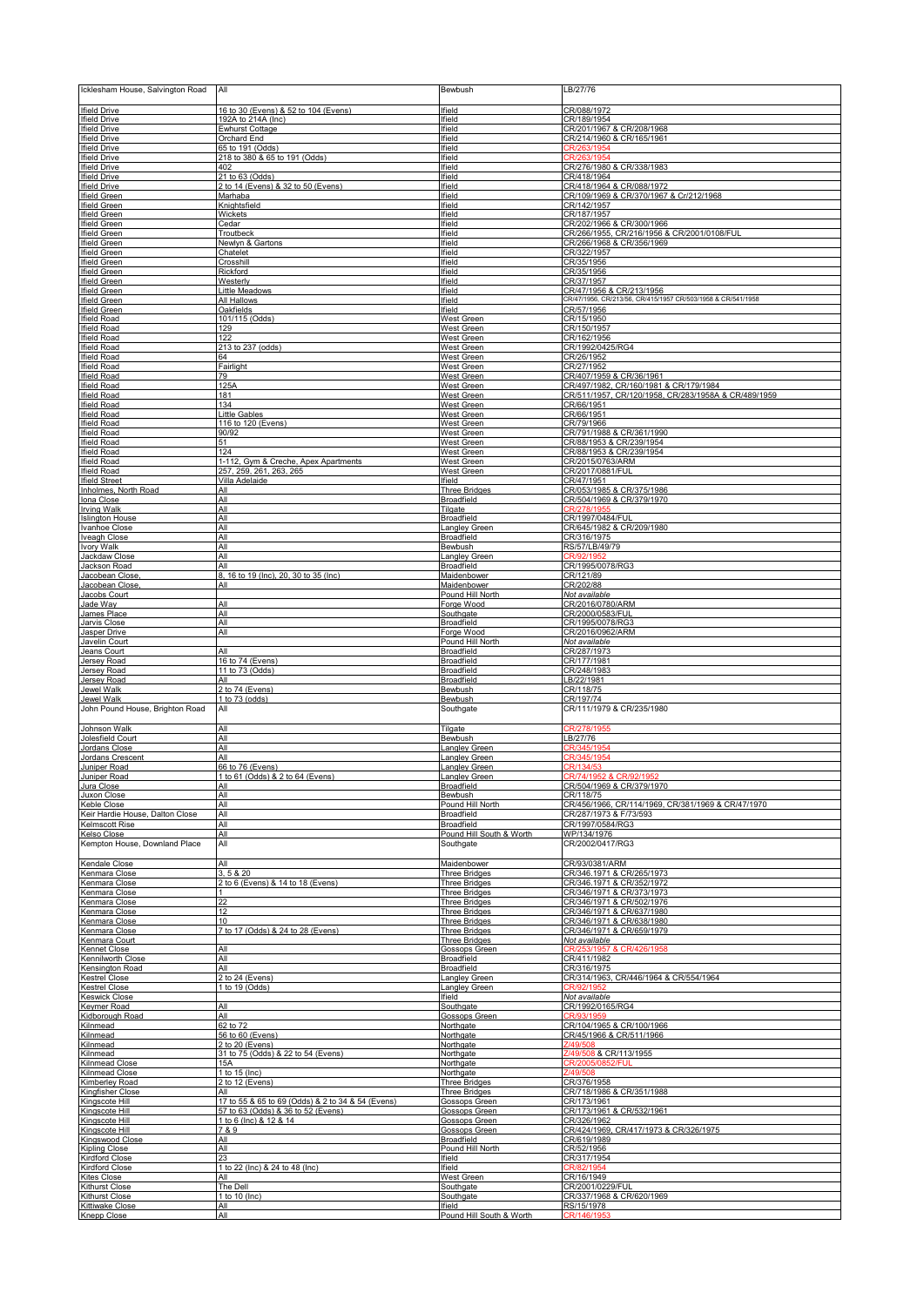| Icklesham House, Salvington Road             | All                                               | Bewbush                        | LB/27/76                                                                                 |
|----------------------------------------------|---------------------------------------------------|--------------------------------|------------------------------------------------------------------------------------------|
| <b>Ifield Drive</b>                          | 16 to 30 (Evens) & 52 to 104 (Evens)              | <b>Ifield</b>                  | CR/088/1972                                                                              |
| <b>Ifield Drive</b>                          | 192A to 214A (Inc)                                | Ifield                         | CR/189/1954                                                                              |
| <b>Ifield Drive</b>                          | <b>Ewhurst Cottage</b>                            | Ifield                         | CR/201/1967 & CR/208/1968                                                                |
| <b>Ifield Drive</b>                          | Orchard End                                       | Ifield                         | CR/214/1960 & CR/165/1961                                                                |
| <b>Ifield Drive</b>                          | 65 to 191 (Odds)                                  | Ifield                         | CR/263/1954                                                                              |
| <b>Ifield Drive</b>                          | 218 to 380 & 65 to 191 (Odds)                     | Ifield                         | CR/2                                                                                     |
| <b>Ifield Drive</b>                          | 402                                               | Ifield                         | CR/276/1980 & CR/338/1983                                                                |
| <b>Ifield Drive</b>                          | 21 to 63 (Odds)                                   | Ifield                         | CR/418/1964                                                                              |
| <b>Ifield Drive</b>                          | 2 to 14 (Evens) & 32 to 50 (Evens)                | Ifield                         | CR/418/1964 & CR/088/1972                                                                |
| <b>Ifield Green</b>                          | Marhaba                                           | Ifield                         | CR/109/1969 & CR/370/1967 & Cr/212/1968                                                  |
| <b>Ifield Green</b>                          | Knightsfield                                      | Ifield                         | CR/142/1957                                                                              |
| <b>Ifield Green</b>                          | Wickets                                           | Ifield                         | CR/187/1957                                                                              |
| <b>Ifield Green</b>                          | Cedar                                             | Ifield                         | CR/202/1966 & CR/300/1966                                                                |
| <b>Ifield Green</b>                          | Troutbeck                                         | Ifield                         | CR/266/1955, CR/216/1956 & CR/2001/0108/FUI                                              |
| <b>Ifield Green</b>                          | Newlyn & Gartons                                  | Ifield                         | CR/266/1968 & CR/356/1969                                                                |
| <b>Ifield Green</b>                          | Chatelet                                          | Ifield                         | CR/322/1957                                                                              |
| <b>Ifield Green</b>                          | Crosshill                                         | Ifield                         | CR/35/1956                                                                               |
| <b>Ifield Green</b>                          | Rickford                                          | Ifield                         | CR/35/1956                                                                               |
| <b>Ifield Green</b>                          | Westerly                                          | Ifield                         | CR/37/1957                                                                               |
| <b>Ifield Green</b>                          | Little Meadows                                    | Ifield                         | CR/47/1956 & CR/213/1956<br>CR/47/1956, CR/213/56, CR/415/1957 CR/503/1958 & CR/541/1958 |
| <b>Ifield Green</b>                          | <b>All Hallows</b>                                | Ifield                         | CR/57/1956                                                                               |
| Ifield Green                                 | Oakfields                                         | Ifield                         |                                                                                          |
| <b>Ifield Road</b>                           | 101/115 (Odds)                                    | <b>West Green</b>              | CR/15/1950                                                                               |
| <b>Ifield Road</b>                           | 129                                               | <b>West Green</b>              | CR/150/1957                                                                              |
| <b>Ifield Road</b>                           | 122                                               | West Green                     | CR/162/1956                                                                              |
| <b>Ifield Road</b>                           | 213 to 237 (odds)                                 | <b>West Green</b>              | CR/1992/0425/RG4                                                                         |
| <b>Ifield Road</b>                           | 64                                                | <b>West Green</b>              | CR/26/1952                                                                               |
| <b>Ifield Road</b>                           | Fairlight                                         | West Green                     | CR/27/1952                                                                               |
| <b>Ifield Road</b>                           | 79                                                | <b>West Green</b>              | CR/407/1959 & CR/36/1961                                                                 |
| <b>Ifield Road</b>                           | 125A                                              | <b>West Green</b>              | CR/497/1982, CR/160/1981 & CR/179/1984                                                   |
| <b>Ifield Road</b>                           | 181                                               | <b>West Green</b>              | CR/511/1957, CR/120/1958, CR/283/1958A & CR/489/1959                                     |
| Ifield Road                                  | 134                                               | <b>West Green</b>              | CR/66/1951                                                                               |
|                                              | <b>Little Gables</b>                              | <b>West Green</b>              | CR/66/1951                                                                               |
| field Road<br>Ifield Road                    | 116 to 120 (Evens)                                | <b>West Green</b>              | CR/79/1966                                                                               |
| <b>Ifield Road</b>                           | 90/92                                             | <b>West Green</b>              | CR/791/1988 & CR/361/1990                                                                |
| Ifield Road                                  | 51                                                | <b>West Green</b>              | CR/88/1953 & CR/239/1954                                                                 |
| <b>Ifield Road</b>                           | 124                                               | <b>West Green</b>              | CR/88/1953 & CR/239/1954                                                                 |
| <b>Ifield Road</b>                           | 1-112, Gym & Creche, Apex Apartments              | West Green                     | CR/2015/0763/ARM                                                                         |
| <b>Ifield Road</b>                           | 257, 259, 261, 263, 265<br>Villa Adelaide         | <b>West Green</b>              | CR/2017/0881/FUL<br>CR/47/1951                                                           |
| <b>Ifield Street</b><br>Inholmes, North Road | All                                               | Ifield<br><b>Three Bridges</b> | CR/053/1985 & CR/375/1986                                                                |
| Iona Close                                   | All                                               | <b>Broadfield</b>              | CR/504/1969 & CR/379/1970                                                                |
| <b>Irving Walk</b>                           | All                                               | Tilgate                        |                                                                                          |
| <b>Islington House</b>                       | All                                               | <b>Broadfield</b>              | CR/1997/0484/FUL                                                                         |
| Ivanhoe Close                                | All                                               | angley Green                   | CR/645/1982 & CR/209/1980                                                                |
| Iveagh Close                                 | All                                               | <b>Broadfield</b>              | CR/316/1975                                                                              |
| Ivory Walk                                   | All                                               | Bewbush                        | RS/57/LB/49/79                                                                           |
| Jackdaw Close                                | All                                               | angley Green                   | CR/92/195                                                                                |
| Jackson Road                                 | All                                               | <b>Broadfield</b>              | CR/1995/0078/RG3                                                                         |
| Jacobean Close                               | 8, 16 to 19 (Inc), 20, 30 to 35 (Inc)             | Maidenbower                    | CR/121/89                                                                                |
| Jacobean Close                               | All                                               | Maidenbower                    | CR/202/88                                                                                |
| Jacobs Court                                 | All                                               | Pound Hill North               | Not available                                                                            |
| Jade Way                                     |                                                   | Forge Wood                     | CR/2016/0780/ARM                                                                         |
| James Place                                  | All                                               | Southgate                      | CR/2000/0583/FUI                                                                         |
| <b>Jarvis Close</b>                          | All                                               | Broadfield                     | CR/1995/0078/RG3                                                                         |
| Jasper Drive                                 | All                                               | Forge Wood                     | CR/2016/0962/ARM                                                                         |
| Javelin Court                                |                                                   | Pound Hill North               | Not available                                                                            |
| Jeans Court                                  | AI                                                | <b>Broadfield</b>              | CR/287/1973                                                                              |
| Jersey Road                                  | 16 to 74 (Evens)                                  | <b>Broadfield</b>              | CR/177/1981                                                                              |
| Jersey Road                                  | 11 to 73 (Odds)                                   | <b>Broadfield</b>              | CR/248/1983                                                                              |
| <b>Jersey Road</b>                           | All                                               | <b>Broadfield</b>              | B/22/1981                                                                                |
| Jewel Walk                                   | 2 to 74 (Evens)                                   | Bewbush                        | CR/118/75                                                                                |
| Jewel Walk                                   | 1 to 73 (odds)                                    | Bewbush                        | CR/197/74                                                                                |
| John Pound House, Brighton Road              | All                                               | Southgate                      | CR/111/1979 & CR/235/1980                                                                |
|                                              |                                                   |                                |                                                                                          |
| Johnson Walk                                 | All                                               | Tilgate                        | CR/278/1955                                                                              |
| Jolesfield Court                             | All                                               | Bewbush                        | LB/27/76                                                                                 |
| Jordans Close                                | All                                               | Langley Green                  | CR/345/195                                                                               |
| Jordans Crescent                             | All                                               | Langley Green                  | CR/345/1954                                                                              |
| Juniper Road                                 | 66 to 76 (Evens)                                  | angley Green                   | CR/134/53                                                                                |
| Juniper Road                                 | 1 to 61 (Odds) & 2 to 64 (Evens)                  | <b>Langley Green</b>           | CR/504/1969 & CR/379/1970                                                                |
| Jura Close                                   | All                                               | <b>Broadfield</b>              |                                                                                          |
| Juxon Close                                  | All                                               | Bewbush                        | CR/118/75                                                                                |
| Keble Close                                  | All                                               | Pound Hill North               | CR/456/1966, CR/114/1969, CR/381/1969 & CR/47/1970                                       |
| Keir Hardie House, Dalton Close              | All                                               | <b>Broadfield</b>              | CR/287/1973 & F/73/593                                                                   |
| <b>Kelmscott Rise</b>                        | All                                               | <b>Broadfield</b>              | CR/1997/0584/RG3                                                                         |
| Kelso Close                                  | All                                               | Pound Hill South & Worth       | WP/134/1976                                                                              |
| Kempton House, Downland Place                | All                                               | Southgate                      | CR/2002/0417/RG3                                                                         |
| Kendale Close                                | All                                               | Maidenbower                    | CR/93/0381/ARM                                                                           |
| Kenmara Close                                | 3, 5 & 20                                         | <b>Three Bridges</b>           | CR/346.1971 & CR/265/1973                                                                |
| Kenmara Close                                | 2 to 6 (Evens) & 14 to 18 (Evens)                 | <b>Three Bridges</b>           | CR/346.1971 & CR/352/1972                                                                |
| Kenmara Close                                | 1.                                                | <b>Three Bridges</b>           | CR/346/1971 & CR/373/1973                                                                |
| Kenmara Close                                | 22                                                | <b>Three Bridges</b>           | CR/346/1971 & CR/502/1976                                                                |
| Kenmara Close                                | 12                                                | <b>Three Bridges</b>           | CR/346/1971 & CR/637/1980                                                                |
| Kenmara Close                                | 10                                                | <b>Three Bridges</b>           | CR/346/1971 & CR/638/1980                                                                |
| Kenmara Close                                | 7 to 17 (Odds) & 24 to 28 (Evens)                 | <b>Three Bridges</b>           | CR/346/1971 & CR/659/1979                                                                |
| Kenmara Court                                |                                                   | <b>Three Bridges</b>           | Not available                                                                            |
| Kennet Close                                 | All                                               | Gossops Green                  | CR/253/1957 & CR/426/1958                                                                |
|                                              | All                                               | <b>Broadfield</b>              | CR/411/1982                                                                              |
| Kennilworth Close<br>Kensington Road         | All                                               | Broadfield                     | CR/316/1975                                                                              |
| <b>Kestrel Close</b>                         | 2 to 24 (Evens)                                   | Langley Green                  | CR/314/1963, CR/446/1964 & CR/554/1964                                                   |
| <b>Kestrel Close</b>                         | 1 to 19 (Odds)                                    | Langley Green                  |                                                                                          |
| <b>Keswick Close</b>                         | All                                               | Ifield                         | Not available                                                                            |
| Keymer Road                                  |                                                   | Southgate                      | CR/1992/0165/RG4                                                                         |
| Kidborough Road                              | All                                               | <b>Gossops Green</b>           | CR/93/1959                                                                               |
| Kilnmead                                     | 62 to 72                                          | Northgate                      | CR/104/1965 & CR/100/1966                                                                |
| Kilnmead                                     | 56 to 60 (Evens)                                  | Northgate                      | CR/45/1966 & CR/511/1966                                                                 |
| Kilnmead                                     | 2 to 20 (Evens)                                   | Northgate                      | Z/49/508                                                                                 |
| Kilnmead                                     | 31 to 75 (Odds) & 22 to 54 (Evens)                | Northgate                      | Z/49/508 & CR/113/1955                                                                   |
| <b>Kilnmead Close</b>                        | 15A                                               | Northgate                      | CR/2005/0852/FUL                                                                         |
| <b>Kilnmead Close</b>                        | 1 to 15 (Inc)                                     | Northgate                      | Z/49/508                                                                                 |
| <b>Kimberley Road</b>                        | 2 to 12 (Evens)                                   | <b>Three Bridges</b>           | CR/376/1958                                                                              |
| <b>Kingfisher Close</b>                      | All                                               | <b>Three Bridges</b>           | CR/718/1986 & CR/351/1988                                                                |
| Kingscote Hill                               | 17 to 55 & 65 to 69 (Odds) & 2 to 34 & 54 (Evens) | Gossops Green                  | CR/173/1961                                                                              |
| Kingscote Hill                               | 57 to 63 (Odds) & 36 to 52 (Evens)                | <b>Gossops Green</b>           | CR/173/1961 & CR/532/1961                                                                |
| Kingscote Hill                               | 1 to 6 (Inc) & 12 & 14                            | <b>Gossops Green</b>           | CR/326/1962                                                                              |
| Kingscote Hill                               | 7&9                                               | Gossops Green                  | CR/424/1969, CR/417/1973 & CR/326/1975                                                   |
| Kingswood Close                              | All                                               | <b>Broadfield</b>              | CR/619/1989                                                                              |
| <b>Kipling Close</b>                         | All                                               | Pound Hill North               | CR/52/1956                                                                               |
| <b>Kirdford Close</b>                        | 23                                                | Ifield                         | CR/317/1954                                                                              |
| Kirdford Close                               | 1 to 22 (Inc) & 24 to 48 (Inc)                    | Ifield                         | CR/82/1954                                                                               |
| <b>Kites Close</b>                           | All                                               | <b>West Green</b>              | CR/16/1949                                                                               |
| Kithurst Close                               | The Dell                                          | Southgate                      | CR/2001/0229/FUL                                                                         |
| Kithurst Close                               | 1 to 10 ( $ln c$ )                                | Southgate                      | CR/337/1968 & CR/620/1969                                                                |
| Kittiwake Close                              | All                                               | Ifield                         | RS/15/1978                                                                               |
| Knepp Close                                  | All                                               | Pound Hill South & Worth       | CR/146/1953                                                                              |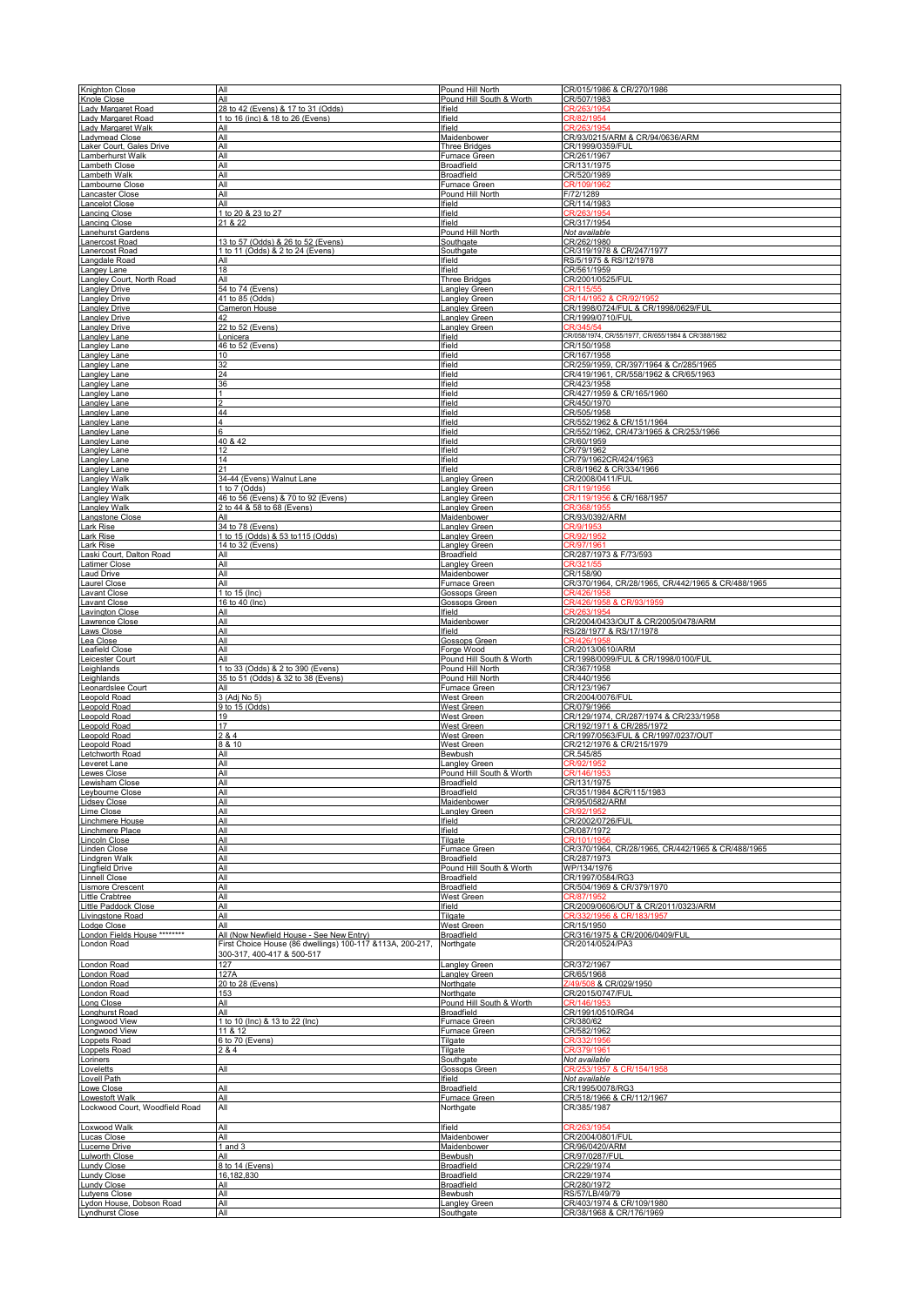| Knighton Close                           | All                                                        | Pound Hill North                         | CR/015/1986 & CR/270/1986                                       |
|------------------------------------------|------------------------------------------------------------|------------------------------------------|-----------------------------------------------------------------|
| Knole Close                              | All                                                        | Pound Hill South & Worth                 | CR/507/1983                                                     |
| Lady Margaret Road                       | 28 to 42 (Evens) & 17 to 31 (Odds)                         | lfield                                   | CR/263/1954                                                     |
| ady Margaret Road                        | 1 to 16 (inc) & 18 to 26 (Evens)                           | lfield                                   | CR/82/1954                                                      |
| ady Margaret Walk                        | All                                                        | Ifield                                   | CR/263/195                                                      |
| advmead Close                            | All                                                        | Maidenbower                              | CR/93/0215/ARM & CR/94/0636/ARM                                 |
| aker Court, Gales Drive                  | All                                                        | <b>Three Bridges</b>                     | CR/1999/0359/FUL                                                |
| amberhurst Walk                          | All                                                        | Furnace Green                            | CR/261/1967                                                     |
| ambeth Close                             | All                                                        | <b>Broadfield</b>                        | CR/131/1975                                                     |
| ambeth Walk                              | All                                                        | <b>Broadfield</b>                        | CR/520/1989                                                     |
| ambourne Close                           | All                                                        | Furnace Green                            | <b>R/109</b>                                                    |
| ancaster Close                           | All                                                        | Pound Hill North                         | F/72/1289                                                       |
| Lancelot Close                           | All                                                        | lfield                                   | CR/114/1983                                                     |
| ancing Close                             | 1 to 20 & 23 to 27                                         | Ifield                                   | 201128                                                          |
| ancing Close                             | 21 & 22                                                    | lfield                                   | CR/317/1954                                                     |
| anehurst Gardens                         | 13 to 57 (Odds) & 26 to 52 (Evens)                         | Pound Hill North                         | Not available                                                   |
| anercost Road                            |                                                            | Southgate                                | CR/262/1980                                                     |
| anercost Road                            | 1 to 11 (Odds) & 2 to 24 (Evens)                           | Southgate                                | CR/319/1978 & CR/247/1977                                       |
| angdale Road                             | All                                                        | lfield                                   | RS/5/1975 & RS/12/1978                                          |
| angey Lane                               | 18                                                         | lfield                                   | CR/561/1959                                                     |
| angley Court, North Road                 | All                                                        | <b>Three Bridges</b>                     | CR/2001/0525/FUL                                                |
| angley Drive                             | 54 to 74 (Evens)                                           | angley Green                             | CR/115/55                                                       |
| angley Drive                             | 41 to 85 (Odds)                                            | angley Green                             | CR/14/1952 & CR/92/1952                                         |
| angley Drive                             | Cameron House                                              | angley Green                             | CR/1998/0724/FUL & CR/1998/0629/FUL                             |
| angley Drive                             | 42                                                         | angley Green                             | CR/1999/0710/FUL                                                |
| angley Drive                             | 22 to 52 (Evens)                                           | angley Green                             | CR/058/1974, CR/55/1977, CR/655/1984 & CR/388/1982              |
| angley Lane                              | Lonicera                                                   | lfield                                   |                                                                 |
| angley Lane                              | 46 to 52 (Evens)                                           | lfield                                   | CR/150/1958                                                     |
| angley Lane                              | 10                                                         | Ifield                                   | CR/167/1958                                                     |
| angley Lane                              | 32                                                         | Ifield                                   | CR/259/1959, CR/397/1964 & Cr/285/1965                          |
| angley Lane                              | 24                                                         | Ifield                                   | CR/419/1961, CR/558/1962 & CR/65/1963                           |
| angley Lane                              | 36                                                         | Ifield                                   | CR/423/1958                                                     |
| angley Lane                              | 1                                                          | Ifield                                   | CR/427/1959 & CR/165/1960                                       |
| angley Lane                              |                                                            | Ifield                                   | CR/450/1970                                                     |
| Langley Lane                             | 44                                                         | Ifield                                   | CR/505/1958                                                     |
| angley Lane                              |                                                            | lfield                                   | CR/552/1962 & CR/151/1964                                       |
| angley Lane                              |                                                            | lfield                                   | CR/552/1962, CR/473/1965 & CR/253/1966                          |
| angley Lane                              | 40 & 42                                                    | lfield                                   | CR/60/1959                                                      |
| angley Lane                              | 12                                                         | lfield                                   | CR/79/1962                                                      |
| angley Lane                              | 14                                                         | Ifield                                   | CR/79/1962CR/424/1963                                           |
| angley Lane                              | 21                                                         | Ifield                                   | CR/8/1962 & CR/334/1966                                         |
| angley Walk                              | 34-44 (Evens) Walnut Lane                                  | Langley Green                            | CR/2008/0411/FUL                                                |
| angley Walk                              | 1 to 7 (Odds)                                              | angley Green                             | CR/119/19                                                       |
| angley Walk                              | 46 to 56 (Evens) & 70 to 92 (Evens)                        | angley Green                             | CR/119/1956 & CR/168/1957                                       |
| angley Walk                              | 2 to 44 & 58 to 68 (Evens)                                 | angley Green                             | CR/368/19                                                       |
| angstone Close                           | All                                                        | Maidenbower                              | CR/93/0392/ARM                                                  |
| ark Rise                                 | 34 to 78 (Evens)                                           | angley Green                             | CR/9/1953                                                       |
| Lark Rise                                | 1 to 15 (Odds) & 53 to 115 (Odds)                          | Langley Green                            | CR/92/1952                                                      |
| ark Rise                                 | 14 to 32 (Evens)                                           | angley Green                             |                                                                 |
| Laski Court, Dalton Road                 | All                                                        | <b>Broadfield</b>                        | CR/97/196<br>CR/287/1973 & F/73/593                             |
| atimer Close.                            | All                                                        | Langley Green                            | CR/321/5                                                        |
| Laud Drive                               | All                                                        | <u>Maidenbower</u>                       | CR/158/90                                                       |
| aurel Close                              | All                                                        | Furnace Green                            | CR/370/1964, CR/28/1965, CR/442/1965 & CR/488/1965              |
| avant Close.                             | 1 to 15 (Inc)                                              | Gossops Green                            | CR/426/1958                                                     |
| Lavant Close                             | 16 to 40 (Inc)                                             | <b>Gossops Green</b>                     | CR/426/1958 & CR/93/1959                                        |
| avington Close                           | All                                                        | Ifield                                   | CR/263                                                          |
| Lawrence Close                           | All                                                        | Maidenbower                              | CR/2004/0433/OUT & CR/2005/0478/ARM                             |
| aws Close                                | All                                                        | lfield                                   | RS/28/1977 & RS/17/1978                                         |
| ea Close                                 | All                                                        | Gossops Green                            | CR/426/1958                                                     |
| Leafield Close                           | All                                                        | Forge Wood                               | CR/2013/0610/ARM                                                |
|                                          |                                                            |                                          |                                                                 |
| eicester Court                           | All                                                        | Pound Hill South & Worth                 | CR/1998/0099/FUL & CR/1998/0100/FUL                             |
| eighlands                                | 1 to 33 (Odds) & 2 to 390 (Evens)                          | Pound Hill North                         | CR/367/1958                                                     |
| eighlands                                | 35 to 51 (Odds) & 32 to 38 (Evens)                         | Pound Hill North                         | CR/440/1956                                                     |
| eonardslee Court                         | All                                                        | Furnace Green                            | CR/123/1967                                                     |
| eopold Road                              | 3 (Adj No 5)                                               | West Green                               | CR/2004/0076/FUL                                                |
| Leopold Road                             | 9 to 15 (Odds)<br>19                                       | West Green                               | CR/079/1966                                                     |
| Leopold Road                             | 17                                                         | West Green                               | CR/129/1974, CR/287/1974 & CR/233/1958                          |
| eopold Road                              |                                                            | West Green                               | CR/192/1971 & CR/285/1972                                       |
| Leopold Road                             | 2 & 4                                                      | West Green                               | CR/1997/0563/FUL & CR/1997/0237/OUT                             |
| eopold Road                              | 8 & 10                                                     | West Green                               | CR/212/1976 & CR/215/1979                                       |
| etchworth Road                           | All                                                        | Bewbush                                  | CR.545/85                                                       |
| Leveret Lane                             | All                                                        |                                          | CR/92/1952                                                      |
| Lewes Close                              | All                                                        | angley Green<br>Pound Hill South & Worth | CR/146/1953                                                     |
| Lewisham Close                           | All                                                        | Broadfield                               | CR/131/1975                                                     |
| Leybourne Close                          |                                                            | <b>Broadfield</b>                        | CR/351/1984 &CR/115/1983                                        |
| Lidsey Close                             | All                                                        | Maidenbower                              | CR/95/0582/ARM                                                  |
| Lime Close                               | All                                                        | Langley Green                            | CR/92/1952                                                      |
| Linchmere House                          | All                                                        | lfield                                   | CR/2002/0726/FUL                                                |
| Linchmere Place                          | All                                                        | lfield                                   | CR/087/1972                                                     |
| Lincoln Close                            | All                                                        | Tilgate                                  | CR/101/195                                                      |
| Linden Close                             | All                                                        | Furnace Green                            | CR/370/1964, CR/28/1965, CR/442/1965 & CR/488/1965              |
| Lindgren Walk                            | All                                                        | Broadfield                               | CR/287/1973                                                     |
| Lingfield Drive                          | All                                                        | Pound Hill South & Worth                 | WP/134/1976                                                     |
| Linnell Close                            | All                                                        | Broadfield                               | CR/1997/0584/RG3                                                |
| Lismore Crescent                         | All                                                        | Broadfield                               | CR/504/1969 & CR/379/1970                                       |
| Little Crabtree                          | All<br>All                                                 | West Green<br>lfield                     |                                                                 |
| Little Paddock Close<br>Livingstone Road | All                                                        | Tilgate                                  | CR/2009/0606/OUT & CR/2011/0323/ARM<br>CR/332/1956 & CR/183/195 |
| Lodge Close                              | All                                                        | West Green                               | CR/15/1950                                                      |
| ondon Fields House ********              | All (Now Newfield House - See New Entry)                   | <b>Broadfield</b>                        | CR/316/1975 & CR/2006/0409/FUL                                  |
| London Road                              | First Choice House (86 dwellings) 100-117 & 113A, 200-217, | Northgate                                | CR/2014/0524/PA3                                                |
| London Road                              | 300-317, 400-417 & 500-517<br>127                          | Langley Green                            | CR/372/1967                                                     |
| London Road                              | 127A                                                       | angley Green                             | CR/65/1968                                                      |
| London Road                              | 20 to 28 (Evens)                                           | Northgate                                | Z/49/508 & CR/029/1950                                          |
| London Road                              | 153                                                        | Northgate                                | CR/2015/0747/FUL                                                |
| ong Close                                | All                                                        | Pound Hill South & Worth                 | CR/146/1953                                                     |
| Longhurst Road                           | All                                                        | Broadfield                               | CR/1991/0510/RG4                                                |
| ongwood View                             | 1 to 10 (Inc) & 13 to 22 (Inc)                             | Furnace Green                            | CR/380/62                                                       |
| ongwood View                             | 11 & 12                                                    | Furnace Green                            | CR/582/1962                                                     |
| Loppets Road                             | 6 to 70 (Evens)                                            | Tilgate                                  | CR/332/1956                                                     |
| Loppets Road                             | 2 & 4                                                      | Tilgate                                  | CR/379/1961                                                     |
| .oriners                                 |                                                            | Southgate                                | Not available                                                   |
| .oveletts                                | All                                                        | Gossops Green                            | CR/154/1958                                                     |
| Lovell Path                              | All                                                        | lfield                                   | Not available                                                   |
| owe Close                                |                                                            | Broadfield                               | CR/1995/0078/RG3                                                |
| owestoft Walk                            | All                                                        | Furnace Green                            | CR/518/1966 & CR/112/1967                                       |
| Lockwood Court, Woodfield Road           | All                                                        | Northgate                                | CR/385/1987                                                     |
|                                          |                                                            |                                          |                                                                 |
| Loxwood Walk                             | All                                                        | lfield                                   | CR/263/1954                                                     |
| Lucas Close                              | All                                                        | <u>Maidenbower</u>                       | CR/2004/0801/FUI                                                |
| Lucerne Drive                            | 1 and $3$<br>All                                           | <u>Maidenbower</u>                       | CR/96/0420/ARM                                                  |
| Lulworth Close                           | 8 to 14 (Evens)                                            | Bewbush                                  | CR/97/0287/FUL                                                  |
| Lundy Close                              |                                                            | Broadfield                               | CR/229/1974                                                     |
| Lundy Close                              | 16, 182, 830                                               | Broadfield                               | CR/229/1974                                                     |
| Lundy Close                              | All                                                        | <b>Broadfield</b>                        | CR/280/1972                                                     |
| Lutyens Close                            | All                                                        | Bewbush                                  | RS/57/LB/49/79                                                  |
| Lydon House, Dobson Road                 | All                                                        | Langley Green                            | CR/403/1974 & CR/109/1980                                       |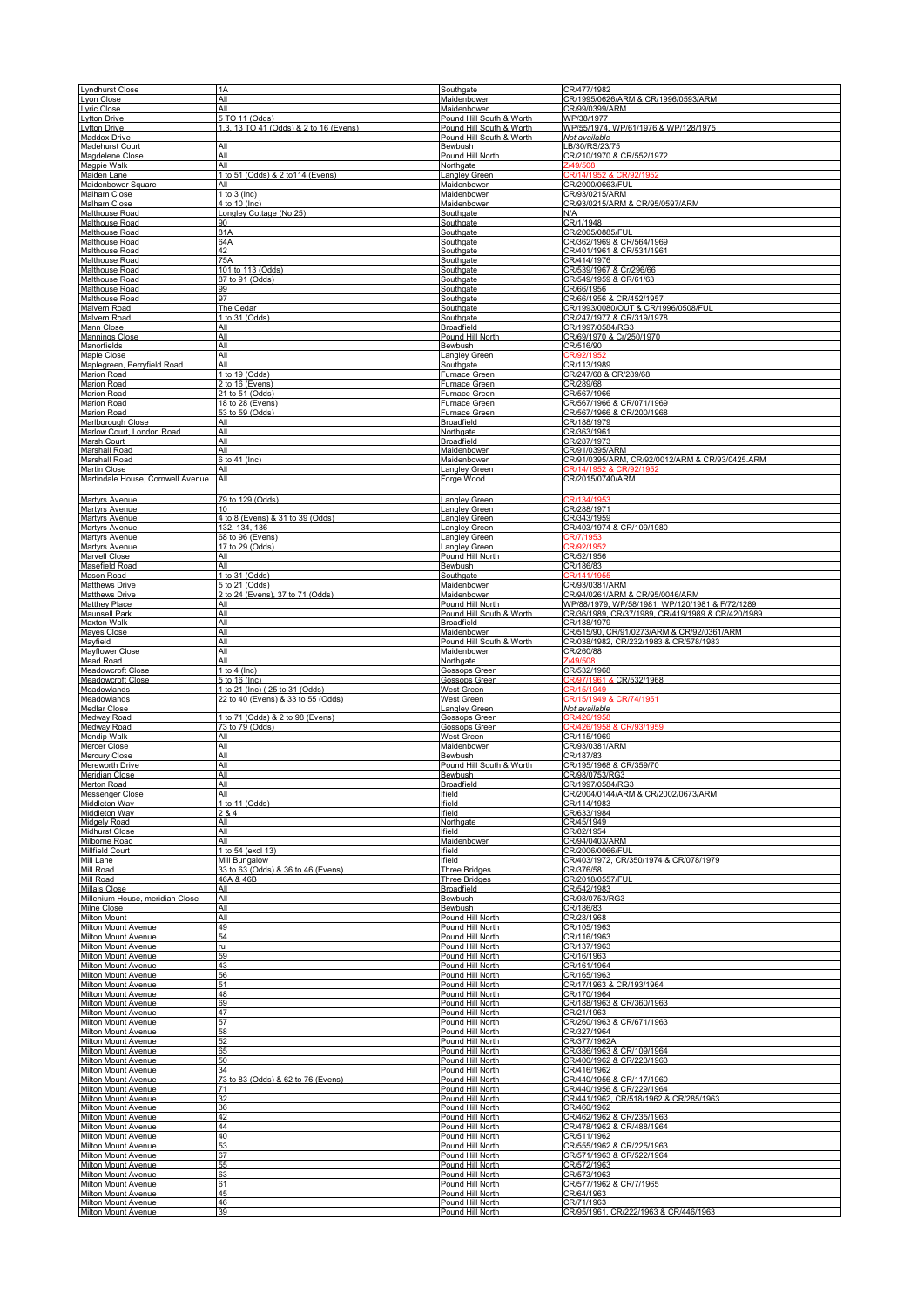| <b>Lyndhurst Close</b>                            | 1A                                                                   | Southgate                                            | CR/477/1982                                                                        |
|---------------------------------------------------|----------------------------------------------------------------------|------------------------------------------------------|------------------------------------------------------------------------------------|
| Lyon Close<br>Lyric Close                         | All<br>All                                                           | Maidenbower<br>Maidenbower                           | CR/1995/0626/ARM & CR/1996/0593/ARM<br>CR/99/0399/ARM                              |
| vtton Drive                                       | 5 TO 11 (Odds)                                                       | Pound Hill South & Worth                             | WP/38/1977                                                                         |
| vtton Drive<br>Maddox Drive                       | 1,3, 13 TO 41 (Odds) & 2 to 16 (Evens)                               | Pound Hill South & Worth<br>Pound Hill South & Worth | WP/55/1974, WP/61/1976 & WP/128/1975<br>Not available                              |
| Madehurst Court                                   | All                                                                  | Bewbush                                              | LB/30/RS/23/75                                                                     |
| Magdelene Close                                   | All<br>All                                                           | Pound Hill North                                     | CR/210/1970 & CR/552/1972                                                          |
| Magpie Walk<br>Maiden Lane                        | 1 to 51 (Odds) & 2 to 114 (Evens)                                    | Northgate<br>angley Green                            | CR/14/19                                                                           |
| <b>Maidenbower Square</b>                         | ΑIΙ                                                                  | Maidenbower                                          | CR/2000/0663/FUI                                                                   |
| Malham Close<br>Malham Close                      | 1 to $3$ (lnc)<br>4 to 10 (Inc)                                      | Maidenbower<br>Maidenbower                           | CR/93/0215/ARM<br>CR/93/0215/ARM & CR/95/0597/ARM                                  |
| Malthouse Road                                    | ongley Cottage (No 25)                                               | Southgate                                            | N/A                                                                                |
| Malthouse Road<br>Malthouse Road                  | 90<br>81A                                                            | Southgate<br>Southgate                               | CR/1/1948<br>CR/2005/0885/FUL                                                      |
| Malthouse Road                                    | 64A                                                                  | Southgate                                            | CR/362/1969 & CR/564/1969                                                          |
| Malthouse Road                                    | 42                                                                   | Southgate                                            | CR/401/1961 & CR/531/1961                                                          |
| Malthouse Road<br>Malthouse Road                  | 75A<br>101 to 113 (Odds)                                             | Southgate<br>Southgate                               | CR/414/1976<br>CR/539/1967 & Cr/296/66                                             |
| Malthouse Road                                    | 87 to 91 (Odds)                                                      | Southgate                                            | CR/549/1959 & CR/61/63                                                             |
| Malthouse Road<br>Malthouse Road                  | 99<br>97                                                             | Southgate<br>Southgate                               | CR/66/1956<br>CR/66/1956 & CR/452/1957                                             |
| Malvern Road                                      | The Cedar                                                            | Southgate                                            | CR/1993/0080/OUT & CR/1996/0508/FUL                                                |
| Malvern Road                                      | 1 to 31 (Odds)                                                       | Southgate                                            | CR/247/1977 & CR/319/1978<br>CR/1997/0584/RG3                                      |
| Mann Close<br><b>Mannings Close</b>               | All<br>All                                                           | <b>Broadfield</b><br>Pound Hill North                | CR/69/1970 & Cr/250/1970                                                           |
| Manorfields                                       | All                                                                  | Bewbush                                              | CR/516/90                                                                          |
| <b>Maple Close</b><br>Maplegreen, Perryfield Road | All<br>All                                                           | Langley Green<br>Southgate                           | CR/92/195<br>CR/113/1989                                                           |
| <b>Marion Road</b>                                | 1 to 19 (Odds)                                                       | Furnace Green                                        | CR/247/68 & CR/289/68                                                              |
| Marion Road                                       | 2 to 16 (Evens)                                                      | Furnace Green                                        | CR/289/68                                                                          |
| <b>Marion Road</b><br>Marion Road                 | 21 to 51 (Odds)<br>18 to 28 (Evens)                                  | Furnace Green<br>Furnace Green                       | CR/567/1966<br>CR/567/1966 & CR/071/1969                                           |
| Marion Road                                       | 53 to 59 (Odds)                                                      | Furnace Green                                        | CR/567/1966 & CR/200/1968                                                          |
| Marlborough Close<br>Marlow Court, London Road    | All<br>All                                                           | <b>Broadfield</b><br>Northgate                       | CR/188/1979<br>CR/363/1961                                                         |
| Marsh Court                                       | All                                                                  | <b>Broadfield</b>                                    | CR/287/1973                                                                        |
| Marshall Road                                     | All<br>6 to 41 (Inc)                                                 | Maidenbower                                          | CR/91/0395/ARM                                                                     |
| <b>Marshall Road</b><br><b>Martin Close</b>       | All                                                                  | Maidenbower<br>angley Green                          | CR/91/0395/ARM, CR/92/0012/ARM & CR/93/0425.ARM                                    |
| Martindale House, Cornwell Avenue                 | All                                                                  | Forge Wood                                           | CR/2015/0740/ARM                                                                   |
|                                                   | 79 to 129 (Odds)                                                     |                                                      | CR/134                                                                             |
| Martyrs Avenue<br>Martyrs Avenue                  | 10                                                                   | Langley Green<br><b>Langley Green</b>                | CR/288/1971                                                                        |
| Martyrs Avenue                                    | 4 to 8 (Evens) & 31 to 39 (Odds)                                     | <b>Langley Green</b>                                 | CR/343/1959                                                                        |
| Martyrs Avenue<br>Martyrs Avenue                  | 132, 134, 136<br>68 to 96 (Evens)                                    | angley Green<br>angley Green                         | CR/403/1974 & CR/109/1980<br>CR/7/1953                                             |
| Martyrs Avenue                                    | 17 to 29 (Odds)                                                      | Langley Green                                        | CR/92/195                                                                          |
| <b>Marvell Close</b><br>Masefield Road            | All<br>All                                                           | Pound Hill North<br>Bewbush                          | CR/52/1956<br>CR/186/83                                                            |
| Mason Road                                        | 1 to 31 (Odds)                                                       | Southgate                                            | CR/141/19                                                                          |
| <b>Matthews Drive</b>                             | 5 to 21 (Odds)                                                       | Maidenbower                                          | CR/93/0381/ARM                                                                     |
| <b>Matthews Drive</b><br><b>Matthey Place</b>     | 2 to 24 (Evens), 37 to 71 (Odds<br>All                               | Maidenbower<br>Pound Hill North                      | CR/94/0261/ARM & CR/95/0046/ARM<br>WP/88/1979, WP/58/1981, WP/120/1981 & F/72/1289 |
| <b>Maunsell Park</b>                              | All                                                                  | Pound Hill South & Worth                             | CR/36/1989, CR/37/1989, CR/419/1989 & CR/420/1989                                  |
| <b>Maxton Walk</b><br>Mayes Close                 | All<br>All                                                           | Broadfield<br>Maidenbower                            | CR/188/1979<br>CR/515/90, CR/91/0273/ARM & CR/92/0361/ARM                          |
| Mayfield                                          | All                                                                  | Pound Hill South & Worth                             | CR/038/1982, CR/232/1983 & CR/578/1983                                             |
| Mayflower Close                                   | All                                                                  | Maidenbower                                          | CR/260/88                                                                          |
| Mead Road<br>Meadowcroft Close                    | All<br>1 to 4 ( $ln c$ )                                             | Northgate<br>Gossops Green                           | 749/508<br>CR/532/1968                                                             |
| Meadowcroft Close                                 | 5 to 16 (Inc)                                                        | Gossops Green                                        | CR/97/1961 & CR/532/1968                                                           |
| Meadowlands                                       | 1 to 21 (Inc) (25 to 31 (Odds)<br>22 to 40 (Evens) & 33 to 55 (Odds) | <u>West Green</u>                                    | CR/15/1949<br>CR/15/1949 & CR/74/1951                                              |
| Meadowlands<br><b>Medlar Close</b>                |                                                                      | West Green<br>Langley Green                          | Not available                                                                      |
| Medway Road                                       | 1 to 71 (Odds) & 2 to 98 (Evens)                                     | <b>Gossops Green</b>                                 | CR/426/1958                                                                        |
| Medway Road<br><b>Mendip Walk</b>                 | 73 to 79 (Odds)<br>All                                               | <b>Gossops Green</b><br><b>West Green</b>            | CR/426/1958 & CR/93/1959<br>CR/115/1969                                            |
| Mercer Close                                      | All                                                                  | Maidenbower                                          | CR/93/0381/ARM                                                                     |
| <b>Mercury Close</b><br>Mereworth Drive           | All<br>All                                                           | Bewbush<br>Pound Hill South & Worth                  | CR/187/83<br>CR/195/1968 & CR/359/70                                               |
| <b>Meridian Close</b>                             | All                                                                  | Bewbush                                              | CR/98/0753/RG3                                                                     |
| Merton Road                                       | All                                                                  | <b>Broadfield</b>                                    | CR/1997/0584/RG3                                                                   |
| <b>Messenger Close</b><br>Middleton Way           | All<br>1 to 11 (Odds)                                                | Ifield<br>Ifield                                     | CR/2004/0144/ARM & CR/2002/0673/ARM<br>CR/114/1983                                 |
| Middleton Way                                     | 2 & 4                                                                | Ifield                                               | CR/633/1984                                                                        |
| Midgely Road<br><b>Midhurst Close</b>             | All<br>All                                                           | Northgate<br>Ifield                                  | CR/45/1949<br>CR/82/1954                                                           |
| Milborne Road                                     | All                                                                  | Maidenbower                                          | CR/94/0403/ARM                                                                     |
| <b>Millfield Court</b>                            | 1 to 54 (excl 13)                                                    | Ifield                                               | CR/2006/0066/FUI                                                                   |
| Mill Lane<br>Mill Road                            | Mill Bungalow<br>33 to 63 (Odds) & 36 to 46 (Evens)                  | Ifield<br><b>Three Bridges</b>                       | CR/403/1972, CR/350/1974 & CR/078/1979<br>CR/376/58                                |
| Mill Road                                         | 46A & 46B                                                            | <b>Three Bridges</b>                                 | CR/2018/0557/FUL                                                                   |
| Millais Close<br>Millenium House, meridian Close  | All<br>All                                                           | <b>Broadfield</b><br>Bewbush                         | CR/542/1983<br>CR/98/0753/RG3                                                      |
| Milne Close                                       | All                                                                  | Bewbush                                              | CR/186/83                                                                          |
| <b>Milton Mount</b>                               | All                                                                  | Pound Hill North                                     | CR/28/1968                                                                         |
| Milton Mount Avenue<br>Milton Mount Avenue        | 49<br>54                                                             | Pound Hill North<br>Pound Hill North                 | CR/105/1963<br>CR/116/1963                                                         |
| Milton Mount Avenue                               | ru                                                                   | Pound Hill North                                     | CR/137/1963                                                                        |
| <b>Milton Mount Avenue</b>                        | 59<br>43                                                             | Pound Hill North<br>Pound Hill North                 | CR/16/1963<br>CR/161/1964                                                          |
| Milton Mount Avenue<br><b>Milton Mount Avenue</b> | 56                                                                   | Pound Hill North                                     | CR/165/1963                                                                        |
| Milton Mount Avenue                               | 51                                                                   | Pound Hill North                                     | CR/17/1963 & CR/193/1964                                                           |
| Milton Mount Avenue<br>Milton Mount Avenue        |                                                                      |                                                      |                                                                                    |
| Milton Mount Avenue                               | 48                                                                   | Pound Hill North                                     | CR/170/1964                                                                        |
|                                                   | 69<br>47                                                             | Pound Hill North<br>Pound Hill North                 | CR/188/1963 & CR/360/1963<br>CR/21/1963                                            |
| Milton Mount Avenue                               | 57                                                                   | Pound Hill North                                     | CR/260/1963 & CR/671/1963                                                          |
| Milton Mount Avenue<br>Milton Mount Avenue        | 58<br>52                                                             | Pound Hill North<br>Pound Hill North                 | CR/327/1964<br>CR/377/1962A                                                        |
| Milton Mount Avenue                               | 65                                                                   | Pound Hill North                                     | CR/386/1963 & CR/109/1964                                                          |
| Milton Mount Avenue                               | 50                                                                   | Pound Hill North                                     | CR/400/1962 & CR/223/1963                                                          |
| Milton Mount Avenue<br>Milton Mount Avenue        | 34<br>73 to 83 (Odds) & 62 to 76 (Evens)                             | Pound Hill North<br>Pound Hill North                 | CR/416/1962<br>CR/440/1956 & CR/117/1960                                           |
| Milton Mount Avenue                               | 71                                                                   | Pound Hill North                                     | CR/440/1956 & CR/229/1964                                                          |
| Milton Mount Avenue                               | 32                                                                   | Pound Hill North<br>Pound Hill North                 | CR/441/1962, CR/518/1962 & CR/285/1963                                             |
| Milton Mount Avenue<br>Milton Mount Avenue        | 36<br>42                                                             | Pound Hill North                                     | CR/460/1962<br>CR/462/1962 & CR/235/1963                                           |
| Milton Mount Avenue                               | 44                                                                   | Pound Hill North                                     | CR/478/1962 & CR/488/1964                                                          |
| Milton Mount Avenue<br>Milton Mount Avenue        | 40<br>53                                                             | Pound Hill North<br>Pound Hill North                 | CR/511/1962<br>CR/555/1962 & CR/225/1963                                           |
| Milton Mount Avenue                               | 67                                                                   | Pound Hill North                                     | CR/571/1963 & CR/522/1964                                                          |
| Milton Mount Avenue<br>Milton Mount Avenue        | 55<br>63                                                             | Pound Hill North<br>Pound Hill North                 | CR/572/1963<br>CR/573/1963                                                         |
| Milton Mount Avenue                               | 61                                                                   | Pound Hill North                                     | CR/577/1962 & CR/7/1965                                                            |
| Milton Mount Avenue<br>Milton Mount Avenue        | 45<br>46                                                             | Pound Hill North<br>Pound Hill North                 | CR/64/1963<br>CR/71/1963                                                           |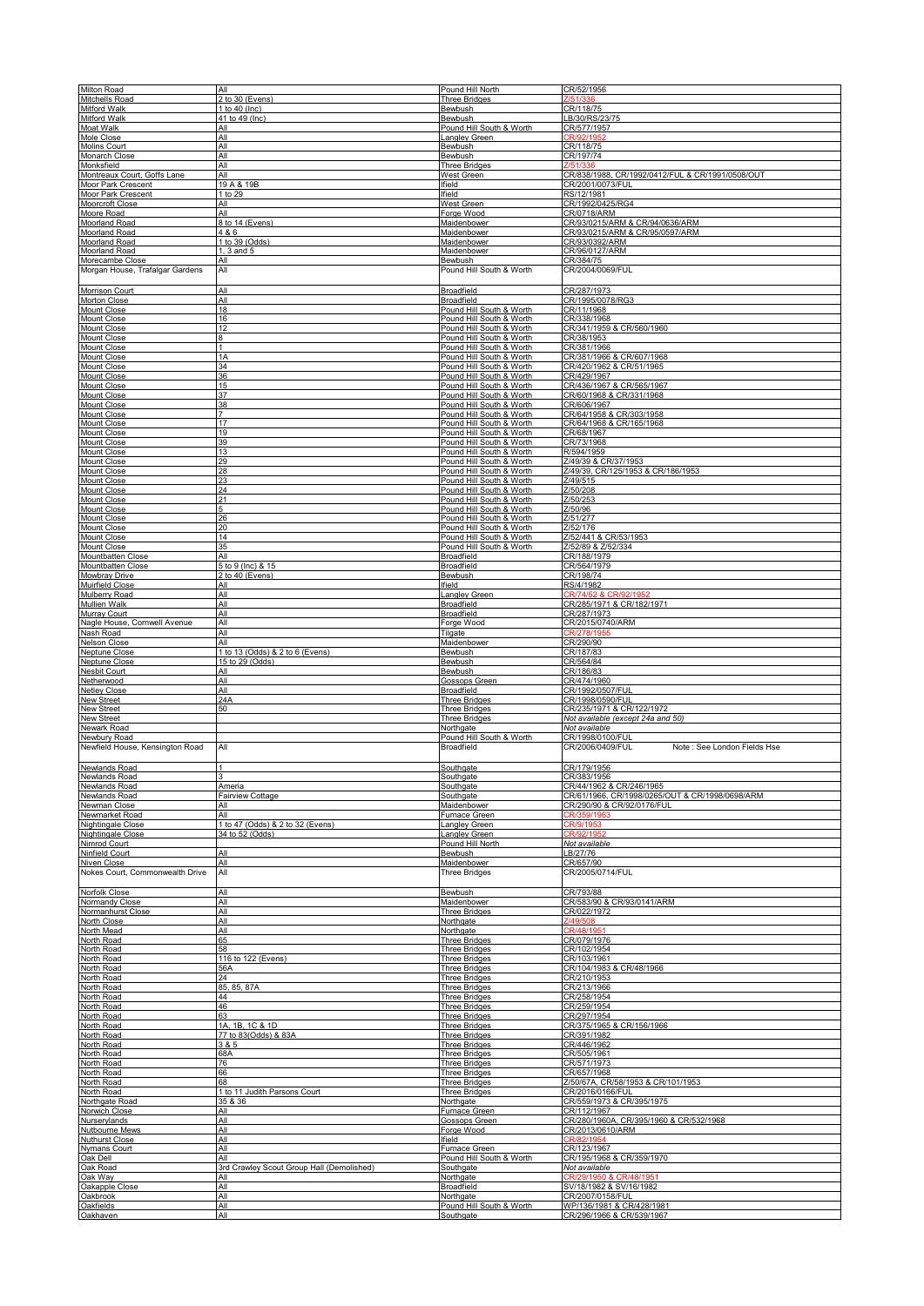| <b>Milton Road</b>                           | All<br>2 to 30 (Evens)                    | Pound Hill North<br><b>Three Bridges</b> | CR/52/1956                                       |
|----------------------------------------------|-------------------------------------------|------------------------------------------|--------------------------------------------------|
| <b>Mitchells Road</b><br><b>Mitford Walk</b> | 1 to 40 (Inc)                             | Bewbush                                  | CR/118/75                                        |
| Mitford Walk                                 | 41 to 49 (Inc)                            | Bewbush                                  | LB/30/RS/23/75                                   |
| Moat Walk                                    | ΑIΙ                                       | Pound Hill South & Worth                 | CR/577/1957                                      |
| Mole Close                                   | All                                       | angley Green                             |                                                  |
| <b>Molins Court</b>                          | All                                       | Bewbush                                  | CR/118/75                                        |
| Monarch Close                                | All                                       | Bewbush                                  | CR/197/74                                        |
| Monksfield                                   | All                                       | Three Bridges                            | CR/838/1988, CR/1992/0412/FUL & CR/1991/0508/OUT |
| Montreaux Court, Goffs Lane                  | All                                       | West Green                               |                                                  |
| Moor Park Crescent                           | 19 A & 19B                                | lfield                                   | CR/2001/0073/FUL                                 |
| Moor Park Crescent                           | 1 to 29                                   | lfield                                   | RS/12/1981                                       |
| Moorcroft Close                              | All                                       | West Green                               | CR/1992/0425/RG4                                 |
| Moore Road                                   | All                                       | Forge Wood                               | CR/0718/ARM                                      |
| <b>Moorland Road</b>                         | 8 to 14 (Evens)                           | <b>Maidenbower</b>                       | CR/93/0215/ARM & CR/94/0636/ARM                  |
| <b>Moorland Road</b>                         | 4 & 6                                     | Maidenbower                              | CR/93/0215/ARM & CR/95/0597/ARM                  |
| Moorland Road                                | 1 to 39 (Odds)                            | Maidenbower                              | CR/93/0392/ARM                                   |
| Moorland Road                                | 1, 3 and 5                                | Maidenbower                              | CR/96/0127/ARM                                   |
| Morecambe Close                              | All                                       | Bewbush                                  | CR/384/75                                        |
| Morgan House, Trafalgar Gardens              | All                                       | Pound Hill South & Worth                 | CR/2004/0069/FUL                                 |
| <b>Morrison Court</b>                        | All                                       | Broadfield                               | CR/287/1973                                      |
| <b>Morton Close</b>                          | All                                       | Broadfield                               | CR/1995/0078/RG3                                 |
| <b>Mount Close</b>                           | 18                                        | Pound Hill South & Worth                 | CR/11/1968                                       |
| <b>Mount Close</b>                           | 16                                        | Pound Hill South & Worth                 | CR/338/1968                                      |
| <b>Mount Close</b>                           | 12                                        | Pound Hill South & Worth                 | CR/341/1959 & CR/560/1960                        |
| <b>Mount Close</b>                           | 8                                         | Pound Hill South & Worth                 | CR/38/1953                                       |
| <b>Mount Close</b>                           | 1A                                        | Pound Hill South & Worth                 | CR/381/1966                                      |
| <b>Mount Close</b>                           | 34                                        | Pound Hill South & Worth                 | CR/381/1966 & CR/607/1968                        |
| Mount Close                                  |                                           | Pound Hill South & Worth                 | CR/420/1962 & CR/51/1965                         |
| Mount Close                                  | 36                                        | Pound Hill South & Worth                 | CR/429/1967                                      |
| <b>Mount Close</b>                           | 15                                        | Pound Hill South & Worth                 | CR/436/1967 & CR/565/1967                        |
| Mount Close                                  | 37                                        | Pound Hill South & Worth                 | CR/60/1968 & CR/331/1968                         |
| Mount Close                                  | 38                                        | Pound Hill South & Worth                 | CR/606/1967                                      |
| <b>Mount Close</b>                           | 7                                         | Pound Hill South & Worth                 | CR/64/1958 & CR/303/1958                         |
| <b>Mount Close</b>                           | 17                                        | Pound Hill South & Worth                 | CR/64/1968 & CR/165/1968                         |
| <b>Mount Close</b>                           | 19                                        | Pound Hill South & Worth                 | CR/68/1967                                       |
| <b>Mount Close</b>                           | 39                                        | Pound Hill South & Worth                 | CR/73/1968                                       |
| <b>Mount Close</b>                           | 13                                        | Pound Hill South & Worth                 | R/594/1959                                       |
| <b>Mount Close</b>                           | 29                                        | Pound Hill South & Worth                 | Z/49/39 & CR/37/1953                             |
| Mount Close                                  | 28                                        | Pound Hill South & Worth                 | Z/49/39, CR/125/1953 & CR/186/1953               |
| <b>Mount Close</b>                           | 23                                        | Pound Hill South & Worth                 | Z/49/515                                         |
| <b>Mount Close</b>                           | 24                                        | Pound Hill South & Worth                 | Z/50/208                                         |
| <b>Mount Close</b>                           | 21                                        | Pound Hill South & Worth                 | Z/50/253                                         |
| <b>Mount Close</b>                           | 26                                        | Pound Hill South & Worth                 | Z/50/96                                          |
| Mount Close                                  |                                           | Pound Hill South & Worth                 | Z/51/277                                         |
| Mount Close                                  | 20                                        | Pound Hill South & Worth                 | Z/52/176                                         |
| <b>Mount Close</b>                           | 14                                        | Pound Hill South & Worth                 | Z/52/441 & CR/53/1953                            |
| <b>Mount Close</b>                           | 35                                        | Pound Hill South & Worth                 | Z/52/89 & Z/52/334                               |
| Mountbatten Close                            | All                                       | Broadfield                               | CR/188/1979                                      |
| <b>Mountbatten Close</b>                     | 5 to 9 (Inc) & 15                         | <b>Broadfield</b>                        | CR/564/1979                                      |
| Mowbray Drive                                | 2 to 40 (Evens)                           | Bewbush                                  | CR/198/74                                        |
| <b>Muirfield Close</b>                       | ΑIΙ                                       | field                                    | RS/4/1982                                        |
| Mulberry Road                                | All                                       | angley Green                             | CR/74/52 & CR/92/195                             |
| Mullien Walk                                 | All<br>All                                | Broadfield                               | CR/285/1971 & CR/182/1971                        |
| Murray Court                                 | All                                       | <b>Broadfield</b>                        | CR/287/1973                                      |
| Nagle House, Cornwell Avenue                 |                                           | Forge Wood                               | CR/2015/0740/ARM                                 |
| Nash Road                                    | All                                       | Tilgate                                  | CR/278/                                          |
| <b>Nelson Close</b>                          | All                                       | Maidenbower                              | CR/290/90                                        |
|                                              |                                           |                                          |                                                  |
| <b>Neptune Close</b>                         | 1 to 13 (Odds) & 2 to 6 (Evens)           | Bewbush                                  | CR/187/83                                        |
| <b>Neptune Close</b>                         | 15 to 29 (Odds)                           | Bewbush                                  | CR/564/84                                        |
| Nesbit Court                                 | All                                       | Bewbush                                  | CR/186/83                                        |
| Netherwood                                   | All                                       | <b>Gossops Green</b>                     | CR/474/1960                                      |
| <b>Netley Close</b>                          | All                                       | <b>Broadfield</b>                        | CR/1992/0507/FUI                                 |
| <b>New Street</b>                            | 24A                                       | <b>Three Bridges</b>                     | CR/1998/0590/FUI                                 |
| <b>New Street</b>                            | 50                                        | <b>Three Bridges</b>                     | CR/235/1971 & CR/122/1972                        |
| <b>New Street</b>                            |                                           | <b>Three Bridges</b>                     | Not available (except 24a and 50)                |
| Newark Road                                  |                                           | Northgate                                | Not available                                    |
| Newbury Road                                 |                                           | Pound Hill South & Worth                 | CR/1998/0100/FU                                  |
| Newfield House, Kensington Road              | All                                       | Broadfield                               | CR/2006/0409/FUL<br>Note : See London Fields Hse |
| Newlands Road                                |                                           | Southgate                                | CR/179/1956                                      |
| Newlands Road                                | 3                                         | Southgate                                | CR/383/1956                                      |
| Newlands Road                                | Ameria                                    | Southgate                                | CR/44/1962 & CR/246/1965                         |
| Newlands Road                                | <b>Fairview Cottage</b>                   | Southgate                                | CR/61/1966, CR/1998/0265/OUT & CR/1998/0698/ARM  |
| Newman Close                                 | All                                       | Maidenbower                              | CR/290/90 & CR/92/0176/FUL                       |
| Newmarket Road                               | All                                       | <b>Furnace Green</b>                     | CR/359/196                                       |
| Nightingale Close                            | 1 to 47 (Odds) & 2 to 32 (Evens)          | Langley Green                            | CR/9/1953                                        |
| Nightingale Close                            | 34 to 52 (Odds)                           | Langley Green                            | CR/92/1952                                       |
| Nimrod Court                                 |                                           | Pound Hill North                         | Not available                                    |
| <b>Ninfield Court</b>                        | All                                       | Bewbush                                  | LB/27/76                                         |
| Niven Close                                  | All                                       | Maidenbower                              | CR/657/90                                        |
| Nokes Court, Commonwealth Drive              | All                                       | <b>Three Bridges</b>                     | CR/2005/0714/FUL                                 |
| Norfolk Close                                | All                                       | Bewbush                                  | CR/793/88                                        |
| Normandy Close                               | All                                       | <b>Maidenbower</b>                       | CR/583/90 & CR/93/0141/ARM                       |
| Normanhurst Close                            | All                                       | <b>Three Bridges</b>                     | CR/022/1972                                      |
| North Close                                  | All                                       | Northgate                                | 749/508                                          |
| North Mead                                   | All                                       | Northgate                                | CR/48/195                                        |
| North Road                                   | 65                                        | <b>Three Bridges</b>                     | CR/079/1976                                      |
| North Road                                   | 58                                        | Three Bridges                            | CR/102/1954                                      |
| North Road                                   | 116 to 122 (Evens)                        | <b>Three Bridges</b>                     | CR/103/1961                                      |
| North Road                                   | 56A                                       | <b>Three Bridges</b>                     | CR/104/1983 & CR/48/1966                         |
| North Road                                   | 24                                        | <b>Three Bridges</b>                     | CR/210/1953                                      |
| North Road                                   | 85, 85, 87A                               | <b>Three Bridges</b>                     | CR/213/1966                                      |
| North Road                                   | 44                                        | <b>Three Bridges</b>                     | CR/258/1954                                      |
| North Road                                   | 46                                        | <b>Three Bridges</b>                     | CR/259/1954                                      |
| North Road                                   | 63                                        | <b>Three Bridges</b>                     | CR/297/1954                                      |
| North Road                                   | 1A, 1B, 1C & 1D                           | <b>Three Bridges</b>                     | CR/375/1965 & CR/156/1966                        |
| North Road                                   | 77 to 83(Odds) & 83A                      | <b>Three Bridges</b>                     | CR/391/1982                                      |
| North Road                                   | 3 & 5                                     | <b>Three Bridges</b>                     | CR/446/1962                                      |
| North Road                                   | 68A                                       | <b>Three Bridges</b>                     | CR/505/1961                                      |
| North Road                                   | 76                                        | <b>Three Bridges</b>                     | CR/571/1973                                      |
| North Road                                   | 66                                        | <b>Three Bridges</b>                     | CR/657/1968                                      |
| North Road                                   | 68                                        | <b>Three Bridges</b>                     | Z/50/67A, CR/58/1953 & CR/101/1953               |
| North Road                                   | 1 to 11 Judith Parsons Court              | <b>Three Bridges</b>                     | CR/2016/0166/FUL                                 |
| Northgate Road                               | 35 & 36                                   | Northgate                                | CR/559/1973 & CR/395/1975                        |
| Norwich Close                                | All                                       | Furnace Green                            | CR/112/1967                                      |
| Nurserylands                                 | All                                       | Gossops Green                            | CR/280/1960A, CR/395/1960 & CR/532/1968          |
| Nutbourne Mews                               | All                                       | Forge Wood<br>lfield                     | CR/2013/0610/ARM                                 |
| <b>Nuthurst Close</b>                        | All                                       | Furnace Green                            | CR/82/1954                                       |
| <b>Nymans Court</b>                          | All                                       |                                          | CR/123/1967                                      |
| Oak Dell                                     | All                                       | Pound Hill South & Worth                 | CR/195/1968 & CR/359/1970                        |
| Oak Road                                     | 3rd Crawley Scout Group Hall (Demolished) | Southgate                                | Not available                                    |
| Oak Way                                      | All                                       | Northgate                                | CR/29/1950 & CR/48/195                           |
| Oakapple Close                               | All                                       | <b>Broadfield</b>                        | SV/18/1982 & SV/16/1982                          |
| Oakbrook                                     | All                                       | Northgate                                | CR/2007/0158/FUL                                 |
| Oakfields                                    | All                                       | Pound Hill South & Worth                 | WP/136/1981 & CR/428/1981                        |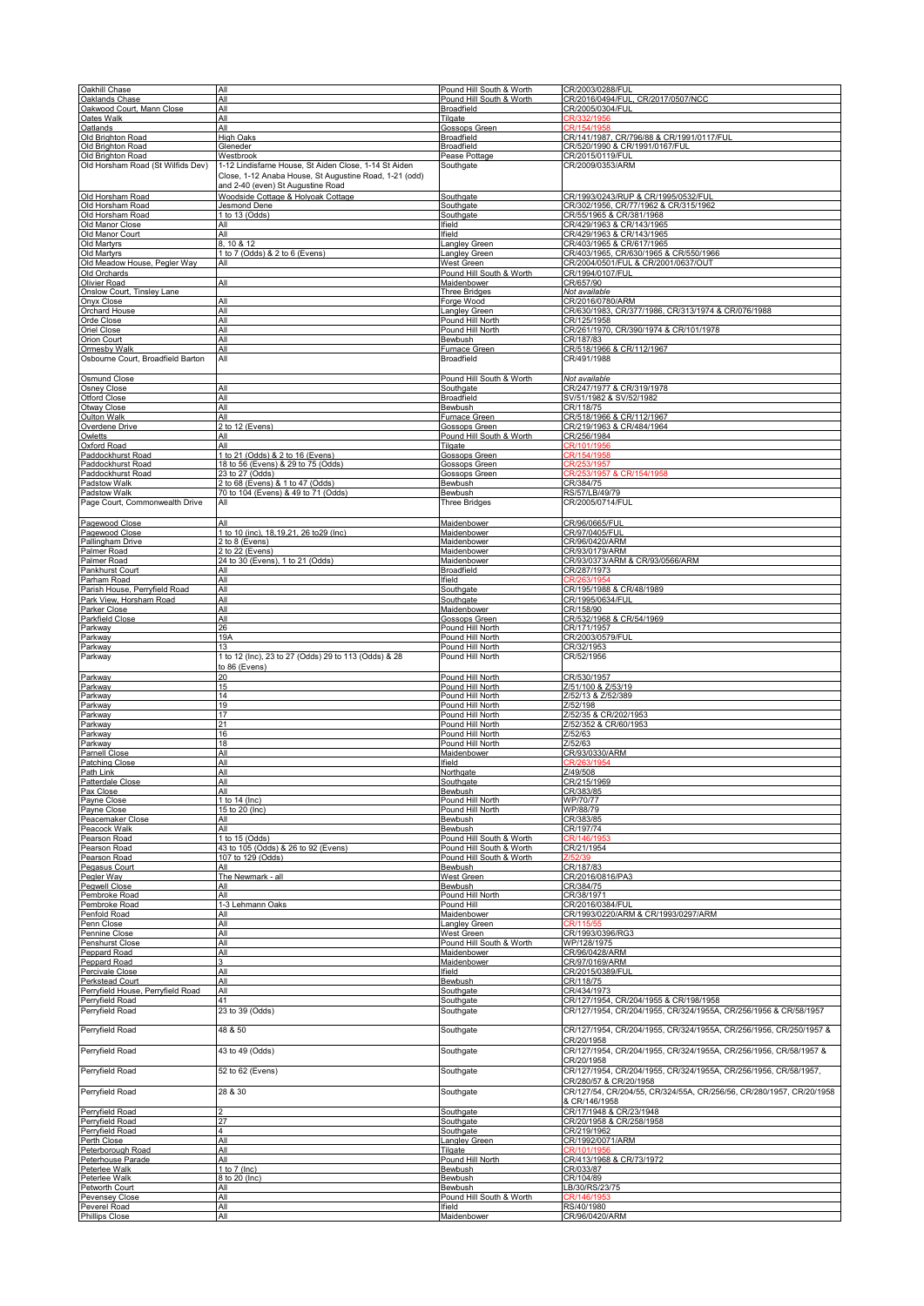| Oakhill Chase                                                                                                                                                            | All                                                                                                             | Pound Hill South & Worth                             | CR/2003/0288/FUL                                                                               |
|--------------------------------------------------------------------------------------------------------------------------------------------------------------------------|-----------------------------------------------------------------------------------------------------------------|------------------------------------------------------|------------------------------------------------------------------------------------------------|
| Oaklands Chase<br>Oakwood Court, Mann Close<br>Oates Walk                                                                                                                | All<br>All                                                                                                      | Pound Hill South & Worth<br>Broadfield               | CR/2016/0494/FUL, CR/2017/0507/NCC<br>CR/2005/0304/FUL                                         |
|                                                                                                                                                                          | All                                                                                                             | Tilgate                                              | CR/332/1956                                                                                    |
| Oatlands<br>Old Brighton Road                                                                                                                                            | All<br><b>High Oaks</b>                                                                                         | Gossops Green<br>Broadfield                          | CR/154/1958<br>CR/141/1987, CR/796/88 & CR/1991/0117/FUL                                       |
| Old Brighton Road                                                                                                                                                        | Gleneder                                                                                                        | Broadfield                                           | CR/520/1990 & CR/1991/0167/FUL                                                                 |
| Old Brighton Road                                                                                                                                                        | Westbrook                                                                                                       | Pease Pottage                                        | CR/2015/0119/FUI                                                                               |
| Old Horsham Road (St Wilfids Dev)                                                                                                                                        | 1-12 Lindisfarne House, St Aiden Close, 1-14 St Aiden<br>Close, 1-12 Anaba House, St Augustine Road, 1-21 (odd) | Southgate                                            | CR/2009/0353/ARM                                                                               |
|                                                                                                                                                                          | and 2-40 (even) St Augustine Road                                                                               |                                                      |                                                                                                |
| Old Horsham Road<br>Old Horsham Road<br>Old Horsham Road                                                                                                                 | Woodside Cottage & Holvoak Cottage                                                                              | Southgate                                            | CR/1993/0243/RUP & CR/1995/0532/FUL                                                            |
|                                                                                                                                                                          | Jesmond Dene<br>1 to 13 (Odds)                                                                                  | Southgate<br>Southgate                               | CR/302/1956, CR/77/1962 & CR/315/1962<br>CR/55/1965 & CR/381/1968                              |
| Old Manor Close                                                                                                                                                          | All                                                                                                             | Ifield                                               | CR/429/1963 & CR/143/1965                                                                      |
| Old Manor Court<br>Old Martyrs                                                                                                                                           | All<br>8, 10 & 12                                                                                               | Ifield<br>Langley Green                              | CR/429/1963 & CR/143/1965<br>CR/403/1965 & CR/617/1965                                         |
| Old Martyrs                                                                                                                                                              | 1 to 7 (Odds) & 2 to 6 (Evens)                                                                                  | angley Green                                         | CR/403/1965, CR/630/1965 & CR/550/1966                                                         |
| Old Meadow House, Pegler Way                                                                                                                                             | All                                                                                                             | West Green                                           | CR/2004/0501/FUL & CR/2001/0637/OUT                                                            |
| Old Orchards                                                                                                                                                             | All                                                                                                             | Pound Hill South & Worth<br>Maidenbower              | CR/1994/0107/FUI<br>CR/657/90                                                                  |
| Olivier Road<br>Onslow Court, Tinsley Lane                                                                                                                               |                                                                                                                 | <b>Three Bridges</b>                                 | Not available                                                                                  |
| Onyx Close<br>Orchard House<br>Orde Close<br>Oriel Close<br>Orion Court                                                                                                  | All                                                                                                             | Forge Wood                                           | CR/2016/0780/ARM                                                                               |
|                                                                                                                                                                          | All<br>All                                                                                                      | angley Green<br>Pound Hill North                     | CR/630/1983, CR/377/1986, CR/313/1974 & CR/076/1988<br>CR/125/1958                             |
|                                                                                                                                                                          | All                                                                                                             | Pound Hill North                                     | CR/261/1970, CR/390/1974 & CR/101/1978                                                         |
| Ormesby Walk                                                                                                                                                             | All<br>All                                                                                                      | Bewbush<br>Furnace Green                             | CR/187/83<br>CR/518/1966 & CR/112/1967                                                         |
| Osbourne Court, Broadfield Barton                                                                                                                                        | All                                                                                                             | Broadfield                                           | CR/491/1988                                                                                    |
|                                                                                                                                                                          |                                                                                                                 |                                                      |                                                                                                |
| <b>Osmund Close</b>                                                                                                                                                      | All                                                                                                             | Pound Hill South & Worth<br>Southgate                | Not available<br>CR/247/1977 & CR/319/1978                                                     |
| Osney Close<br>Otford Close                                                                                                                                              | All                                                                                                             | Broadfield                                           | SV/51/1982 & SV/52/1982                                                                        |
|                                                                                                                                                                          | All                                                                                                             | Bewbush                                              | CR/118/75                                                                                      |
|                                                                                                                                                                          | All<br>2 to 12 (Evens)                                                                                          | Furnace Green<br>Gossops Green                       | CR/518/1966 & CR/112/1967<br>CR/219/1963 & CR/484/1964                                         |
|                                                                                                                                                                          | All                                                                                                             | Pound Hill South & Worth                             | CR/256/1984                                                                                    |
|                                                                                                                                                                          | All<br>1 to 21 (Odds) & 2 to 16 (Evens)                                                                         | Tilgate                                              | CR/101/195<br>CR/154/1958                                                                      |
|                                                                                                                                                                          | 18 to 56 (Evens) & 29 to 75 (Odds)                                                                              | Gossops Green<br><b>Gossops Green</b>                |                                                                                                |
| Offord Close<br>Colution Walk<br>Coverdene Drive<br>Colution<br>Medical Paddockhurst Road<br>Paddockhurst Road<br>Paddockhurst Road<br>Paddockhurst Road<br>Padstow Walk | 23 to 27 (Odds)                                                                                                 | <b>Gossops Green</b>                                 | & CR/154/195                                                                                   |
| Padstow Walk                                                                                                                                                             | 2 to 68 (Evens) & 1 to 47 (Odds)<br>70 to 104 (Evens) & 49 to 71 (Odds)                                         | Bewbush<br>Bewbush                                   | CR/384/75<br>RS/57/LB/49/79                                                                    |
| Page Court, Commonwealth Drive                                                                                                                                           | All                                                                                                             | <b>Three Bridges</b>                                 | CR/2005/0714/FUL                                                                               |
|                                                                                                                                                                          |                                                                                                                 |                                                      |                                                                                                |
| Pagewood Close<br>Pagewood Close                                                                                                                                         | All<br>1 to 10 (inc), 18, 19, 21, 26 to 29 (Inc)                                                                | Maidenbower<br>Maidenbower                           | CR/96/0665/FUL<br>CR/97/0405/FUL                                                               |
| Pallingham Drive                                                                                                                                                         | 2 to 8 (Evens)                                                                                                  | Maidenbower                                          | CR/96/0420/ARM                                                                                 |
| Palmer Road<br>Palmer Road                                                                                                                                               | 2 to 22 (Evens)<br>24 to 30 (Evens), 1 to 21 (Odds)                                                             | Maidenbower                                          | CR/93/0179/ARM<br>CR/93/0373/ARM & CR/93/0566/ARM                                              |
| Pankhurst Court                                                                                                                                                          | All                                                                                                             | Maidenbower<br><b>Broadfield</b>                     | CR/287/1973                                                                                    |
| Parham Road                                                                                                                                                              | All                                                                                                             | Ifield                                               |                                                                                                |
| Parish House, Perryfield Road                                                                                                                                            | All<br>All                                                                                                      | Southgate<br>Southgate                               | CR/195/1988 & CR/48/1989<br>CR/1995/0634/FUL                                                   |
| Park View, Horsham Road<br>Parker Close                                                                                                                                  | All                                                                                                             | Maidenbower                                          | CR/158/90                                                                                      |
| Parkfield Close                                                                                                                                                          | All                                                                                                             | <b>Gossops Green</b>                                 | CR/532/1968 & CR/54/1969                                                                       |
| Parkway<br>Parkway                                                                                                                                                       | 26<br>19A                                                                                                       | Pound Hill North<br>Pound Hill North                 | CR/171/1957<br>CR/2003/0579/FUL                                                                |
| Parkway                                                                                                                                                                  | 13                                                                                                              | Pound Hill North                                     | CR/32/1953                                                                                     |
| Parkway                                                                                                                                                                  | 1 to 12 (Inc), 23 to 27 (Odds) 29 to 113 (Odds) & 28                                                            | Pound Hill North                                     | CR/52/1956                                                                                     |
| Parkway                                                                                                                                                                  | to 86 (Evens)<br>20                                                                                             | Pound Hill North                                     | CR/530/1957                                                                                    |
| Parkway                                                                                                                                                                  | 15                                                                                                              | Pound Hill North                                     | Z/51/100 & Z/53/19                                                                             |
| Parkway<br>Parkway                                                                                                                                                       | 14<br>19                                                                                                        | Pound Hill North<br>Pound Hill North                 | Z/52/13 & Z/52/389<br>Z/52/198                                                                 |
| Parkway                                                                                                                                                                  | 17                                                                                                              | Pound Hill North                                     | Z/52/35 & CR/202/1953                                                                          |
| Parkway<br>Parkway<br>Parkway                                                                                                                                            | 21                                                                                                              | Pound Hill North                                     | Z/52/352 & CR/60/1953                                                                          |
|                                                                                                                                                                          | 16<br>18                                                                                                        | Pound Hill North<br>Pound Hill North                 | Z/52/63<br>Z/52/63                                                                             |
| Parkel<br>Parnell Close<br>Path Link<br>Potterdele Close                                                                                                                 | All                                                                                                             | <b>Maidenbower</b>                                   | CR/93/0330/ARM                                                                                 |
|                                                                                                                                                                          | All<br>All                                                                                                      | Ifield                                               | Z/49/508                                                                                       |
| Patterdale Close                                                                                                                                                         | ΑIΙ                                                                                                             | Northgate<br>Southqate                               | CR/215/196                                                                                     |
| Pax Close                                                                                                                                                                | All                                                                                                             | Bewbush                                              | CR/383/85                                                                                      |
| Payne Close<br>Payne Close                                                                                                                                               | $1$ to 14 (Inc)<br>15 to 20 (Inc)                                                                               | Pound Hill North<br>Pound Hill North                 | WP/70/77<br>WP/88/79                                                                           |
| Peacemaker Close                                                                                                                                                         | All                                                                                                             | Bewbush                                              | CR/383/85                                                                                      |
| Peacock Walk                                                                                                                                                             | All                                                                                                             | Bewbush                                              | CR/197/74                                                                                      |
|                                                                                                                                                                          | 1 to 15 (Odds)<br>43 to 105 (Odds) & 26 to 92 (Evens)                                                           | Pound Hill South & Worth<br>Pound Hill South & Worth | CR/146/195<br>CR/21/1954                                                                       |
| Peacock walk<br>Pearson Road<br>Pearson Road<br>Pearson Road<br>Pearwell Close<br>Pearwell Close                                                                         | 107 to 129 (Odds)                                                                                               | Pound Hill South & Worth                             | 2/52/39                                                                                        |
|                                                                                                                                                                          | All<br>The Newmark - all                                                                                        | Bewbush<br>West Green                                | CR/187/83<br>CR/2016/0816/PA3                                                                  |
|                                                                                                                                                                          | All                                                                                                             | Bewbush                                              | CR/384/75                                                                                      |
| Pembroke Road                                                                                                                                                            | All                                                                                                             | Pound Hill North                                     | CR/38/1971                                                                                     |
| Pembroke Road<br>Penfold Road                                                                                                                                            | 1-3 Lehmann Oaks<br>All                                                                                         | Pound Hill<br>Maidenbower                            | CR/2016/0384/FUI<br>CR/1993/0220/ARM & CR/1993/0297/ARM                                        |
| Penn Close                                                                                                                                                               | All                                                                                                             | Langley Green                                        | CR/115/55                                                                                      |
| Pennine Close<br><b>Penshurst Close</b>                                                                                                                                  | All<br>All                                                                                                      | West Green<br>Pound Hill South & Worth               | CR/1993/0396/RG3<br>WP/128/1975                                                                |
| Peppard Road                                                                                                                                                             | All                                                                                                             | Maidenbower                                          | CR/96/0428/ARM                                                                                 |
|                                                                                                                                                                          | 3                                                                                                               | Maidenbower                                          | CR/97/0169/ARM                                                                                 |
| Peppard Road<br>Percivale Close<br>Perkstead Court                                                                                                                       | All<br>All                                                                                                      | Ifield<br>Bewbush                                    | CR/2015/0389/FUI<br>CR/118/75                                                                  |
| Perryfield House, Perryfield Road                                                                                                                                        | All                                                                                                             | Southgate                                            | CR/434/1973                                                                                    |
| Perryfield Road                                                                                                                                                          | 41                                                                                                              | Southgate                                            | CR/127/1954, CR/204/1955 & CR/198/1958                                                         |
| Perryfield Road                                                                                                                                                          | 23 to 39 (Odds)                                                                                                 | Southgate                                            | CR/127/1954, CR/204/1955, CR/324/1955A, CR/256/1956 & CR/58/1957                               |
| Perryfield Road                                                                                                                                                          | 48 & 50                                                                                                         | Southgate                                            | CR/127/1954, CR/204/1955, CR/324/1955A, CR/256/1956, CR/250/1957 &                             |
| Perryfield Road                                                                                                                                                          | 43 to 49 (Odds)                                                                                                 | Southgate                                            | CR/20/1958<br>CR/127/1954, CR/204/1955, CR/324/1955A, CR/256/1956, CR/58/1957 &                |
|                                                                                                                                                                          |                                                                                                                 |                                                      | CR/20/1958                                                                                     |
| Perryfield Road                                                                                                                                                          | 52 to 62 (Evens)                                                                                                | Southgate                                            | CR/127/1954, CR/204/1955, CR/324/1955A, CR/256/1956, CR/58/1957,                               |
|                                                                                                                                                                          |                                                                                                                 |                                                      | CR/280/57 & CR/20/1958<br>CR/127/54, CR/204/55, CR/324/55A, CR/256/56, CR/280/1957, CR/20/1958 |
| Perryfield Road                                                                                                                                                          | 28 & 30                                                                                                         | Southgate                                            | & CR/146/1958                                                                                  |
| Perryfield Road                                                                                                                                                          |                                                                                                                 | Southgate                                            | CR/17/1948 & CR/23/1948                                                                        |
| Perryfield Road                                                                                                                                                          | 27                                                                                                              | Southgate                                            | CR/20/1958 & CR/258/1958                                                                       |
| Perryfield Road<br>Perth Close                                                                                                                                           | 4<br>All                                                                                                        | Southgate<br>Langley Green                           | CR/219/1962<br>CR/1992/0071/ARM                                                                |
| Peterborough Road                                                                                                                                                        | All                                                                                                             | Tilgate                                              | CR/101/1956                                                                                    |
| Peterhouse Parade<br>Peterlee Walk                                                                                                                                       | All<br>1 to 7 (Inc)                                                                                             | Pound Hill North<br>Bewbush                          | CR/413/1968 & CR/73/1972<br>CR/033/87                                                          |
| Peterlee Walk                                                                                                                                                            | 8 to 20 (Inc)                                                                                                   | Bewbush                                              | CR/104/89                                                                                      |
| Petworth Court                                                                                                                                                           | All                                                                                                             | Bewbush                                              | LB/30/RS/23/75                                                                                 |
| Pevensey Close<br>Peverel Road<br>Phillips Close                                                                                                                         | All<br>All                                                                                                      | Pound Hill South & Worth<br>Ifield                   | CR/146/195<br>RS/40/1980                                                                       |
|                                                                                                                                                                          | All                                                                                                             | Maidenbower                                          | CR/96/0420/ARM                                                                                 |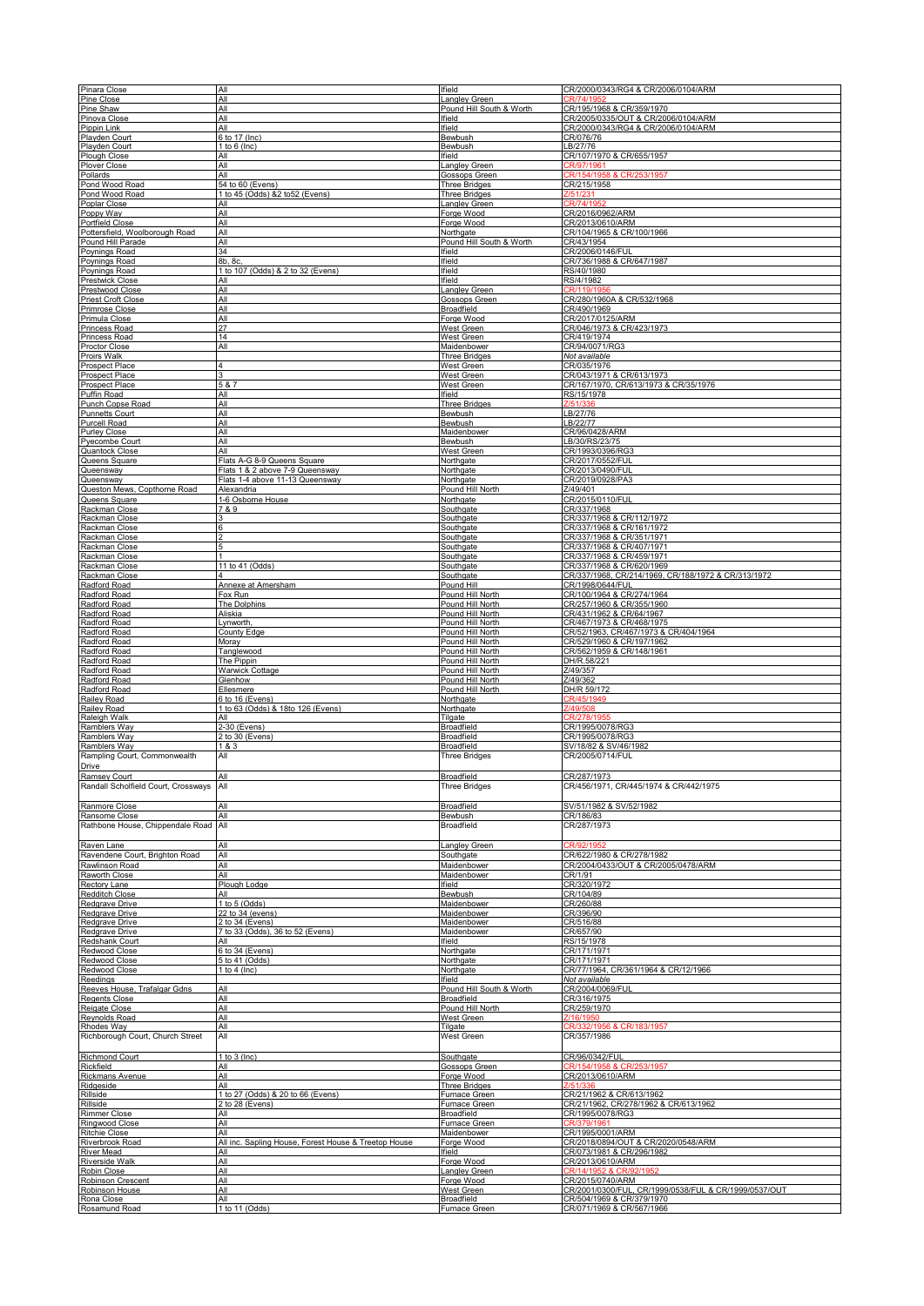| Pinara Close                                            | All                                                                | Ifield                                           | CR/2000/0343/RG4 & CR/2006/0104/ARM                                                |
|---------------------------------------------------------|--------------------------------------------------------------------|--------------------------------------------------|------------------------------------------------------------------------------------|
| Pine Close<br>Pine Shaw                                 | All<br>All                                                         | <b>Langley Green</b><br>Pound Hill South & Worth | CR/74/195<br>CR/195/1968 & CR/359/1970                                             |
| Pinova Close                                            | All                                                                | Ifield                                           | CR/2005/0335/OUT & CR/2006/0104/ARM                                                |
| Pippin Link                                             | All                                                                | Ifield                                           | CR/2000/0343/RG4 & CR/2006/0104/ARM                                                |
| Playden Court<br>Playden Court                          | 6 to 17 (Inc)<br>1 to $6$ (Inc)                                    | Bewbush<br>Bewbush                               | CR/076/76<br>LB/27/76                                                              |
| <b>Plough Close</b>                                     | All                                                                | Ifield                                           | CR/107/1970 & CR/655/1957                                                          |
| Plover Close<br>Pollards                                | All<br>All                                                         | angley Green<br><b>Gossops Green</b>             | <b>R/154</b><br>& CR/253/1957                                                      |
| Pond Wood Road                                          | 54 to 60 (Evens)                                                   | <b>Three Bridges</b>                             | CR/215/1958                                                                        |
| Pond Wood Road                                          | 1 to 45 (Odds) &2 to 52 (Evens)<br>ΑIΙ                             | <b>Three Bridges</b>                             | 7/51<br>CR/74/195                                                                  |
| Poplar Close<br>Poppy Way                               | All                                                                | angley Green<br>Forge Wood                       | CR/2016/0962/ARM                                                                   |
| <b>Portfield Close</b>                                  | All                                                                | Forge Wood                                       | CR/2013/0610/ARM                                                                   |
| Pottersfield, Woolborough Road<br>Pound Hill Parade     | All<br>All                                                         | Northgate<br>Pound Hill South & Worth            | CR/104/1965 & CR/100/1966<br>CR/43/1954                                            |
| Poynings Road                                           | 34                                                                 | lfield                                           | CR/2006/0146/FUL                                                                   |
| Poynings Road                                           | 8b, 8c,                                                            | lfield                                           | CR/736/1988 & CR/647/1987                                                          |
| Poynings Road<br><b>Prestwick Close</b>                 | 1 to 107 (Odds) & 2 to 32 (Evens)<br>All                           | Ifield<br>lfield                                 | RS/40/1980<br>RS/4/1982                                                            |
| Prestwood Close                                         | All                                                                | Langley Green                                    | CR/119/1956                                                                        |
| <b>Priest Croft Close</b><br>Primrose Close             | All<br>All                                                         | <b>Gossops Green</b><br><b>Broadfield</b>        | CR/280/1960A & CR/532/1968<br>CR/490/1969                                          |
| Primula Close                                           | All                                                                | Forge Wood                                       | CR/2017/0125/ARM                                                                   |
| <b>Princess Road</b><br><b>Princess Road</b>            | 27<br>14                                                           | West Green<br><b>West Green</b>                  | CR/046/1973 & CR/423/1973<br>CR/419/1974                                           |
| <b>Proctor Close</b>                                    | All                                                                | Maidenbower                                      | CR/94/0071/RG3                                                                     |
| Proirs Walk                                             |                                                                    | <b>Three Bridges</b>                             | Not available                                                                      |
| <b>Prospect Place</b><br>Prospect Place                 | 4<br>3                                                             | West Green<br>West Green                         | CR/035/1976<br>CR/043/1971 & CR/613/1973                                           |
| Prospect Place                                          | 587                                                                | West Green                                       | CR/167/1970, CR/613/1973 & CR/35/1976                                              |
| Puffin Road                                             | All<br>All                                                         | Ifield                                           | RS/15/1978<br>7/51                                                                 |
| Punch Copse Road<br><b>Punnetts Court</b>               | All                                                                | <b>Three Bridges</b><br>Bewbush                  | LB/27/76                                                                           |
| <b>Purcell Road</b>                                     | All                                                                | Bewbush                                          | LB/22/77                                                                           |
| <b>Purley Close</b><br>Pyecombe Court                   | All<br>All                                                         | Maidenbower<br><b>Bewbush</b>                    | CR/96/0428/ARM<br>LB/30/RS/23/75                                                   |
| Quantock Close                                          | All                                                                | <b>West Green</b>                                | CR/1993/0396/RG3                                                                   |
| Queens Square                                           | Flats A-G 8-9 Queens Square                                        | Northgate                                        | CR/2017/0552/FUL                                                                   |
| Queensway<br>Queensway                                  | Flats 1 & 2 above 7-9 Queensway<br>Flats 1-4 above 11-13 Queensway | Northgate<br>Northgate                           | CR/2013/0490/FUI<br>CR/2019/0928/PA3                                               |
| Queston Mews, Copthorne Road                            | Alexandria                                                         | Pound Hill North                                 | Z/49/401                                                                           |
| Queens Square<br>Rackman Close                          | 1-6 Osborne House<br>7 & 9                                         | Northgate<br>Southgate                           | CR/2015/0110/FUI<br>CR/337/1968                                                    |
| Rackman Close                                           | 3                                                                  | Southgate                                        | CR/337/1968 & CR/112/1972                                                          |
| Rackman Close                                           |                                                                    | Southgate                                        | CR/337/1968 & CR/161/1972                                                          |
| Rackman Close<br>Rackman Close                          |                                                                    | Southgate<br>Southgate                           | CR/337/1968 & CR/351/1971<br>CR/337/1968 & CR/407/1971                             |
| Rackman Close                                           |                                                                    | Southgate                                        | CR/337/1968 & CR/459/1971                                                          |
| Rackman Close<br>Rackman Close                          | 11 to 41 (Odds)                                                    | Southgate<br>Southgate                           | CR/337/1968 & CR/620/1969<br>CR/337/1968, CR/214/1969, CR/188/1972 & CR/313/1972   |
| Radford Road                                            | <b>Annexe at Amersham</b>                                          | Pound Hill                                       | CR/1998/0644/FUI                                                                   |
| Radford Road                                            | Fox Run                                                            | Pound Hill North                                 | CR/100/1964 & CR/274/1964                                                          |
| Radford Road<br>Radford Road                            | The Dolphins<br>Aliskia                                            | Pound Hill North<br>Pound Hill North             | CR/257/1960 & CR/355/1960<br>CR/431/1962 & CR/64/1967                              |
| Radford Road                                            | _ynworth                                                           | Pound Hill North                                 | CR/467/1973 & CR/468/1975                                                          |
| Radford Road<br>Radford Road                            | County Edge<br>Moray                                               | Pound Hill North<br>Pound Hill North             | CR/52/1963, CR/467/1973 & CR/404/1964<br>CR/529/1960 & CR/197/1962                 |
| Radford Road                                            | Tanglewood                                                         | Pound Hill North                                 | CR/562/1959 & CR/148/1961                                                          |
| Radford Road                                            | The Pippin                                                         | Pound Hill North                                 | DH/R.58/221                                                                        |
| Radford Road<br>Radford Road                            | <b>Warwick Cottage</b><br>Glenhow                                  | Pound Hill North<br>Pound Hill North             | Z/49/357<br>7/49/362                                                               |
| Radford Road                                            | Ellesmere                                                          | Pound Hill North                                 | DH/R 59/172                                                                        |
| Railey Road                                             | 6 to 16 (Evens)<br>1 to 63 (Odds) & 18to 126 (Evens)               | Northgate<br>Northgate                           | CR/45/1949<br>749/508                                                              |
| Railey Road<br>Raleigh Walk                             | All                                                                | Tilgate                                          | CR/278/195                                                                         |
| Ramblers Way                                            | 2-30 (Evens)                                                       | <b>Broadfield</b>                                | CR/1995/0078/RG3                                                                   |
| Ramblers Way<br>Ramblers Way                            | 2 to 30 (Evens)<br>1&3                                             | <b>Broadfield</b><br><b>Broadfield</b>           | CR/1995/0078/RG3<br>SV/18/82 & SV/46/1982                                          |
| Rampling Court, Commonwealth                            | All                                                                | Three Bridges                                    | CR/2005/0714/FUL                                                                   |
| Drive                                                   |                                                                    |                                                  |                                                                                    |
| Ramsey Court<br>Randall Scholfield Court, Crossways All | All                                                                | Broadfield<br><b>Three Bridges</b>               | CR/287/1973<br>CR/456/1971, CR/445/1974 & CR/442/1975                              |
|                                                         |                                                                    |                                                  |                                                                                    |
| Ranmore Close                                           | All<br>All                                                         | <b>Broadfield</b>                                | SV/51/1982 & SV/52/1982                                                            |
| Ransome Close<br>Rathbone House, Chippendale Road       | All                                                                | Bewbush<br><b>Broadfield</b>                     | CR/186/83<br>CR/287/1973                                                           |
|                                                         |                                                                    |                                                  |                                                                                    |
| Raven Lane<br>Ravendene Court, Brighton Road            | All<br>All                                                         | angley Green<br>Southgate                        | <b>CR/02/105</b><br>CR/622/1980 & CR/278/1982                                      |
| Rawlinson Road                                          | All                                                                | <b>Maidenbower</b>                               | CR/2004/0433/OUT & CR/2005/0478/ARM                                                |
| <b>Raworth Close</b>                                    | All                                                                | Maidenbower                                      | CR/1/91                                                                            |
| Rectory Lane<br><b>Redditch Close</b>                   | Plough Lodge<br>ΑIΙ                                                | lfield<br>Bewbush                                | CR/320/1972<br>CR/104/89                                                           |
| Redgrave Drive                                          | 1 to 5 (Odds)                                                      | Maidenbower                                      | CR/260/88                                                                          |
| Redgrave Drive                                          | 22 to 34 (evens)                                                   | Maidenbower                                      | CR/396/90                                                                          |
| Redgrave Drive<br>Redgrave Drive                        | 2 to 34 (Evens)<br>7 to 33 (Odds), 36 to 52 (Evens)                | Maidenbower<br>Maidenbower                       | CR/516/88<br>CR/657/90                                                             |
| <b>Redshank Court</b>                                   | All                                                                | Ifield                                           | RS/15/1978                                                                         |
| Redwood Close<br>Redwood Close                          | 6 to 34 (Evens)<br>5 to 41 (Odds)                                  | Northgate<br>Northgate                           | CR/171/1971<br>CR/171/1971                                                         |
| Redwood Close                                           | $\overline{1}$ to 4 (Inc)                                          | Northgate                                        | CR/77/1964. CR/361/1964 & CR/12/1966                                               |
| Reedings                                                |                                                                    | Ifield                                           | Not available                                                                      |
| Reeves House, Trafalgar Gdns<br><b>Regents Close</b>    | All<br>All                                                         | Pound Hill South & Worth<br><b>Broadfield</b>    | CR/2004/0069/FUI<br>CR/316/1975                                                    |
| Reigate Close                                           | All                                                                | Pound Hill North                                 | CR/259/1970                                                                        |
| Reynolds Road<br>Rhodes Way                             | All<br>All                                                         | West Green<br>Tilgate                            | CR/332/1956 & CR/183/1957                                                          |
| Richborough Court, Church Street                        | All                                                                | West Green                                       | CR/357/1986                                                                        |
|                                                         |                                                                    |                                                  |                                                                                    |
| <b>Richmond Court</b><br>Rickfield                      | 1 to $3$ (lnc)<br>All                                              | Southgate<br>Gossops Green                       | CR/96/0342/FUL<br>CR/154/1958 & CR/253/1957                                        |
| Rickmans Avenue                                         | All                                                                | Forge Wood                                       | CR/2013/0610/ARM                                                                   |
| Ridgeside                                               | All<br>1 to 27 (Odds) & 20 to 66 (Evens)                           | <b>Three Bridges</b>                             | /51/336                                                                            |
| Rillside<br>Rillside                                    | 2 to 28 (Evens)                                                    | Furnace Green<br>Furnace Green                   | CR/21/1962 & CR/613/1962<br>CR/21/1962, CR/278/1962 & CR/613/1962                  |
| <b>Rimmer Close</b>                                     | All                                                                | <b>Broadfield</b>                                | CR/1995/0078/RG3                                                                   |
| <b>Ringwood Close</b><br><b>Ritchie Close</b>           | All<br>All                                                         | <b>Furnace Green</b><br>Maidenbower              | CR/379/1961<br>CR/1995/0001/ARM                                                    |
| Riverbrook Road                                         | All inc. Sapling House, Forest House & Treetop House               | Forge Wood                                       | CR/2018/0894/OUT & CR/2020/0548/ARM                                                |
| <b>River Mead</b><br><b>Riverside Walk</b>              | All                                                                | Ifield                                           | CR/073/1981 & CR/296/1982                                                          |
| Robin Close                                             | All<br>All                                                         | Forge Wood<br>angley Green                       | CR/2013/0610/ARM<br>R/14/19                                                        |
| Robinson Crescent                                       | All                                                                | Forge Wood                                       | CR/2015/0740/ARM                                                                   |
| Robinson House<br>Rona Close                            | All<br>All                                                         | West Green<br>Broadfield                         | CR/2001/0300/FUL, CR/1999/0538/FUL & CR/1999/0537/OUT<br>CR/504/1969 & CR/379/1970 |
| Rosamund Road                                           | 1 to 11 (Odds)                                                     | Furnace Green                                    | CR/071/1969 & CR/567/1966                                                          |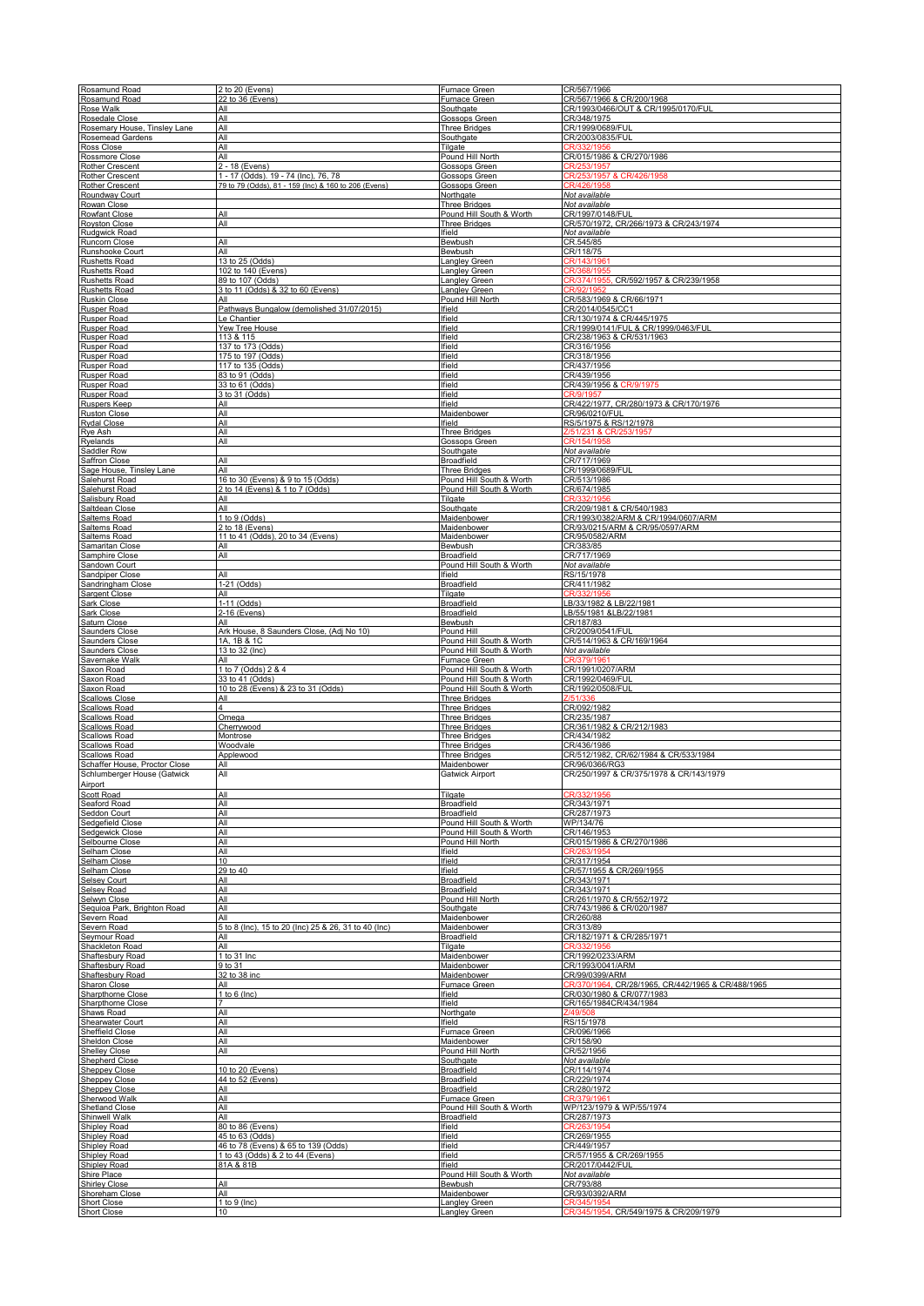| Rosamund Road<br>Rosamund Road                                  | 2 to 20 (Evens)<br>22 to 36 (Evens)                                     | Furnace Green<br>Furnace Green                       | CR/567/1966<br>CR/567/1966 & CR/200/1968                                |
|-----------------------------------------------------------------|-------------------------------------------------------------------------|------------------------------------------------------|-------------------------------------------------------------------------|
| Rose Walk                                                       | All                                                                     | Southgate                                            | CR/1993/0466/OUT & CR/1995/0170/FUL                                     |
| Rosedale Close<br>Rosemary House, Tinsley Lane                  | All<br>All                                                              | Gossops Green<br><b>Three Bridges</b>                | CR/348/1975<br>CR/1999/0689/FUI                                         |
| <b>Rosemead Gardens</b>                                         | All                                                                     | Southgate                                            | CR/2003/0835/FUL                                                        |
| <b>Ross Close</b><br>Rossmore Close                             | All<br>All                                                              | Tilgate<br>Pound Hill North                          | CR/015/1986 & CR/270/1986                                               |
| <b>Rother Crescent</b>                                          | 2 - 18 (Evens)<br>1 - 17 (Odds). 19 - 74 (Inc), 76, 78                  | Gossops Green                                        | FR/2<br>R/253/1957 & CR/426/1958                                        |
| Rother Crescent<br>Rother Crescent                              | 79 to 79 (Odds), 81 - 159 (Inc) & 160 to 206 (Evens)                    | Gossops Green<br>Gossops Green                       | R/426/10                                                                |
| Roundway Court<br>Rowan Close<br>Rowfant Close<br>Royston Close |                                                                         | Northgate<br><b>Three Bridges</b>                    | <u>Not available</u><br>Not available                                   |
|                                                                 | All                                                                     | Pound Hill South & Worth                             | CR/1997/0148/FUI                                                        |
| <b>Rudgwick Road</b>                                            | All                                                                     | <b>Three Bridges</b><br>lfield                       | CR/570/1972, CR/266/1973 & CR/243/1974<br>Not available                 |
| <b>Runcorn Close</b>                                            | All<br>All                                                              | <b>Bewbush</b>                                       | CR.545/85<br>CR/118/75                                                  |
| Runshooke Court<br><b>Rushetts Road</b>                         | 13 to 25 (Odds)                                                         | <b>Bewbush</b><br>Langley Green                      | CR/143/196                                                              |
| <b>Rushetts Road</b><br><b>Rushetts Road</b>                    | 102 to 140 (Evens)<br>89 to 107 (Odds)                                  | angley Green<br>angley Green                         | R/368/195<br>CR/592/1957 & CR/239/1958<br>CR/374/1955.                  |
| <b>Rushetts Road</b>                                            | 3 to 11 (Odds) & 32 to 60 (Evens)                                       | Langley Green                                        | CR/92/195                                                               |
| <b>Ruskin Close</b><br>Rusper Road                              | All<br>Pathways Bungalow (demolished 31/07/2015)                        | Pound Hill North<br>Ifield                           | CR/583/1969 & CR/66/1971<br>CR/2014/0545/CC1                            |
| Rusper Road                                                     | Le Chantier                                                             | Ifield                                               | CR/130/1974 & CR/445/1975                                               |
| <b>Rusper Road</b><br><b>Rusper Road</b>                        | Yew Tree House<br>113 & 115                                             | Ifield<br>Ifield                                     | CR/1999/0141/FUL & CR/1999/0463/FUL<br>CR/238/1963 & CR/531/1963        |
| <b>Rusper Road</b><br><b>Rusper Road</b>                        | 137 to 173 (Odds)<br>175 to 197 (Odds)                                  | Ifield<br>Ifield                                     | CR/316/1956<br>CR/318/1956                                              |
| <b>Rusper Road</b>                                              | 117 to 135 (Odds)                                                       | Ifield                                               | CR/437/1956                                                             |
| Rusper Road<br>Rusper Road                                      | 83 to 91 (Odds)<br>33 to 61 (Odds)                                      | Ifield<br>lfield                                     | CR/439/1956<br>CR/439/1956 & CR/9/197                                   |
| <b>Rusper Road</b>                                              | 3 to 31 (Odds)                                                          | lfield                                               |                                                                         |
| <b>Ruspers Keep</b><br><b>Ruston Close</b>                      | All<br>All                                                              | lfield<br>Maidenbower                                | CR/422/1977, CR/280/1973 & CR/170/1976<br>CR/96/0210/FUL                |
| <b>Rydal Close</b><br>Rye Ash                                   | All<br>All                                                              | Ifield<br><b>Three Bridges</b>                       | RS/5/1975 & RS/12/1978<br>Z/51/231 & CR/253/195                         |
| Ryelands                                                        | All                                                                     | <b>Gossops Green</b>                                 | CR/15                                                                   |
| Saddler Row<br><b>Saffron Close</b>                             | All                                                                     | Southgate<br>Broadfield                              | Not available<br>CR/717/1969                                            |
| Sage House, Tinsley Lane                                        | All                                                                     | Three Bridges                                        | CR/1999/0689/FUI                                                        |
| <b>Salehurst Road</b><br>Salehurst Road                         | 16 to 30 (Evens) & 9 to 15 (Odds)<br>2 to 14 (Evens) & 1 to 7 (Odds)    | Pound Hill South & Worth<br>Pound Hill South & Worth | CR/513/1986<br>CR/674/1985                                              |
| Salisbury Road<br>Saltdean Close                                | All<br>All                                                              | Tilgate                                              | CR/332/1956<br>CR/209/1981 & CR/540/1983                                |
| Salterns Road                                                   | 1 to 9 (Odds)                                                           | Southgate<br>Maidenbower                             | CR/1993/0382/ARM & CR/1994/0607/ARM                                     |
| Salterns Road<br>Salterns Road                                  | 2 to 18 (Evens)<br>11 to 41 (Odds), 20 to 34 (Evens)                    | Maidenbower<br>Maidenbower                           | CR/93/0215/ARM & CR/95/0597/ARM<br>CR/95/0582/ARM                       |
| <u> Samaritan Close</u>                                         | All                                                                     | Bewbush                                              | CR/383/85                                                               |
| Samphire Close<br>Sandown Court                                 | All                                                                     | Broadfield<br>Pound Hill South & Worth               | CR/717/1969<br>Not available                                            |
| Sandpiper Close<br>Sandringham Close                            | All                                                                     | Ifield<br>Broadfield                                 | RS/15/1978<br>CR/411/1982                                               |
| Sargent Close                                                   | 1-21 (Odds)<br>All                                                      | Tilgate                                              | CR/332/1956                                                             |
| Sark Close<br>Sark Close                                        | 1-11 (Odds)<br>2-16 (Evens)                                             | Broadfield<br>Broadfield                             | B/33/1982 & LB/22/1981<br>LB/55/1981 &LB/22/1981                        |
| Saturn Close                                                    | AΙ                                                                      | Bewbush                                              | CR/187/83                                                               |
| Saunders Close<br>Saunders Close                                | Ark House, 8 Saunders Close, (Adj No 10)<br>1A, 1B & 1C                 | Pound Hill<br>Pound Hill South & Worth               | CR/2009/0541/FUI<br>CR/514/1963 & CR/169/1964                           |
|                                                                 |                                                                         |                                                      |                                                                         |
| Saunders Close                                                  | 13 to 32 (Inc)                                                          | Pound Hill South & Worth                             | Not available                                                           |
| Savernake Walk                                                  | All<br>1 to 7 (Odds) 2 & 4                                              | Furnace Green<br>Pound Hill South & Worth            | 70/10<br>CR/1991/0207/ARM                                               |
| Saxon Road<br>Saxon Road                                        | 33 to 41 (Odds)                                                         | Pound Hill South & Worth                             | CR/1992/0469/FUI                                                        |
| Saxon Road<br><b>Scallows Close</b>                             | 10 to 28 (Evens) & 23 to 31 (Odds)<br>All                               | Pound Hill South & Worth<br><b>Three Bridges</b>     | CR/1992/0508/FUI                                                        |
| <b>Scallows Road</b>                                            |                                                                         | <b>Three Bridges</b>                                 | CR/092/1982                                                             |
| <b>Scallows Road</b><br><b>Scallows Road</b>                    | Omega<br>Cherrywood                                                     | <b>Three Bridges</b><br><b>Three Bridges</b>         | CR/235/1987<br>CR/361/1982 & CR/212/1983                                |
| <b>Scallows Road</b><br><b>Scallows Road</b>                    | Montrose<br>Woodvale                                                    | <b>Three Bridges</b><br><b>Three Bridges</b>         | CR/434/1982<br>CR/436/1986                                              |
| <b>Scallows Road</b>                                            | Applewood                                                               | <b>Three Bridges</b>                                 | CR/512/1982, CR/62/1984 & CR/533/1984                                   |
| Schaffer House, Proctor Close<br>Schlumberger House (Gatwick    | All<br>All                                                              | Maidenbower<br>Gatwick Airport                       | CR/96/0366/RG3<br>CR/250/1997 & CR/375/1978 & CR/143/1979               |
| Airport                                                         |                                                                         |                                                      |                                                                         |
| Scott Road<br>Seaford Road                                      | All<br>All                                                              | Tilgate<br>Broadfield                                | CR/343/1971                                                             |
| Seddon Court                                                    | All                                                                     | Broadfield                                           | CR/287/1973                                                             |
| Sedgefield Close<br>Sedgewick Close                             | All<br>All                                                              | Pound Hill South & Worth<br>Pound Hill South & Worth | WP/134/76<br>CR/146/1953                                                |
| Selbourne Close<br>Selham Close                                 | All<br>All                                                              | Pound Hill North<br>Ifield                           | CR/015/1986 & CR/270/1986                                               |
| Selham Close                                                    | 10                                                                      | Ifield                                               | CR/317/1954                                                             |
| Selham Close<br>Selsey Court                                    | 29 to 40<br>All                                                         | Ifield<br>Broadfield                                 | CR/57/1955 & CR/269/1955<br>CR/343/1971                                 |
| Selsey Road                                                     | All                                                                     | <b>Broadfield</b><br>Pound Hill North                | CR/343/1971                                                             |
| Selwyn Close<br>Sequioa Park, Brighton Road                     | All<br>All                                                              | Southgate                                            | CR/261/1970 & CR/552/1972<br>CR/743/1986 & CR/020/1987                  |
| Severn Road<br>Severn Road                                      | All<br>5 to 8 (Inc), 15 to 20 (Inc) 25 & 26, 31 to 40 (Inc)             | Maidenbower<br>Maidenbower                           | CR/260/88<br>CR/313/89                                                  |
| Seymour Road                                                    | All                                                                     | Broadfield                                           | CR/182/1971 & CR/285/1971                                               |
| Shackleton Road<br>Shaftesbury Road                             | All<br>1 to 31 Inc                                                      | Tilgate<br>Maidenbower                               | CR/332/1956<br>CR/1992/0233/ARM                                         |
| Shaftesbury Road<br>Shaftesbury Road                            | 9 to 31<br>32 to 38 inc                                                 | Maidenbower<br>Maidenbower                           | CR/1993/0041/ARM<br>CR/99/0399/ARM                                      |
| Sharon Close                                                    | All                                                                     | Furnace Green                                        | CR/370/1964, CR/28/1965, CR/442/1965 & CR/488/1965                      |
| Sharpthorne Close<br>Sharpthorne Close                          | 1 to $6$ (Inc)                                                          | Ifield<br>Ifield                                     | CR/030/1980 & CR/077/1983<br>CR/165/1984CR/434/1984                     |
| Shaws Road                                                      | All                                                                     | Northgate                                            | 7/49/508                                                                |
| Shearwater Court<br><b>Sheffield Close</b>                      | All<br>All                                                              | lfield<br>Furnace Green                              | RS/15/1978<br>CR/096/1966                                               |
| Sheldon Close<br><b>Shelley Close</b>                           | All<br>All                                                              | Maidenbower<br>Pound Hill North                      | CR/158/90<br>CR/52/1956                                                 |
| <b>Shepherd Close</b>                                           |                                                                         | Southgate                                            | Not available                                                           |
| <b>Sheppey Close</b>                                            | 10 to 20 (Evens)<br>44 to 52 (Evens)                                    | Broadfield<br>Broadfield                             | CR/114/1974<br>CR/229/1974                                              |
| Sheppey Close<br>Sheppey Close                                  | All<br>All                                                              | Broadfield<br>Furnace Green                          | CR/280/1972<br>CR/379/1961                                              |
| Sherwood Walk<br>Shetland Close                                 | All                                                                     | Pound Hill South & Worth                             | WP/123/1979 & WP/55/1974                                                |
| <b>Shinwell Walk</b>                                            | All<br>80 to 86 (Evens)                                                 | Broadfield<br>lfield                                 | CR/287/1973<br>CR/263/1954                                              |
| Shipley Road<br>Shipley Road                                    | 45 to 63 (Odds)                                                         | lfield                                               | CR/269/1955                                                             |
| Shipley Road<br>Shipley Road                                    | 46 to 78 (Evens) & 65 to 139 (Odds)<br>1 to 43 (Odds) & 2 to 44 (Evens) | lfield<br>lfield                                     | CR/449/1957<br>CR/57/1955 & CR/269/1955                                 |
| Shipley Road                                                    | 81A & 81B                                                               | Ifield<br>Pound Hill South & Worth                   | CR/2017/0442/FUL                                                        |
| Shire Place<br><b>Shirley Close</b>                             | All                                                                     | Bewbush                                              | Not available<br>CR/793/88                                              |
| Shoreham Close<br>Short Close<br>Short Close                    | All<br>1 to $9$ (lnc)                                                   | Maidenbower<br>Langley Green                         | CR/93/0392/ARM<br>CR/345/1954<br>CR/345/1954, CR/549/1975 & CR/209/1979 |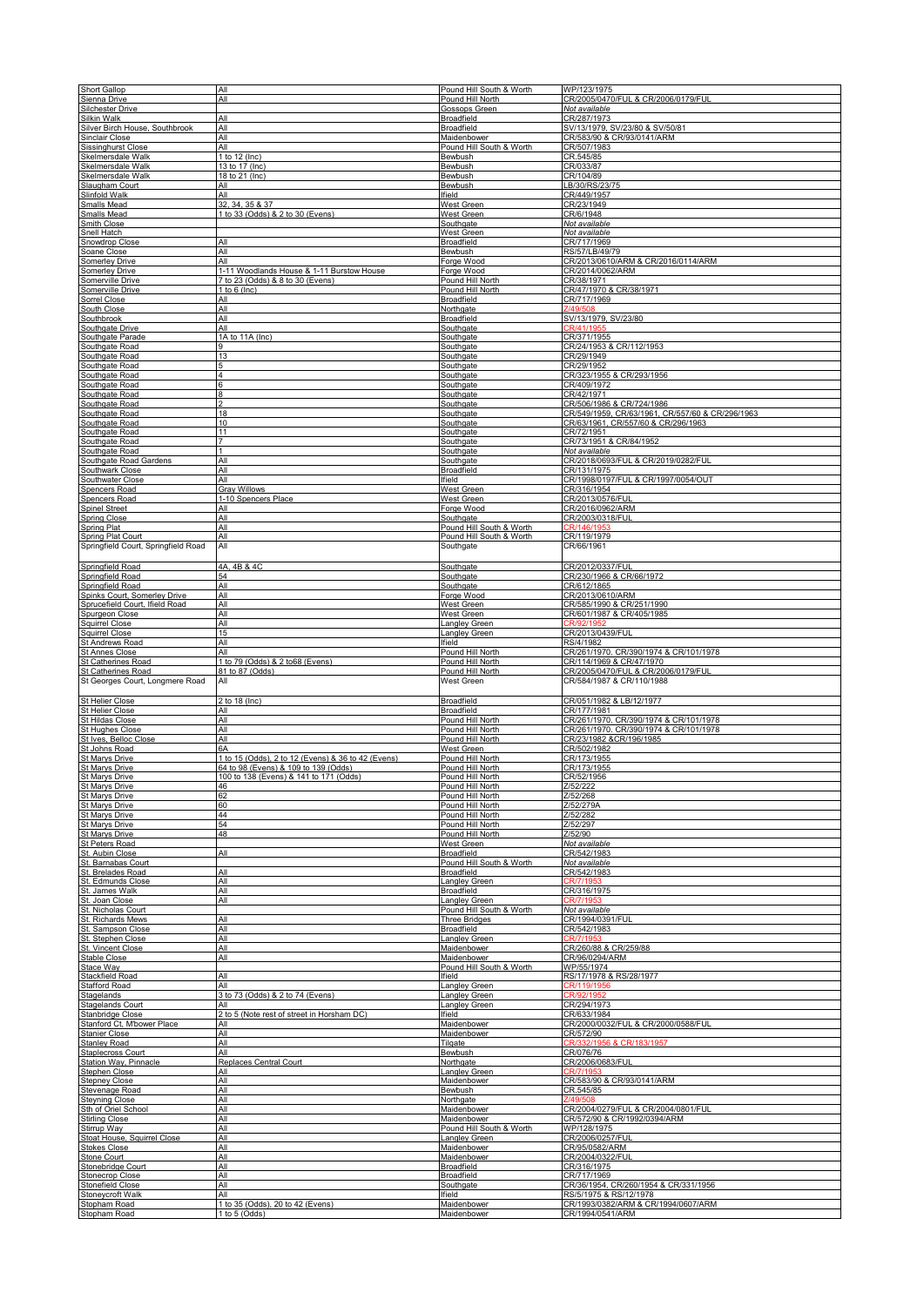| <b>Short Gallop</b>                                | All                                                      | Pound Hill South & Worth                       | WP/123/1975                                                                             |
|----------------------------------------------------|----------------------------------------------------------|------------------------------------------------|-----------------------------------------------------------------------------------------|
| Sienna Drive<br><b>Silchester Drive</b>            | All                                                      | Pound Hill North<br><b>Gossops Green</b>       | CR/2005/0470/FUL & CR/2006/0179/FUL<br>Not available                                    |
| Silkin Walk                                        | All                                                      | <b>Broadfield</b>                              | CR/287/1973                                                                             |
| Silver Birch House, Southbrook<br>Sinclair Close   | All<br>All                                               | <b>Broadfield</b><br>Maidenbower               | SV/13/1979, SV/23/80 & SV/50/81<br>CR/583/90 & CR/93/0141/ARM                           |
| <b>Sissinghurst Close</b>                          | All                                                      | Pound Hill South & Worth                       | CR/507/1983                                                                             |
| Skelmersdale Walk<br>Skelmersdale Walk             | 1 to 12 (Inc)<br>13 to 17 (Inc)                          | Bewbush<br>Bewbush                             | CR.545/85<br>CR/033/87                                                                  |
| Skelmersdale Walk                                  | 18 to 21 (Inc)                                           | Bewbush                                        | CR/104/89                                                                               |
| Slaugham Court<br>Slinfold Walk                    | Al<br>All                                                | Bewbush<br>Ifield                              | LB/30/RS/23/75<br>CR/449/1957                                                           |
| <b>Smalls Mead</b>                                 | 32, 34, 35 & 37                                          | <b>West Green</b>                              | CR/23/1949                                                                              |
| Smalls Mead                                        | 1 to 33 (Odds) & 2 to 30 (Evens)                         | West Green                                     | CR/6/1948                                                                               |
| Smith Close<br>Snell Hatch                         |                                                          | Southgate<br>West Green                        | <u>Not available</u><br>Not available                                                   |
| Snowdrop Close                                     | Αll                                                      | <b>Broadfield</b>                              | CR/717/1969                                                                             |
| Soane Close<br>Somerley Drive                      | All<br>All                                               | Bewbush<br>Forge Wood                          | RS/57/LB/49/79<br>CR/2013/0610/ARM & CR/2016/0114/ARM                                   |
| <b>Somerley Drive</b>                              | 1-11 Woodlands House & 1-11 Burstow House                | Forge Wood                                     | CR/2014/0062/ARM                                                                        |
| Somerville Drive<br>Somerville Drive               | 7 to 23 (Odds) & 8 to 30 (Evens)<br>1 to $6$ (Inc)       | Pound Hill North<br>Pound Hill North           | CR/38/1971<br>CR/47/1970 & CR/38/1971                                                   |
| Sorrel Close                                       | All                                                      | <b>Broadfield</b>                              | CR/717/1969                                                                             |
| South Close<br>Southbrook                          | All<br>All                                               | Northgate<br><b>Broadfield</b>                 | SV/13/1979, SV/23/80                                                                    |
| Southgate Drive                                    | All                                                      | Southgate                                      | CR/41/195                                                                               |
| Southgate Parade<br>Southgate Road                 | 1A to 11A (Inc)                                          | Southgate<br>Southgate                         | CR/371/1955<br>CR/24/1953 & CR/112/1953                                                 |
| Southgate Road                                     | 13                                                       | Southgate                                      | CR/29/1949                                                                              |
| Southgate Road                                     |                                                          | Southgate                                      | CR/29/1952                                                                              |
| Southgate Road<br>Southgate Road                   | ĥ                                                        | Southgate<br>Southgate                         | CR/323/1955 & CR/293/1956<br>CR/409/1972                                                |
| Southgate Road                                     |                                                          | Southgate                                      | CR/42/1971                                                                              |
| Southgate Road<br>Southgate Road                   | 18                                                       | Southgate<br>Southgate                         | CR/506/1986 & CR/724/1986                                                               |
| Southgate Road                                     | 10                                                       | Southgate                                      | CR/549/1959, CR/63/1961, CR/557/60 & CR/296/1963<br>CR/63/1961, CR/557/60 & CR/296/1963 |
| Southgate Road<br>Southgate Road                   | 11<br>7                                                  | Southgate<br>Southgate                         | CR/72/1951<br>CR/73/1951 & CR/84/1952                                                   |
| Southgate Road                                     |                                                          | Southgate                                      | Not available                                                                           |
| Southgate Road Gardens<br>Southwark Close          | All<br>All                                               | Southgate<br><b>Broadfield</b>                 | CR/2018/0693/FUL & CR/2019/0282/FUI<br>CR/131/1975                                      |
| Southwater Close                                   | All                                                      | Ifield                                         | CR/1998/0197/FUL & CR/1997/0054/OUT                                                     |
| Spencers Road<br><b>Spencers Road</b>              | <b>Gray Willows</b><br>1-10 Spencers Place               | <b>West Green</b><br><b>West Green</b>         | CR/316/1954<br>CR/2013/0576/FU                                                          |
| <b>Spinel Street</b>                               | All                                                      | Forge Wood                                     | CR/2016/0962/ARM                                                                        |
| <b>Spring Close</b><br>Spring Plat                 | All<br>All                                               | Southgate<br>Pound Hill South & Worth          | CR/2003/0318/FUL<br>CR/146/1953                                                         |
| Spring Plat Court                                  | All                                                      | Pound Hill South & Worth                       | CR/119/1979                                                                             |
| Springfield Court, Springfield Road                | All                                                      | Southgate                                      | CR/66/1961                                                                              |
| Springfield Road                                   | 4A, 4B & 4C                                              | Southgate                                      | CR/2012/0337/FUL                                                                        |
| Springfield Road                                   | 54                                                       | Southgate                                      | CR/230/1966 & CR/66/1972                                                                |
| Springfield Road<br>Spinks Court, Somerley Drive   | All<br>All                                               | Southgate<br>Forge Wood                        | CR/612/1865<br>CR/2013/0610/ARM                                                         |
| Sprucefield Court, Ifield Road                     | All                                                      | West Green                                     | CR/585/1990 & CR/251/1990                                                               |
| Spurgeon Close<br>Squirrel Close                   | All<br>All                                               | West Green                                     | CR/601/1987 & CR/405/1985                                                               |
| <b>Squirrel Close</b>                              | 15                                                       | angley Green<br>Langley Green                  | R/92/195<br>CR/2013/0439/FUL                                                            |
| St Andrews Road                                    | All                                                      | Ifield                                         | RS/4/1982                                                                               |
|                                                    |                                                          |                                                |                                                                                         |
| St Annes Close                                     | All                                                      | Pound Hill North<br>Pound Hill North           | CR/261/1970. CR/390/1974 & CR/101/1978                                                  |
| St Catherines Road<br>St Catherines Road           | 1 to 79 (Odds) & 2 to 68 (Evens)<br>81 to 87 (Odds)      | Pound Hill North                               | CR/114/1969 & CR/47/1970<br>CR/2005/0470/FUL & CR/2006/0179/FUL                         |
| St Georges Court, Longmere Road                    | All                                                      | West Green                                     | CR/584/1987 & CR/110/1988                                                               |
| St Helier Close                                    | 2 to 18 (Inc)                                            | Broadfield                                     | CR/051/1982 & LB/12/1977                                                                |
| St Helier Close                                    | All                                                      | Broadfield                                     | CR/177/1981                                                                             |
| St Hildas Close<br>St Hughes Close                 | All<br>All                                               | Pound Hill North<br>Pound Hill North           | CR/261/1970. CR/390/1974 & CR/101/1978<br>CR/261/1970. CR/390/1974 & CR/101/1978        |
| St Ives, Belloc Close                              | All                                                      | Pound Hill North                               | CR/23/1982 &CR/196/1985                                                                 |
| St Johns Road<br>St Marys Drive                    | 6A<br>1 to 15 (Odds), 2 to 12 (Evens) & 36 to 42 (Evens) | <b>West Green</b><br>Pound Hill North          | CR/502/1982<br>CR/173/1955                                                              |
| St Marys Drive                                     | 64 to 98 (Evens) & 109 to 139 (Odds)                     | Pound Hill North                               | CR/173/1955                                                                             |
| St Marys Drive<br>St Marys Drive                   | 100 to 138 (Evens) & 141 to 171 (Odds)<br>46             | Pound Hill North<br>Pound Hill North           | CR/52/1956                                                                              |
| St Marys Drive                                     | 62                                                       | Pound Hill North                               | Z/52/222<br>Z/52/268                                                                    |
| St Marys Drive                                     | 60                                                       | Pound Hill North                               | Z/52/279A                                                                               |
| St Marys Drive<br>St Marys Drive                   | 44<br>54                                                 | Pound Hill North<br>Pound Hill North           | Z/52/282<br>Z/52/297                                                                    |
| St Marys Drive                                     | 48                                                       | Pound Hill North<br>West Green                 | Z/52/90                                                                                 |
| St Peters Road<br>St. Aubin Close                  | All                                                      | <b>Broadfield</b>                              | Not available<br>CR/542/1983                                                            |
| St. Barnabas Court                                 |                                                          | Pound Hill South & Worth                       | Not available                                                                           |
| St. Brelades Road<br>St. Edmunds Close             | All<br>All                                               | <b>Broadfield</b><br><b>Langley Green</b>      | CR/542/1983<br>CR/7/1953                                                                |
| St. James Walk                                     | All                                                      | <b>Broadfield</b>                              | CR/316/1975<br>CR/7/1953                                                                |
| St. Joan Close<br>St. Nicholas Court               | All                                                      | Langley Green<br>Pound Hill South & Worth      | Not available                                                                           |
| St. Richards Mews                                  | All                                                      | <b>Three Bridges</b>                           | CR/1994/0391/FUI                                                                        |
| St. Sampson Close<br>St. Stephen Close             | All<br>All                                               | Broadfield<br>Langley Green                    | CR/542/1983<br>CR/7/195                                                                 |
| St. Vincent Close                                  | All                                                      | Maidenbower                                    | CR/260/88 & CR/259/88                                                                   |
| <b>Stable Close</b><br>Stace Way                   | All                                                      | <u>Maidenbower</u><br>Pound Hill South & Worth | CR/96/0294/ARM<br>WP/55/1974                                                            |
| Stackfield Road                                    | All                                                      | Ifield                                         | RS/17/1978 & RS/28/1977                                                                 |
| <b>Stafford Road</b><br>Stagelands                 | All<br>3 to 73 (Odds) & 2 to 74 (Evens)                  | angley Green<br>angley Green                   | CR/119/19<br>R/92/1952                                                                  |
| Stagelands Court                                   | All                                                      | angley Green                                   | CR/294/1973                                                                             |
| Stanbridge Close<br>Stanford Ct, M'bower Place     | 2 to 5 (Note rest of street in Horsham DC)<br>All        | lfield<br>Maidenbower                          | CR/633/1984<br>CR/2000/0032/FUL & CR/2000/0588/FUL                                      |
| <b>Stanier Close</b>                               | All                                                      | Maidenbower                                    | CR/572/90                                                                               |
| <b>Stanley Road</b>                                | All<br>All                                               | <b>Tilgate</b><br>Bewbush                      | CR/332/1956<br>& CR/183/1957<br>CR/076/76                                               |
| <b>Staplecross Court</b><br>Station Way, Pinnacle  | Replaces Central Court                                   | Northgate                                      | CR/2006/0683/FUL                                                                        |
| Stephen Close                                      | All<br>All                                               | Langley Green                                  | CR/7/1953<br>CR/583/90 & CR/93/0141/ARM                                                 |
| <b>Stepney Close</b><br>Stevenage Road             | All                                                      | Maidenbower<br>Bewbush                         | CR.545/85                                                                               |
| <b>Steyning Close</b>                              | All                                                      | Northgate                                      | 7/49/508                                                                                |
| Sth of Oriel School<br><b>Stirling Close</b>       | All<br>All                                               | Maidenbower<br>Maidenbower                     | CR/2004/0279/FUL & CR/2004/0801/FUL<br>CR/572/90 & CR/1992/0394/ARM                     |
| Stirrup Way                                        | All                                                      | Pound Hill South & Worth                       | WP/128/1975                                                                             |
| Stoat House, Squirrel Close<br><b>Stokes Close</b> | All<br>All                                               | Langley Green<br>Maidenbower                   | CR/2006/0257/FUI<br>CR/95/0582/ARM                                                      |
| Stone Court                                        | All                                                      | Maidenbower                                    | CR/2004/0322/FUI                                                                        |
| Stonebridge Court<br>Stonecrop Close               | All<br>All                                               | Broadfield<br>Broadfield                       | CR/316/1975<br>CR/717/1969                                                              |
| Stonefield Close                                   | All                                                      | Southgate                                      | CR/36/1954, CR/260/1954 & CR/331/1956                                                   |
| Stoneycroft Walk<br>Stopham Road                   | All<br>1 to 35 (Odds), 20 to 42 (Evens)                  | Ifield<br>Maidenbower                          | RS/5/1975 & RS/12/1978<br>CR/1993/0382/ARM & CR/1994/0607/ARM                           |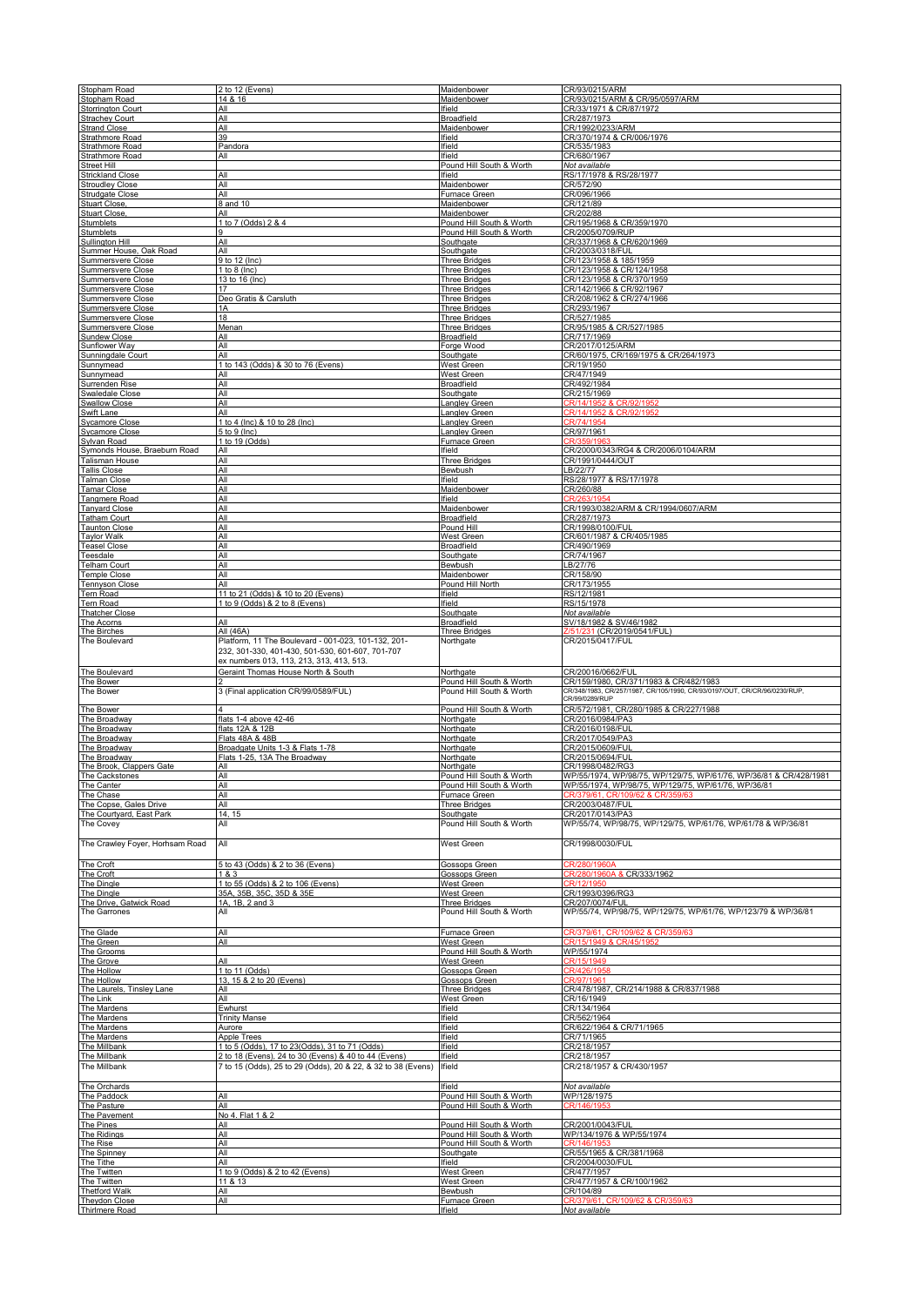| Stopham Road<br>Stopham Road                          | 2 to 12 (Evens)<br>14 & 16                                                                              | Maidenbower<br>Maidenbower                           | CR/93/0215/ARM<br>CR/93/0215/ARM & CR/95/0597/ARM                                                                        |
|-------------------------------------------------------|---------------------------------------------------------------------------------------------------------|------------------------------------------------------|--------------------------------------------------------------------------------------------------------------------------|
| <b>Storrington Court</b>                              | All                                                                                                     | Ifield                                               | CR/33/1971 & CR/87/1972                                                                                                  |
| <b>Strachey Court</b><br><b>Strand Close</b>          | All<br>All                                                                                              | Broadfield<br>Maidenbower                            | CR/287/1973<br>CR/1992/0233/ARM                                                                                          |
| Strathmore Road                                       | 39                                                                                                      | lfield                                               | CR/370/1974 & CR/006/1976                                                                                                |
| Strathmore Road<br>Strathmore Road                    | Pandora<br>All                                                                                          | Ifield<br>Ifield                                     | CR/535/1983<br>CR/680/1967                                                                                               |
| <b>Street Hill</b><br><b>Strickland Close</b>         | All                                                                                                     | Pound Hill South & Worth<br>Ifield                   | Not available<br>RS/17/1978 & RS/28/1977                                                                                 |
| <b>Stroudley Close</b>                                | All                                                                                                     | Maidenbower                                          | CR/572/90                                                                                                                |
| <b>Strudgate Close</b><br><b>Stuart Close</b>         | All<br>8 and 10                                                                                         | Furnace Green<br>Maidenbower                         | CR/096/1966<br>CR/121/89                                                                                                 |
| <b>Stuart Close</b>                                   | All                                                                                                     | Maidenbower                                          | CR/202/88                                                                                                                |
| Stumblets<br>Stumblets                                | 1 to 7 (Odds) 2 & 4<br>g                                                                                | Pound Hill South & Worth<br>Pound Hill South & Worth | CR/195/1968 & CR/359/1970<br>CR/2005/0709/RUP                                                                            |
| <b>Sullington Hill</b>                                | All                                                                                                     | Southgate                                            | CR/337/1968 & CR/620/1969                                                                                                |
| Summer House, Oak Road<br>Summersvere Close           | All<br>9 to 12 (Inc)                                                                                    | Southgate<br><b>Three Bridges</b>                    | CR/2003/0318/FUL<br>CR/123/1958 & 185/1959                                                                               |
| Summersvere Close<br>Summersvere Close                | $1$ to 8 (Inc)<br>13 to 16 (Inc)                                                                        | <b>Three Bridges</b><br><b>Three Bridges</b>         | CR/123/1958 & CR/124/1958<br>CR/123/1958 & CR/370/1959                                                                   |
| Summersvere Close                                     | 17                                                                                                      | <b>Three Bridges</b>                                 | CR/142/1966 & CR/92/1967                                                                                                 |
| Summersvere Close<br>Summersvere Close                | Deo Gratis & Carsluth<br>1A                                                                             | <b>Three Bridges</b><br><b>Three Bridges</b>         | CR/208/1962 & CR/274/1966<br>CR/293/1967                                                                                 |
| Summersvere Close                                     | 18                                                                                                      | <b>Three Bridges</b>                                 | CR/527/1985                                                                                                              |
| Summersvere Close<br>Sundew Close                     | Menan<br>All                                                                                            | <b>Three Bridges</b><br><b>Broadfield</b>            | CR/95/1985 & CR/527/1985<br>CR/717/1969                                                                                  |
| Sunflower Way<br>Sunningdale Court                    | All<br>All                                                                                              | Forge Wood<br>Southgate                              | CR/2017/0125/ARM<br>CR/60/1975, CR/169/1975 & CR/264/1973                                                                |
| Sunnymead                                             | 1 to 143 (Odds) & 30 to 76 (Evens)                                                                      | West Green                                           | CR/19/1950                                                                                                               |
| Sunnymead<br>Surrenden Rise                           | All<br>All                                                                                              | West Green<br>Broadfield                             | CR/47/1949<br>CR/492/1984                                                                                                |
| Swaledale Close                                       | All                                                                                                     | Southgate                                            | CR/215/1969                                                                                                              |
| Swallow Close<br>Swift Lane                           | All<br>All                                                                                              | Langley Green<br>Langley Green                       | CR/14/1952 & CR/92/195<br>CR/14/1952 & CR/92/1952                                                                        |
| <b>Sycamore Close</b>                                 | 1 to 4 (Inc) & 10 to 28 (Inc)<br>5 to 9 (Inc)                                                           | Langley Green<br>Langley Green                       | CR/97/1961                                                                                                               |
| <b>Sycamore Close</b><br>Sylvan Road                  | 1 to 19 (Odds)                                                                                          | Furnace Green                                        |                                                                                                                          |
| Symonds House, Braeburn Road<br><b>Talisman House</b> | All<br>All                                                                                              | Ifield<br><b>Three Bridges</b>                       | CR/2000/0343/RG4 & CR/2006/0104/ARM<br>CR/1991/0444/OUT                                                                  |
| <b>Tallis Close</b>                                   | All                                                                                                     | Bewbush                                              | LB/22/77                                                                                                                 |
| <b>Talman Close</b><br><b>Tamar Close</b>             | All<br>All                                                                                              | Ifield<br>Maidenbower                                | RS/28/1977 & RS/17/1978<br>CR/260/88                                                                                     |
| <b>Tangmere Road</b>                                  | All                                                                                                     | lfield                                               | CR/263/195                                                                                                               |
| <b>Tanyard Close</b><br><b>Tatham Court</b>           | All<br>All                                                                                              | Maidenbower<br><b>Broadfield</b>                     | CR/1993/0382/ARM & CR/1994/0607/ARM<br>CR/287/1973                                                                       |
| <b>Taunton Close</b>                                  | All                                                                                                     | Pound Hill                                           | CR/1998/0100/FUL                                                                                                         |
| <b>Taylor Walk</b><br><b>Teasel Close</b>             | All<br>All                                                                                              | West Green<br><b>Broadfield</b>                      | CR/601/1987 & CR/405/1985<br>CR/490/1969                                                                                 |
| Teesdale<br><b>Telham Court</b>                       | All<br>All                                                                                              | Southgate<br>Bewbush                                 | CR/74/1967<br>LB/27/76                                                                                                   |
| <b>Temple Close</b>                                   | All                                                                                                     | Maidenbower                                          | CR/158/90                                                                                                                |
| <b>Tennyson Close</b><br>Tern Road                    | All<br>11 to 21 (Odds) & 10 to 20 (Evens)                                                               | Pound Hill North<br>Ifield                           | CR/173/1955<br>RS/12/1981                                                                                                |
| <b>Tern Road</b>                                      | 1 to 9 (Odds) & 2 to 8 (Evens)                                                                          | Ifield                                               | RS/15/1978                                                                                                               |
| <b>Thatcher Close</b><br>The Acorns                   | All                                                                                                     | Southgate<br><b>Broadfield</b>                       | Not available<br>SV/18/1982 & SV/46/1982                                                                                 |
| The Birches                                           | All (46A)                                                                                               | <b>Three Bridges</b>                                 | 1 (CR/2019/0541/FUL)<br>CR/2015/0417/FUL                                                                                 |
| The Boulevard                                         | Platform, 11 The Boulevard - 001-023, 101-132, 201-<br>232, 301-330, 401-430, 501-530, 601-607, 701-707 | Northgate                                            |                                                                                                                          |
|                                                       | ex numbers 013, 113, 213, 313, 413, 513.                                                                |                                                      |                                                                                                                          |
| The Boulevard<br>The Bower                            | Geraint Thomas House North & South                                                                      | Northgate<br>Pound Hill South & Worth                | CR/20016/0662/FUL<br>CR/159/1980, CR/371/1983 & CR/482/1983                                                              |
| The Bower                                             | 3 (Final application CR/99/0589/FUL)                                                                    | Pound Hill South & Worth                             | CR/348/1983, CR/257/1987, CR/105/1990, CR/93/0197/OUT, CR/CR/96/0230/RUP,<br>CR/99/0289/RUP                              |
| The Bower                                             |                                                                                                         | Pound Hill South & Worth                             | CR/572/1981, CR/280/1985 & CR/227/1988                                                                                   |
| The Broadway<br>The Broadway                          | flats 1-4 above 42-46<br>flats 12A & 12B                                                                | Northgate<br>Northgate                               | CR/2016/0984/PA3<br>CR/2016/0198/FUL                                                                                     |
| The Broadway                                          | Flats 48A & 48B                                                                                         | Northgate                                            | CR/2017/0549/PA3                                                                                                         |
| The Broadway<br>The Broadway                          | Broadgate Units 1-3 & Flats 1-78<br>Flats 1-25, 13A The Broadway                                        | Northgate<br>Northgate                               | CR/2015/0609/FUL<br>CR/2015/0694/FUI                                                                                     |
| The Brook, Clappers Gate<br>The Cackstones            | All<br>All                                                                                              | Northgate<br>Pound Hill South & Worth                | CR/1998/0482/RG3                                                                                                         |
| The Canter                                            | All                                                                                                     | Pound Hill South & Worth                             | WP/55/1974, WP/98/75, WP/129/75, WP/61/76, WP/36/81 & CR/428/1981<br>WP/55/1974, WP/98/75, WP/129/75, WP/61/76, WP/36/81 |
| The Chase<br>The Copse, Gales Drive                   | All<br>All                                                                                              | Furnace Green<br><b>Three Bridges</b>                | CR/379/61, CR/109/6<br>CR/2003/0487/FUL                                                                                  |
| The Courtyard, East Park                              | 14, 15                                                                                                  | Southgate                                            | CR/2017/0143/PA3                                                                                                         |
| The Covey                                             | All                                                                                                     | Pound Hill South & Worth                             | WP/55/74, WP/98/75, WP/129/75, WP/61/76, WP/61/78 & WP/36/81                                                             |
| The Crawley Foyer, Horhsam Road                       | All                                                                                                     | West Green                                           | CR/1998/0030/FUL                                                                                                         |
| The Croft                                             | 5 to 43 (Odds) & 2 to 36 (Evens)                                                                        | Gossops Green                                        | CR/280/1960A                                                                                                             |
| The Croft                                             | 1 & 3                                                                                                   | Gossops Green                                        | CR/280/1960A & CR/333/1962                                                                                               |
| The Dingle<br>The Dingle                              | 1 to 55 (Odds) & 2 to 106 (Evens)<br>35A, 35B, 35C, 35D & 35E                                           | West Green<br>West Green                             | <b>R/12/105</b><br>CR/1993/0396/RG3                                                                                      |
| The Drive, Gatwick Road                               | 1A, 1B, 2 and 3                                                                                         | <b>Three Bridges</b>                                 | CR/207/0074/FUL                                                                                                          |
| The Garrones                                          | All                                                                                                     | Pound Hill South & Worth                             | WP/55/74, WP/98/75, WP/129/75, WP/61/76, WP/123/79 & WP/36/81                                                            |
| The Glade                                             | All                                                                                                     | Furnace Green                                        | CR/379/61, CR/109/62 & CR/359/63                                                                                         |
| The Green<br>The Grooms                               | All                                                                                                     | West Green<br>Pound Hill South & Worth               | CR/15/1949 & CR/45/1952<br>WP/55/1974                                                                                    |
| The Grove<br>The Hollow                               | All<br>1 to 11 (Odds)                                                                                   | West Green<br>Gossops Green                          | CR/15/1949<br>CR/426/1958                                                                                                |
| The Hollow                                            | 13. 15 & 2 to 20 (Evens)                                                                                | Gossops Green                                        | CR/97/1961                                                                                                               |
| The Laurels, Tinsley Lane<br>The Link                 | All<br>All                                                                                              | <b>Three Bridges</b><br>West Green                   | CR/478/1987, CR/214/1988 & CR/837/1988<br>CR/16/1949                                                                     |
| The Mardens                                           | Ewhurst                                                                                                 | lfield                                               | CR/134/1964                                                                                                              |
| The Mardens<br>The Mardens                            | <b>Trinity Manse</b><br>Aurore                                                                          | Ifield<br>Ifield                                     | CR/562/1964<br>CR/622/1964 & CR/71/1965                                                                                  |
| The Mardens                                           | <b>Apple Trees</b><br>1 to 5 (Odds), 17 to 23 (Odds), 31 to 71 (Odds)                                   | Ifield                                               | CR/71/1965<br>CR/218/1957                                                                                                |
| The Millbank<br>The Millbank                          | 2 to 18 (Evens), 24 to 30 (Evens) & 40 to 44 (Evens)                                                    | Ifield<br>Ifield                                     | CR/218/1957                                                                                                              |
| The Millbank                                          | 7 to 15 (Odds), 25 to 29 (Odds), 20 & 22, & 32 to 38 (Evens)                                            | Ifield                                               | CR/218/1957 & CR/430/1957                                                                                                |
| The Orchards                                          |                                                                                                         | lfield                                               | Not available                                                                                                            |
| The Paddock<br>The Pasture                            | All<br>All                                                                                              | Pound Hill South & Worth<br>Pound Hill South & Worth | WP/128/1975<br>CR/146/1953                                                                                               |
| The Pavement                                          | No 4. Flat 1 & 2                                                                                        |                                                      |                                                                                                                          |
| The Pines<br>The Ridings                              | All<br>All                                                                                              | Pound Hill South & Worth<br>Pound Hill South & Worth | CR/2001/0043/FUL<br>WP/134/1976 & WP/55/1974                                                                             |
| The Rise                                              | All                                                                                                     | Pound Hill South & Worth                             |                                                                                                                          |
| The Spinney<br>The Tithe                              | All<br>All                                                                                              | Southgate<br>lfield                                  | CR/55/1965 & CR/381/1968<br>CR/2004/0030/FUI                                                                             |
| The Twitten                                           | 1 to 9 (Odds) & 2 to 42 (Evens)                                                                         | <b>West Green</b>                                    | CR/477/1957                                                                                                              |
| The Twitten<br><b>Thetford Walk</b>                   | 11 & 13<br>All                                                                                          | West Green<br>Bewbush                                | CR/477/1957 & CR/100/1962<br>CR/104/89                                                                                   |
| <b>Theydon Close</b>                                  | All                                                                                                     | Furnace Green                                        | ER/379/61.                                                                                                               |
| Thirlmere Road                                        |                                                                                                         | Ifield                                               | Not available                                                                                                            |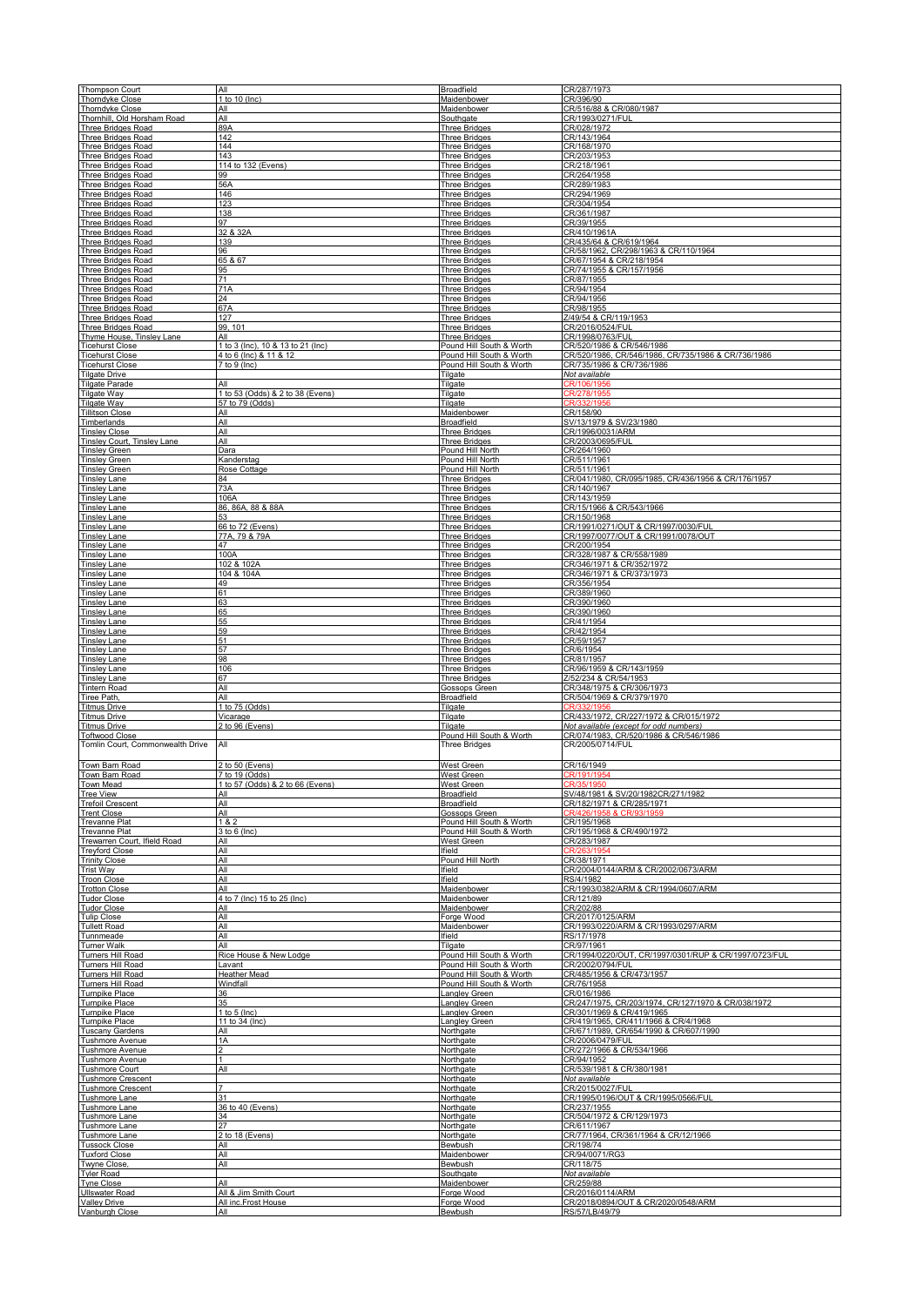| <b>Thompson Court</b>                            | All<br>1 to 10 (Inc)              | <b>Broadfield</b>                                    | CR/287/1973<br>CR/396/90                              |
|--------------------------------------------------|-----------------------------------|------------------------------------------------------|-------------------------------------------------------|
| <b>Thorndyke Close</b><br><b>Thorndyke Close</b> | Al                                | <b>Maidenbower</b><br><u>Maidenbower</u>             | CR/516/88 & CR/080/1987                               |
| Thornhill, Old Horsham Road                      | All                               | Southgate                                            | CR/1993/0271/FUL                                      |
| Three Bridges Road                               | 89A                               | <b>Three Bridges</b>                                 | CR/028/1972                                           |
| Three Bridges Road                               | 142                               | <b>Three Bridges</b>                                 | CR/143/1964                                           |
| Three Bridges Road                               | 144                               | Three Bridges                                        | CR/168/1970                                           |
| Three Bridges Road                               | 143                               | <b>Three Bridges</b>                                 | CR/203/1953                                           |
| Three Bridges Road                               | 114 to 132 (Evens)                | <b>Three Bridges</b>                                 | CR/218/1961                                           |
| Three Bridges Road                               | 99                                | <b>Three Bridges</b>                                 | CR/264/1958                                           |
| Three Bridges Road                               | 56A                               | <b>Three Bridges</b>                                 | CR/289/1983                                           |
| <b>Three Bridges Road</b>                        | 146                               | <b>Three Bridges</b>                                 | CR/294/1969                                           |
| Three Bridges Road                               | 123                               | <b>Three Bridges</b>                                 | CR/304/1954                                           |
| <b>Three Bridges Road</b>                        | 138                               | Three Bridges                                        | CR/361/1987                                           |
| Three Bridges Road                               | 97                                | Three Bridges                                        | CR/39/1955                                            |
| Three Bridges Road                               | 32 & 32A                          | Three Bridges                                        | CR/410/1961A                                          |
| <b>Three Bridges Road</b>                        | 139                               | Three Bridges                                        | CR/435/64 & CR/619/1964                               |
| <b>Three Bridges Road</b>                        | 96                                | <b>Three Bridges</b>                                 | CR/58/1962, CR/298/1963 & CR/110/1964                 |
| <b>Three Bridges Road</b>                        | 65 & 67                           | <b>Three Bridges</b>                                 | CR/67/1954 & CR/218/1954                              |
| Three Bridges Road                               | 95                                | <b>Three Bridges</b>                                 | CR/74/1955 & CR/157/1956                              |
| Three Bridges Road                               | 71                                | <b>Three Bridges</b>                                 | CR/87/1955                                            |
| <b>Three Bridges Road</b>                        | 71A                               | <b>Three Bridges</b>                                 | CR/94/1954                                            |
| Three Bridges Road                               | 24                                | <b>Three Bridges</b>                                 | CR/94/1956                                            |
| <b>Three Bridges Road</b>                        | 67A                               | <b>Three Bridges</b>                                 | CR/98/1955                                            |
| Three Bridges Road                               | 127                               | <b>Three Bridges</b>                                 | Z/49/54 & CR/119/1953                                 |
| Three Bridges Road                               | 99, 101                           | <b>Three Bridges</b>                                 | CR/2016/0524/FUL                                      |
| Thyme House, Tinsley Lane                        | AI                                | <b>Three Bridges</b>                                 | CR/1998/0763/FUI                                      |
| <b>Ticehurst Close</b>                           | 1 to 3 (Inc), 10 & 13 to 21 (Inc) | Pound Hill South & Worth                             | CR/520/1986 & CR/546/1986                             |
| <b>Ticehurst Close</b>                           | 4 to 6 (Inc) & 11 & 12            | Pound Hill South & Worth                             | CR/520/1986, CR/546/1986, CR/735/1986 & CR/736/1986   |
| <b>Ticehurst Close</b>                           | 7 to 9 (Inc)                      | Pound Hill South & Worth                             | CR/735/1986 & CR/736/1986                             |
| <b>Tilgate Drive</b>                             |                                   | Tilgate                                              | Not available                                         |
| <b>Tilgate Parade</b>                            | All                               | Tilgate                                              | CR/106/1956                                           |
| Tilgate Way                                      | 1 to 53 (Odds) & 2 to 38 (Evens)  | Tilgate                                              |                                                       |
| Tilgate Way                                      | 57 to 79 (Odds)                   | Tilgate                                              | CR/158/90                                             |
| <b>Tillitson Close</b>                           | All                               | Maidenbower                                          |                                                       |
| Timberlands                                      | All                               | <b>Broadfield</b>                                    | SV/13/1979 & SV/23/1980                               |
| <b>Tinsley Close</b>                             | All                               | <b>Three Bridges</b>                                 | CR/1996/0031/ARM                                      |
| Tinsley Court, Tinsley Lane                      | All                               | Three Bridges                                        | CR/2003/0695/FUL                                      |
| <u>Tinsley Green</u>                             | Dara                              | Pound Hill North                                     | CR/264/1960                                           |
| <b>Tinsley Green</b>                             |                                   | Pound Hill North                                     | CR/511/1961                                           |
| <b>Tinsley Green</b>                             | Kanderstag<br>Rose Cottage        | Pound Hill North                                     | CR/511/1961                                           |
| <b>Tinsley Lane</b>                              | 84                                | <b>Three Bridges</b>                                 | CR/041/1980, CR/095/1985, CR/436/1956 & CR/176/1957   |
| <u>Tinsley Lane</u>                              | 73A                               | <b>Three Bridges</b>                                 | CR/140/1967                                           |
| <u>Tinsley Lane</u>                              | 106A                              | <b>Three Bridges</b>                                 | CR/143/1959                                           |
| <b>Tinslev Lane</b>                              | 86, 86A, 88 & 88A                 | <b>Three Bridges</b>                                 | CR/15/1966 & CR/543/1966                              |
| <b>Tinslev Lane</b>                              | 53                                | <b>Three Bridges</b>                                 | CR/150/1968                                           |
| <b>Tinslev Lane</b>                              | 66 to 72 (Evens)                  | <b>Three Bridges</b>                                 | CR/1991/0271/OUT & CR/1997/0030/FUL                   |
| <b>Tinsley Lane</b>                              | 77A, 79 & 79A                     | <b>Three Bridges</b>                                 | CR/1997/0077/OUT & CR/1991/0078/OUT                   |
| <b>Tinsley Lane</b>                              | 47                                | <b>Three Bridges</b>                                 | CR/200/1954                                           |
| <b>Tinsley Lane</b>                              | 100A                              | <b>Three Bridges</b>                                 | CR/328/1987 & CR/558/1989                             |
| <b>Tinsley Lane</b>                              | 102 & 102A                        | <b>Three Bridges</b>                                 | CR/346/1971 & CR/352/1972                             |
| <u>Finsley Lane</u>                              | 104 & 104A                        | <b>Three Bridges</b>                                 | CR/346/1971 & CR/373/1973                             |
| <u> Finsley Lane</u>                             | 49                                | Three Bridges                                        | CR/356/1954                                           |
| Tinsley Lane                                     | 61                                | Three Bridges                                        | CR/389/1960                                           |
| <u> Finsley Lane</u>                             | 63                                | <b>Three Bridges</b>                                 | CR/390/1960                                           |
| <u> Finsley Lane</u>                             | 65                                | Three Bridges                                        | CR/390/1960                                           |
| Tinsley Lane                                     | 55                                | Three Bridges                                        | CR/41/1954                                            |
|                                                  | 59                                | <b>Three Bridges</b>                                 | CR/42/1954                                            |
| <u>Finsley Lane</u><br><u>Finsley Lane</u>       | 51                                | <b>Three Bridges</b>                                 | CR/59/1957                                            |
| Tinsley Lane                                     | 57                                | <b>Three Bridges</b>                                 | CR/6/1954                                             |
| <b>Tinsley Lane</b>                              | 98                                | <b>Three Bridges</b>                                 | CR/81/1957                                            |
| <b>Tinsley Lane</b>                              | 106                               | <b>Three Bridges</b>                                 | CR/96/1959 & CR/143/1959                              |
|                                                  | 67                                | <b>Three Bridges</b>                                 | Z/52/234 & CR/54/1953                                 |
| <b>Tinsley Lane</b><br>Tintern Road              | All                               | <u>Gossops Green</u>                                 | CR/348/1975 & CR/306/1973                             |
| <u> Firee Path,</u>                              | All                               | <b>Broadfield</b>                                    | CR/504/1969 & CR/379/1970                             |
| Titmus Drive                                     | 1 to 75 (Odds)                    | Tilgate                                              | CR/332/1956                                           |
| <b>Titmus Drive</b>                              | Vicarage                          | Tilgate                                              | CR/433/1972, CR/227/1972 & CR/015/1972                |
| Titmus Drive                                     | 2 to 96 (Evens)                   | Tilgate                                              | Not available (except for odd numbers)                |
| <b>Toftwood Close</b>                            |                                   | Pound Hill South & Worth                             | CR/074/1983, CR/520/1986 & CR/546/1986                |
| Tomlin Court, Commonwealth Drive                 | All                               | <b>Three Bridges</b>                                 | CR/2005/0714/FUL                                      |
| Town Barn Road                                   | 2 to 50 (Evens)                   | West Green                                           | CR/16/1949                                            |
| Town Barn Road                                   | 7 to 19 (Odds)                    | <b>West Green</b>                                    | CR/191/19                                             |
| Town Mead                                        | 1 to 57 (Odds) & 2 to 66 (Evens)  | West Green                                           | CR/35/1950                                            |
| <b>Tree View</b>                                 | Al                                | <b>Broadfield</b>                                    | SV/48/1981 & SV/20/1982CR/271/1982                    |
| <b>Trefoil Crescent</b>                          | All                               | <b>Broadfield</b>                                    | CR/182/1971 & CR/285/1971                             |
| Trent Close                                      | All                               | Gossops Green                                        |                                                       |
| <b>Trevanne Plat</b>                             | 1 & 8 & 2                         | Pound Hill South & Worth                             | CR/195/1968                                           |
| <b>Trevanne Plat</b>                             | $3$ to $6$ (Inc)                  | Pound Hill South & Worth                             | CR/195/1968 & CR/490/1972                             |
| Trewarren Court, Ifield Road                     | All                               | West Green                                           | CR/283/1987                                           |
| <b>Treyford Close</b>                            | All                               | Ifield                                               | CR/263/1954                                           |
| <b>Trinity Close</b>                             | All                               | Pound Hill North                                     | CR/38/1971                                            |
| Trist Way                                        | All                               | Ifield                                               | CR/2004/0144/ARM & CR/2002/0673/ARM                   |
| <b>Troon Close</b>                               | All                               | Ifield                                               | RS/4/1982                                             |
| <b>Trotton Close</b>                             | All                               | Maidenbower                                          | CR/1993/0382/ARM & CR/1994/0607/ARM                   |
| Tudor Close                                      | 4 to 7 (Inc) 15 to 25 (Inc)       | Maidenbower                                          | CR/121/89                                             |
| <b>Tudor Close</b>                               | All                               | Maidenbower                                          | CR/202/88                                             |
| <b>Tulip Close</b>                               | All                               | Forge Wood                                           | CR/2017/0125/ARM                                      |
| <b>Tullett Road</b>                              | All                               | Maidenbower                                          | CR/1993/0220/ARM & CR/1993/0297/ARM                   |
| Tunnmeade                                        | All                               | Ifield                                               | RS/17/1978                                            |
| <b>Turner Walk</b>                               | All                               | Tilgate                                              | CR/97/1961                                            |
| Turners Hill Road                                | Rice House & New Lodge            | Pound Hill South & Worth                             | CR/1994/0220/OUT, CR/1997/0301/RUP & CR/1997/0723/FUL |
| Turners Hill Road                                | Lavant                            | Pound Hill South & Worth                             | CR/2002/0794/FUL                                      |
| Turners Hill Road                                | <b>Heather Mead</b>               |                                                      | CR/485/1956 & CR/473/1957                             |
| Turners Hill Road                                | Windfall                          | Pound Hill South & Worth<br>Pound Hill South & Worth | CR/76/1958                                            |
| Turnpike Place                                   | 36                                | angley Green                                         | CR/016/1986                                           |
| Turnpike Place                                   | 35                                | angley Green                                         | CR/247/1975, CR/203/1974, CR/127/1970 & CR/038/1972   |
| Turnpike Place                                   | 1 to 5 ( $Inc$ )                  | angley Green                                         | CR/301/1969 & CR/419/1965                             |
| Turnpike Place                                   | 11 to 34 (Inc)                    | angley Green                                         | CR/419/1965, CR/411/1966 & CR/4/1968                  |
| <b>Tuscany Gardens</b>                           | Al                                | Northgate                                            | CR/671/1989, CR/654/1990 & CR/607/1990                |
| Tushmore Avenue                                  | 1A                                | Northgate                                            | CR/2006/0479/FUL                                      |
| Tushmore Avenue                                  | 2                                 | Northgate                                            | CR/272/1966 & CR/534/1966                             |
| Tushmore Avenue                                  |                                   | Northgate                                            | CR/94/1952                                            |
| Tushmore Court                                   | All                               | Northgate                                            | CR/539/1981 & CR/380/1981                             |
| Tushmore Crescent                                |                                   | Northgate                                            | Not available                                         |
| <b>Tushmore Crescent</b>                         | 31                                | Northgate                                            | CR/2015/0027/FUL                                      |
| Tushmore Lane                                    |                                   | Northgate                                            | CR/1995/0196/OUT & CR/1995/0566/FUL                   |
| Tushmore Lane                                    | 36 to 40 (Evens)                  | Northgate                                            | CR/237/1955                                           |
| Tushmore Lane                                    | 34                                | Northgate                                            | CR/504/1972 & CR/129/1973                             |
| <b>Tushmore Lane</b>                             | 27                                | Northgate                                            | CR/611/1967                                           |
| Tushmore Lane                                    | 2 to 18 (Evens)<br>All            | Northgate                                            | CR/77/1964, CR/361/1964 & CR/12/1966<br>CR/198/74     |
| Tussock Close<br><b>Tuxford Close</b>            | All                               | Bewbush<br>Maidenbower                               | CR/94/0071/RG3                                        |
| Twyne Close,                                     | All                               | Bewbush                                              | CR/118/75                                             |
| Tyler Road                                       |                                   | Southgate                                            | Not available                                         |
| Tyne Close                                       | AI                                | Maidenbower                                          | CR/259/88                                             |
| <b>Ullswater Road</b>                            | All & Jim Smith Court             | Forge Wood                                           | CR/2016/0114/ARM                                      |
| <b>Valley Drive</b>                              | All inc.Frost House               | Forge Wood                                           | CR/2018/0894/OUT & CR/2020/0548/ARM                   |
| Vanburgh Close                                   | All                               | Bewbush                                              | RS/57/LB/49/79                                        |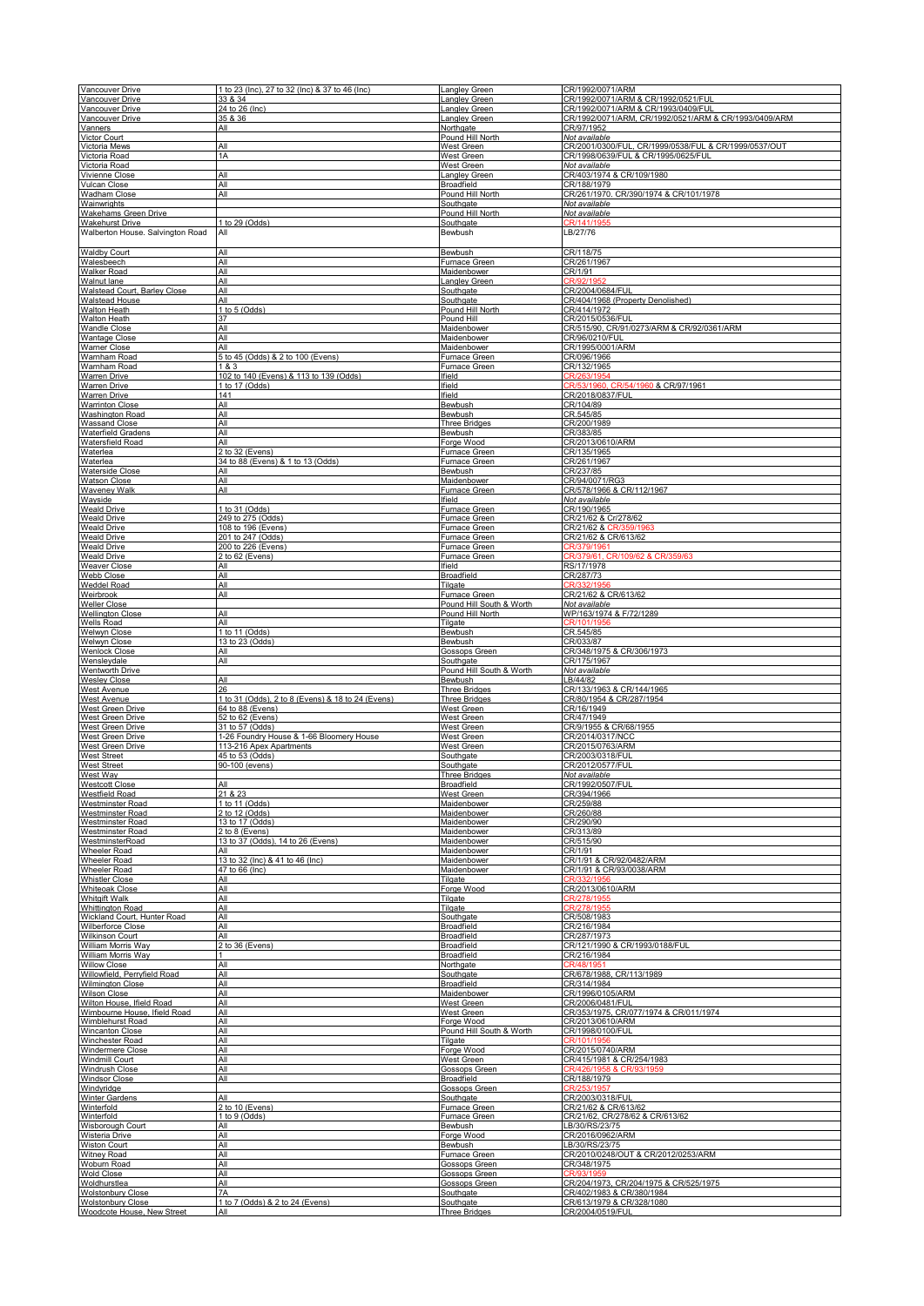| Vancouver Drive                                      | 1 to 23 (Inc), 27 to 32 (Inc) & 37 to 46 (Inc)                        | <b>Langley Green</b>                         | CR/1992/0071/ARM                                                           |
|------------------------------------------------------|-----------------------------------------------------------------------|----------------------------------------------|----------------------------------------------------------------------------|
| Vancouver Drive<br><b>Jancouver Drive</b>            | 33 & 34<br>24 to 26 (Inc)                                             | angley Green<br>Langley Green                | CR/1992/0071/ARM & CR/1992/0521/FUI<br>CR/1992/0071/ARM & CR/1993/0409/FUI |
| <b>Jancouver Drive</b>                               | 35 & 36                                                               | Langley Green                                | CR/1992/0071/ARM, CR/1992/0521/ARM & CR/1993/0409/ARM                      |
| Vanners<br>Victor Court                              | All                                                                   | Northgate<br>Pound Hill North                | CR/97/1952<br>Not available                                                |
| √ictoria Mews                                        | All                                                                   | West Green                                   | CR/2001/0300/FUL, CR/1999/0538/FUL & CR/1999/0537/OUT                      |
| Victoria Road                                        | 1A                                                                    | <b>West Green</b>                            | CR/1998/0639/FUL & CR/1995/0625/FUL                                        |
| Victoria Road<br>Vivienne Close                      | All                                                                   | <b>West Green</b><br>Langley Green           | Not available<br>CR/403/1974 & CR/109/1980                                 |
| Vulcan Close                                         | All                                                                   | <b>Broadfield</b>                            | CR/188/1979                                                                |
| <b>Wadham Close</b><br>Wainwrights                   | All                                                                   | Pound Hill North<br>Southgate                | CR/261/1970. CR/390/1974 & CR/101/1978<br>Not available                    |
| Wakehams Green Drive                                 |                                                                       | Pound Hill North                             | Not available                                                              |
| Wakehurst Drive                                      | 1 to 29 (Odds)                                                        | Southgate                                    | CR/141/1955                                                                |
| Walberton House. Salvington Road                     | All                                                                   | Bewbush                                      | LB/27/76                                                                   |
| <b>Waldby Court</b>                                  | All                                                                   | Bewbush                                      | CR/118/75                                                                  |
| Walesbeech                                           | All                                                                   | <b>Furnace Green</b>                         | CR/261/1967                                                                |
| Walker Road<br>Walnut lane                           | All<br>All                                                            | Maidenbower<br>Langley Green                 | CR/1/91<br>CR/92/1952                                                      |
| <b>Walstead Court, Barley Close</b>                  | All                                                                   | Southgate                                    | CR/2004/0684/FU                                                            |
| <b>Walstead House</b><br><b>Walton Heath</b>         | All<br>1 to 5 (Odds)                                                  | Southgate<br>Pound Hill North                | CR/404/1968 (Property Denolished)<br>CR/414/1972                           |
| <b>Walton Heath</b>                                  | 37                                                                    | Pound Hill                                   | CR/2015/0536/FUL                                                           |
| <b>Wandle Close</b>                                  | All                                                                   | Maidenbower                                  | CR/515/90, CR/91/0273/ARM & CR/92/0361/ARM                                 |
| <b>Wantage Close</b><br><b>Warner Close</b>          | All<br>All                                                            | Maidenbower<br>Maidenbower                   | CR/96/0210/FUL<br>CR/1995/0001/ARM                                         |
| Warnham Road                                         | 5 to 45 (Odds) & 2 to 100 (Evens)                                     | <b>Furnace Green</b>                         | CR/096/1966                                                                |
| Warnham Road                                         | 1 & 3                                                                 | Furnace Green                                | CR/132/1965<br>CR/263/1954                                                 |
| <b>Warren Drive</b><br><b>Warren Drive</b>           | 102 to 140 (Evens) & 113 to 139 (Odds)<br>1 to 17 (Odds)              | Ifield<br>Ifield                             | CR/53/1960, CR/54/1960 & CR/97/1961                                        |
| <b>Warren Drive</b>                                  | 141                                                                   | Ifield                                       | CR/2018/0837/FUL                                                           |
| <b>Warrinton Close</b><br><b>Washington Road</b>     | All<br>All                                                            | Bewbush<br>Bewbush                           | CR/104/89<br>CR.545/85                                                     |
| <b>Wassand Close</b>                                 | All                                                                   | <b>Three Bridges</b>                         | CR/200/1989                                                                |
| <b>Waterfield Gradens</b>                            | All                                                                   | Bewbush                                      | CR/383/85                                                                  |
| <b>Watersfield Road</b><br>Waterlea                  | All<br>2 to 32 (Evens)                                                | Forge Wood<br>Furnace Green                  | CR/2013/0610/ARM<br>CR/135/1965                                            |
| Waterlea                                             | 34 to 88 (Evens) & 1 to 13 (Odds)                                     | <b>Furnace Green</b>                         | CR/261/1967                                                                |
| <b>Waterside Close</b>                               | All                                                                   | Bewbush                                      | CR/237/85                                                                  |
| <b>Watson Close</b><br><b>Waveney Walk</b>           | All<br>All                                                            | Maidenbower<br><b>Furnace Green</b>          | CR/94/0071/RG3<br>CR/578/1966 & CR/112/1967                                |
| Wayside                                              |                                                                       | Ifield                                       | Not available                                                              |
| <b>Weald Drive</b><br><b>Weald Drive</b>             | 1 to 31 (Odds)<br>249 to 275 (Odds)                                   | <b>Furnace Green</b><br>Furnace Green        | CR/190/1965<br>CR/21/62 & Cr/278/62                                        |
| <b>Weald Drive</b>                                   | 108 to 196 (Evens)                                                    | Furnace Green                                | CR/21/62 & CR                                                              |
| Weald Drive                                          | 201 to 247 (Odds)                                                     | Furnace Green                                | CR/21/62 & CR/613/62                                                       |
| <b>Weald Drive</b><br><b>Weald Drive</b>             | 200 to 226 (Evens)<br>2 to 62 (Evens)                                 | Furnace Green<br>Furnace Green               | <b>CR/379</b><br><b>PR/379/61</b><br>CR/109/62 & CR/359/6                  |
| <b>Weaver Close</b>                                  | All                                                                   | Ifield                                       | RS/17/1978                                                                 |
| Webb Close                                           | All                                                                   | <b>Broadfield</b>                            | CR/287/73                                                                  |
| <b>Weddel Road</b><br>Weirbrook                      | All<br>All                                                            | Tilgate<br><b>Furnace Green</b>              | CR/21/62 & CR/613/62                                                       |
| <b>Weller Close</b>                                  |                                                                       | Pound Hill South & Worth                     | Not available                                                              |
| <b>Wellington Close</b><br>Wells Road                | All<br>All                                                            | Pound Hill North                             | WP/163/1974 & F/72/1289                                                    |
| Welwyn Close                                         | 1 to 11 (Odds)                                                        | Tilgate<br>Bewbush                           | CR/101/1956<br>CR.545/85                                                   |
| Welwyn Close                                         | 13 to 23 (Odds)                                                       | Bewbush                                      | CR/033/87                                                                  |
|                                                      |                                                                       |                                              |                                                                            |
| <b>Wenlock Close</b>                                 | All                                                                   | Gossops Green                                | CR/348/1975 & CR/306/1973                                                  |
| Wensleydale<br><b>Wentworth Drive</b>                | All                                                                   | Southgate<br>Pound Hill South & Worth        | CR/175/1967<br>Not available                                               |
| <b>Wesley Close</b>                                  | All                                                                   | Bewbush                                      | B/44/82                                                                    |
| <b>West Avenue</b>                                   | 26                                                                    | <b>Three Bridges</b>                         | CR/133/1963 & CR/144/1965<br>CR/80/1954 & CR/287/1954                      |
| <b>West Avenue</b><br>West Green Drive               | 1 to 31 (Odds), 2 to 8 (Evens) & 18 to 24 (Evens)<br>64 to 88 (Evens) | <b>Three Bridges</b><br><b>West Green</b>    | CR/16/1949                                                                 |
| West Green Drive                                     | 52 to 62 (Evens)                                                      | <b>West Green</b>                            | CR/47/1949                                                                 |
| West Green Drive<br>West Green Drive                 | 31 to 57 (Odds)<br>1-26 Foundry House & 1-66 Bloomery House           | <b>West Green</b><br><b>West Green</b>       | CR/9/1955 & CR/68/1955<br>CR/2014/0317/NCC                                 |
| West Green Drive                                     | 113-216 Apex Apartments                                               | <b>West Green</b>                            | CR/2015/0763/ARM                                                           |
| <b>West Street</b>                                   | 45 to 53 (Odds)                                                       | Southgate                                    | CR/2003/0318/FUL                                                           |
| <b>West Street</b><br>West Way                       | 90-100 (evens)                                                        | Southgate<br><b>Three Bridges</b>            | CR/2012/0577/FUI<br>Not available                                          |
| <b>Westcott Close</b>                                | All                                                                   | Broadfield                                   | CR/1992/0507/FUL                                                           |
| Westfield Road<br><b>Westminster Road</b>            | 21 & 23<br>1 to 11 (Odds)                                             | West Green<br>Maidenbower                    | CR/394/1966<br>CR/259/88                                                   |
| Westminster Road                                     | 2 to 12 (Odds)                                                        | Maidenbower                                  | CR/260/88                                                                  |
| <b>Westminster Road</b>                              | 13 to 17 (Odds)                                                       | Maidenbower                                  | CR/290/90                                                                  |
| <b>Westminster Road</b><br>WestminsterRoad           | 2 to 8 (Evens)<br>13 to 37 (Odds), 14 to 26 (Evens)                   | Maidenbower<br>Maidenbower                   | CR/313/89<br>CR/515/90                                                     |
| <b>Wheeler Road</b>                                  | All                                                                   | Maidenbower                                  | CR/1/91                                                                    |
| <b>Wheeler Road</b><br><b>Wheeler Road</b>           | 13 to 32 (Inc) & 41 to 46 (Inc)<br>47 to 66 (Inc)                     | Maidenbower<br>Maidenbower                   | CR/1/91 & CR/92/0482/ARM<br>CR/1/91 & CR/93/0038/ARM                       |
| <b>Whistler Close</b>                                | All                                                                   | Tilgate                                      | CR/332/1956                                                                |
| <b>Whiteoak Close</b>                                | All                                                                   | Forge Wood                                   | CR/2013/0610/ARM                                                           |
| <b>Whitgift Walk</b><br><b>Whittington Road</b>      | All<br>All                                                            | Tilgate<br>Tilgate                           | CR/278/1955<br>CR/278/1955                                                 |
| Wickland Court, Hunter Road                          | All                                                                   | Southgate                                    | CR/508/1983                                                                |
| Wilberforce Close<br><b>Wilkinson Court</b>          | All<br>All                                                            | <b>Broadfield</b><br><b>Broadfield</b>       | CR/216/1984<br>CR/287/1973                                                 |
| <b>William Morris Way</b>                            | 2 to 36 (Evens)                                                       | <b>Broadfield</b>                            | CR/121/1990 & CR/1993/0188/FUL                                             |
| William Morris Way<br><b>Willow Close</b>            | All                                                                   | <b>Broadfield</b>                            | CR/216/1984<br>CR/48/1951                                                  |
| Willowfield, Perryfield Road                         | All                                                                   | Northgate<br>Southgate                       | CR/678/1988, CR/113/1989                                                   |
| Wilmington Close                                     | All                                                                   | <b>Broadfield</b>                            | CR/314/1984                                                                |
| <b>Wilson Close</b><br>Wilton House, Ifield Road     | All<br>All                                                            | Maidenbower<br><b>West Green</b>             | CR/1996/0105/ARM<br>CR/2006/0481/FUL                                       |
| Wimbourne House, Ifield Road                         | All                                                                   | West Green                                   | CR/353/1975, CR/077/1974 & CR/011/1974                                     |
| Wimblehurst Road                                     | All                                                                   | Forge Wood                                   | CR/2013/0610/ARM                                                           |
| <b>Wincanton Close</b><br>Winchester Road            | All<br>All                                                            | Pound Hill South & Worth<br>Tilgate          | CR/1998/0100/FUL<br>R/101/19                                               |
| Windermere Close                                     | All                                                                   | Forge Wood                                   | CR/2015/0740/ARM                                                           |
| Windmill Court<br><b>Windrush Close</b>              | All<br>All                                                            | <b>West Green</b><br><b>Gossops Green</b>    | CR/415/1981 & CR/254/1983                                                  |
| <b>Windsor Close</b>                                 | All                                                                   | <b>Broadfield</b>                            | CR/188/1979                                                                |
| Windyridge                                           |                                                                       | Gossops Green                                | CR/253/1957                                                                |
| <b>Winter Gardens</b><br>Winterfold                  | All<br>2 to 10 (Evens)                                                | Southgate<br>Furnace Green                   | CR/2003/0318/FUL<br>CR/21/62 & CR/613/62                                   |
| Winterfold                                           | 1 to 9 (Odds)                                                         | Furnace Green                                | CR/21/62, CR/278/62 & CR/613/62                                            |
| Wisborough Court                                     | All                                                                   | Bewbush                                      | B/30/RS/23/75                                                              |
| Wisteria Drive<br><b>Wiston Court</b>                | All<br>All                                                            | Forge Wood<br>Bewbush                        | CR/2016/0962/ARM<br>B/30/RS/23/75                                          |
| <b>Witney Road</b>                                   | All                                                                   | Furnace Green                                | CR/2010/0248/OUT & CR/2012/0253/ARM                                        |
| Woburn Road                                          | All                                                                   | Gossops Green                                | CR/348/1975<br>CR/93/1959                                                  |
| <b>Wold Close</b><br>Woldhurstlea                    | All<br>All                                                            | <b>Gossops Green</b><br><b>Gossops Green</b> | CR/204/1973, CR/204/1975 & CR/525/1975                                     |
| <b>Wolstonbury Close</b><br><b>Wolstonbury Close</b> | 7A<br>1 to 7 (Odds) & 2 to 24 (Evens)                                 | Southgate<br>Southgate                       | CR/402/1983 & CR/380/1984<br>CR/613/1979 & CR/328/1080                     |